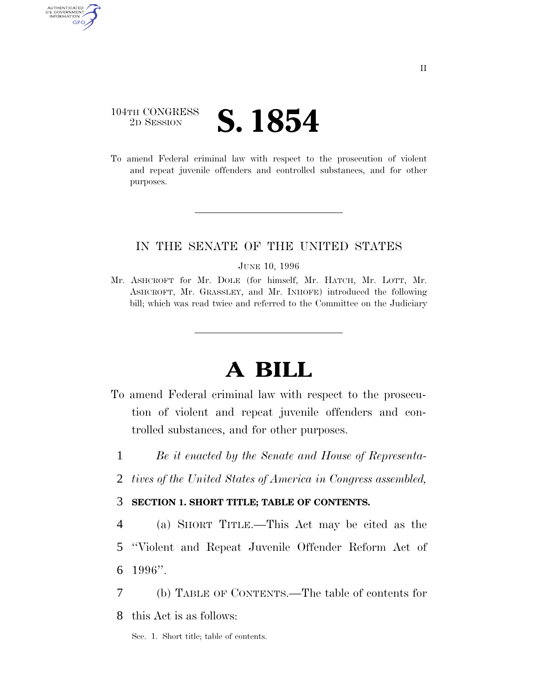### 104TH CONGRESS <sup>2D SESSION</sup> **S. 1854**

AUTHENTICATED U.S. GOVERNMENT GPO

> To amend Federal criminal law with respect to the prosecution of violent and repeat juvenile offenders and controlled substances, and for other purposes.

### IN THE SENATE OF THE UNITED STATES

JUNE 10, 1996

Mr. ASHCROFT for Mr. DOLE (for himself, Mr. HATCH, Mr. LOTT, Mr. ASHCROFT, Mr. GRASSLEY, and Mr. INHOFE) introduced the following bill; which was read twice and referred to the Committee on the Judiciary

# **A BILL**

- To amend Federal criminal law with respect to the prosecution of violent and repeat juvenile offenders and controlled substances, and for other purposes.
	- 1 *Be it enacted by the Senate and House of Representa-*
	- 2 *tives of the United States of America in Congress assembled,*

#### 3 **SECTION 1. SHORT TITLE; TABLE OF CONTENTS.**

4 (a) SHORT TITLE.—This Act may be cited as the 5 ''Violent and Repeat Juvenile Offender Reform Act of 6 1996''.

7 (b) TABLE OF CONTENTS.—The table of contents for

8 this Act is as follows:

Sec. 1. Short title; table of contents.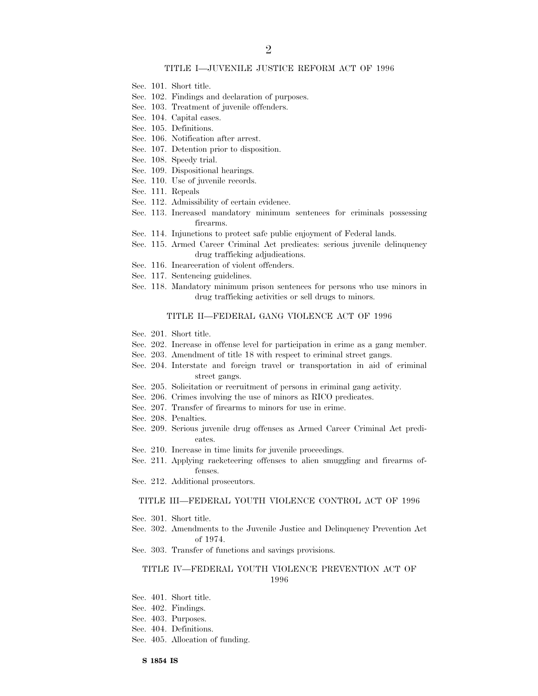#### TITLE I—JUVENILE JUSTICE REFORM ACT OF 1996

- Sec. 101. Short title.
- Sec. 102. Findings and declaration of purposes.
- Sec. 103. Treatment of juvenile offenders.
- Sec. 104. Capital cases.
- Sec. 105. Definitions.
- Sec. 106. Notification after arrest.
- Sec. 107. Detention prior to disposition.
- Sec. 108. Speedy trial.
- Sec. 109. Dispositional hearings.
- Sec. 110. Use of juvenile records.
- Sec. 111. Repeals
- Sec. 112. Admissibility of certain evidence.
- Sec. 113. Increased mandatory minimum sentences for criminals possessing firearms.
- Sec. 114. Injunctions to protect safe public enjoyment of Federal lands.
- Sec. 115. Armed Career Criminal Act predicates: serious juvenile delinquency drug trafficking adjudications.
- Sec. 116. Incarceration of violent offenders.
- Sec. 117. Sentencing guidelines.
- Sec. 118. Mandatory minimum prison sentences for persons who use minors in drug trafficking activities or sell drugs to minors.

#### TITLE II—FEDERAL GANG VIOLENCE ACT OF 1996

- Sec. 201. Short title.
- Sec. 202. Increase in offense level for participation in crime as a gang member.
- Sec. 203. Amendment of title 18 with respect to criminal street gangs.
- Sec. 204. Interstate and foreign travel or transportation in aid of criminal street gangs.
- Sec. 205. Solicitation or recruitment of persons in criminal gang activity.
- Sec. 206. Crimes involving the use of minors as RICO predicates.
- Sec. 207. Transfer of firearms to minors for use in crime.
- Sec. 208. Penalties.
- Sec. 209. Serious juvenile drug offenses as Armed Career Criminal Act predicates.
- Sec. 210. Increase in time limits for juvenile proceedings.
- Sec. 211. Applying racketeering offenses to alien smuggling and firearms offenses.
- Sec. 212. Additional prosecutors.

#### TITLE III—FEDERAL YOUTH VIOLENCE CONTROL ACT OF 1996

- Sec. 301. Short title.
- Sec. 302. Amendments to the Juvenile Justice and Delinquency Prevention Act of 1974.
- Sec. 303. Transfer of functions and savings provisions.

#### TITLE IV—FEDERAL YOUTH VIOLENCE PREVENTION ACT OF 1996

- Sec. 401. Short title.
- Sec. 402. Findings.
- Sec. 403. Purposes.
- Sec. 404. Definitions.
- Sec. 405. Allocation of funding.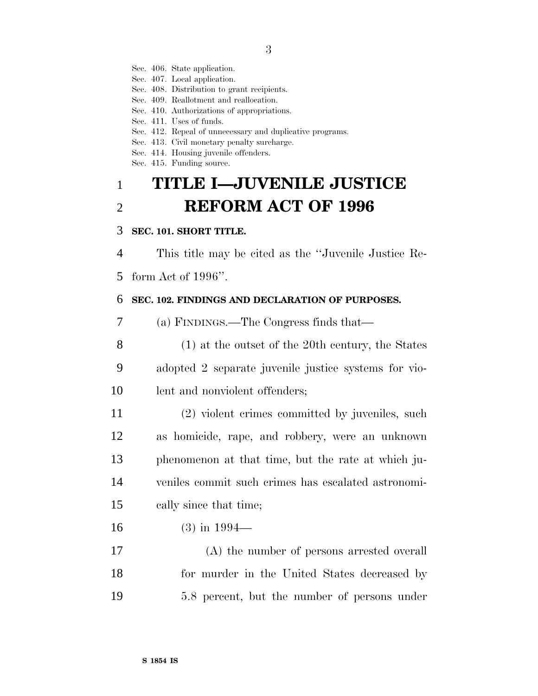Sec. 406. State application.

Sec. 407. Local application.

Sec. 408. Distribution to grant recipients.

Sec. 409. Reallotment and reallocation.

Sec. 410. Authorizations of appropriations.

Sec. 411. Uses of funds.

Sec. 412. Repeal of unnecessary and duplicative programs.

Sec. 413. Civil monetary penalty surcharge.

Sec. 414. Housing juvenile offenders.

Sec. 415. Funding source.

# **TITLE I—JUVENILE JUSTICE REFORM ACT OF 1996**

#### **SEC. 101. SHORT TITLE.**

This title may be cited as the ''Juvenile Justice Re-

form Act of 1996''.

#### **SEC. 102. FINDINGS AND DECLARATION OF PURPOSES.**

(a) FINDINGS.—The Congress finds that—

 (1) at the outset of the 20th century, the States adopted 2 separate juvenile justice systems for vio-lent and nonviolent offenders;

 (2) violent crimes committed by juveniles, such as homicide, rape, and robbery, were an unknown phenomenon at that time, but the rate at which ju- veniles commit such crimes has escalated astronomi-cally since that time;

(3) in 1994—

 (A) the number of persons arrested overall for murder in the United States decreased by 5.8 percent, but the number of persons under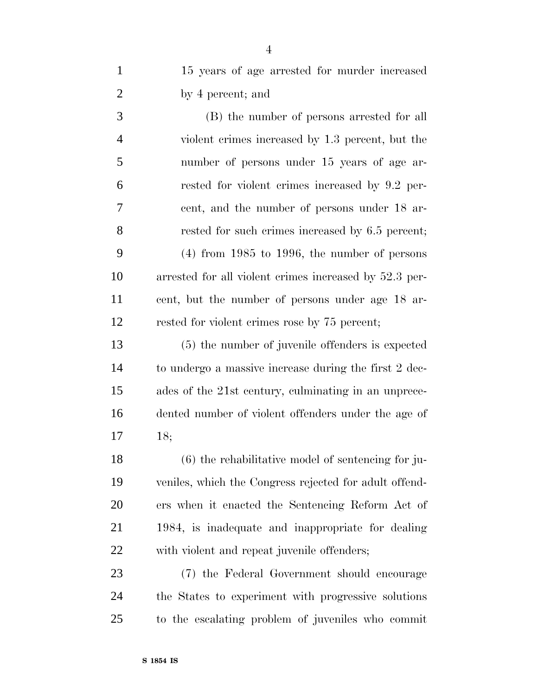| $\mathbf{1}$   | 15 years of age arrested for murder increased           |
|----------------|---------------------------------------------------------|
| $\overline{2}$ | by 4 percent; and                                       |
| 3              | (B) the number of persons arrested for all              |
| $\overline{4}$ | violent crimes increased by 1.3 percent, but the        |
| 5              | number of persons under 15 years of age ar-             |
| 6              | rested for violent crimes increased by 9.2 per-         |
| 7              | cent, and the number of persons under 18 ar-            |
| 8              | rested for such crimes increased by 6.5 percent;        |
| 9              | $(4)$ from 1985 to 1996, the number of persons          |
| 10             | arrested for all violent crimes increased by 52.3 per-  |
| 11             | cent, but the number of persons under age 18 ar-        |
| 12             | rested for violent crimes rose by 75 percent;           |
| 13             | (5) the number of juvenile offenders is expected        |
| 14             | to undergo a massive increase during the first 2 dec-   |
| 15             | ades of the 21st century, culminating in an unprece-    |
| 16             | dented number of violent offenders under the age of     |
| 17             | 18;                                                     |
| 18             | $(6)$ the rehabilitative model of sentencing for ju-    |
| 19             | veniles, which the Congress rejected for a dult offend- |
| 20             | ers when it enacted the Sentencing Reform Act of        |
| 21             | 1984, is inadequate and inappropriate for dealing       |
| 22             | with violent and repeat juvenile offenders;             |
| 23             | (7) the Federal Government should encourage             |
| 24             | the States to experiment with progressive solutions     |
| 25             | to the escalating problem of juveniles who commit       |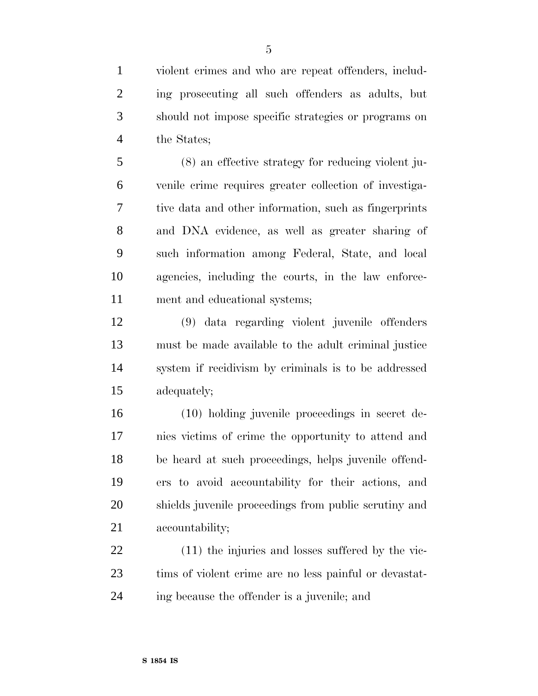violent crimes and who are repeat offenders, includ- ing prosecuting all such offenders as adults, but should not impose specific strategies or programs on the States;

 (8) an effective strategy for reducing violent ju- venile crime requires greater collection of investiga- tive data and other information, such as fingerprints and DNA evidence, as well as greater sharing of such information among Federal, State, and local agencies, including the courts, in the law enforce-ment and educational systems;

 (9) data regarding violent juvenile offenders must be made available to the adult criminal justice system if recidivism by criminals is to be addressed adequately;

 (10) holding juvenile proceedings in secret de- nies victims of crime the opportunity to attend and be heard at such proceedings, helps juvenile offend- ers to avoid accountability for their actions, and shields juvenile proceedings from public scrutiny and accountability;

 (11) the injuries and losses suffered by the vic- tims of violent crime are no less painful or devastat-ing because the offender is a juvenile; and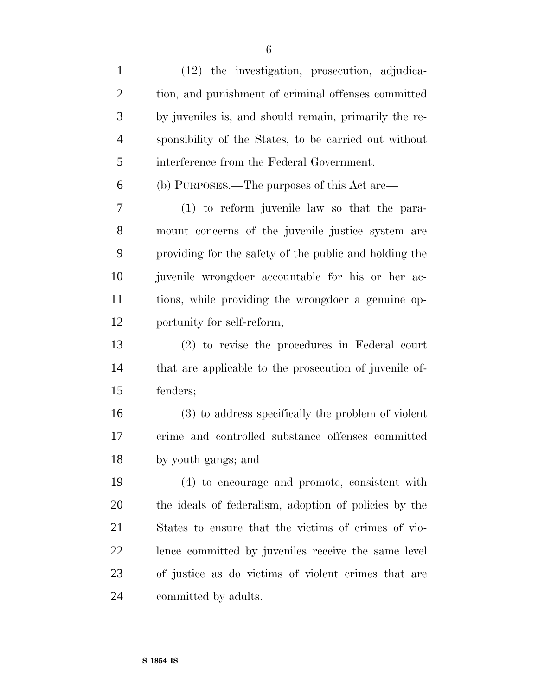(12) the investigation, prosecution, adjudica- tion, and punishment of criminal offenses committed by juveniles is, and should remain, primarily the re- sponsibility of the States, to be carried out without interference from the Federal Government. (b) PURPOSES.—The purposes of this Act are— (1) to reform juvenile law so that the para- mount concerns of the juvenile justice system are providing for the safety of the public and holding the juvenile wrongdoer accountable for his or her ac- tions, while providing the wrongdoer a genuine op- portunity for self-reform; (2) to revise the procedures in Federal court that are applicable to the prosecution of juvenile of- fenders; (3) to address specifically the problem of violent crime and controlled substance offenses committed by youth gangs; and (4) to encourage and promote, consistent with the ideals of federalism, adoption of policies by the States to ensure that the victims of crimes of vio- lence committed by juveniles receive the same level of justice as do victims of violent crimes that are committed by adults.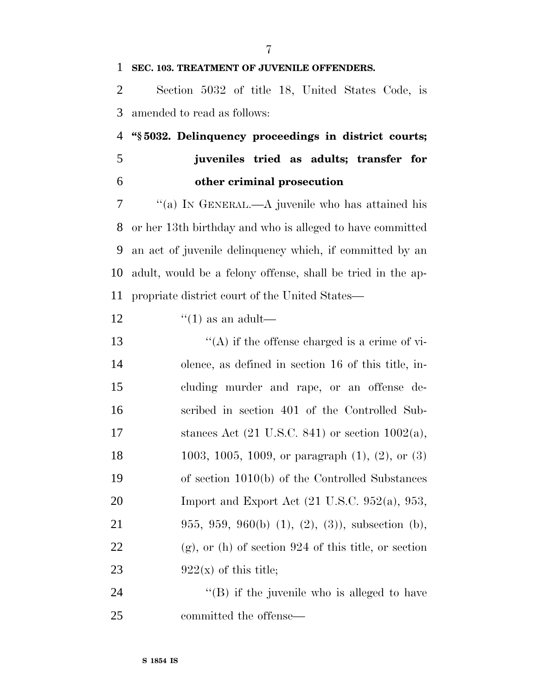#### **SEC. 103. TREATMENT OF JUVENILE OFFENDERS.**

 Section 5032 of title 18, United States Code, is amended to read as follows:

 **''§ 5032. Delinquency proceedings in district courts; juveniles tried as adults; transfer for other criminal prosecution**

 ''(a) IN GENERAL.—A juvenile who has attained his or her 13th birthday and who is alleged to have committed an act of juvenile delinquency which, if committed by an adult, would be a felony offense, shall be tried in the ap-propriate district court of the United States—

12  $\frac{((1) \text{ as an adult})}{(1)}$ 

 $\langle (A)$  if the offense charged is a crime of vi- olence, as defined in section 16 of this title, in- cluding murder and rape, or an offense de- scribed in section 401 of the Controlled Sub-17 stances Act  $(21 \text{ U.S.C. } 841)$  or section  $1002(a)$ , 1003, 1005, 1009, or paragraph (1), (2), or (3) of section 1010(b) of the Controlled Substances 20 Import and Export Act  $(21 \text{ U.S.C. } 952(a), 953,$  955, 959, 960(b) (1), (2), (3)), subsection (b), (g), or (h) of section 924 of this title, or section 23 922(x) of this title;

24  $\langle$  (B) if the juvenile who is alleged to have committed the offense—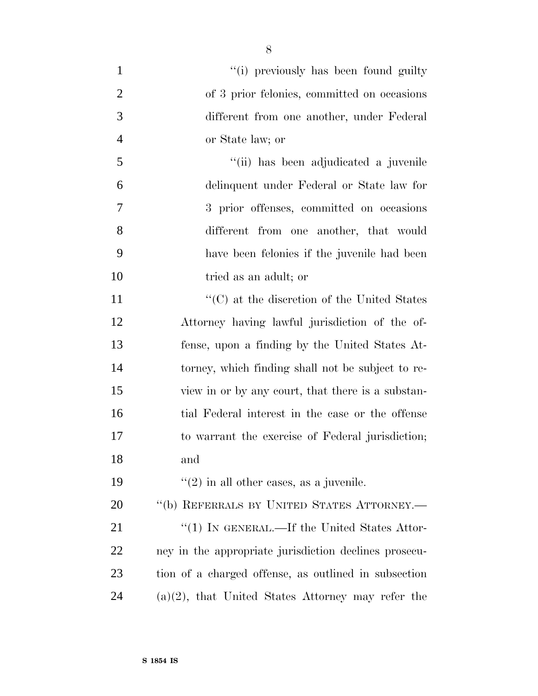| $\mathbf{1}$   | "(i) previously has been found guilty                   |
|----------------|---------------------------------------------------------|
| $\overline{2}$ | of 3 prior felonies, committed on occasions             |
| 3              | different from one another, under Federal               |
| $\overline{4}$ | or State law; or                                        |
| 5              | "(ii) has been adjudicated a juvenile                   |
| 6              | delinquent under Federal or State law for               |
| 7              | 3 prior offenses, committed on occasions                |
| 8              | different from one another, that would                  |
| 9              | have been felonies if the juvenile had been             |
| 10             | tried as an adult; or                                   |
| 11             | $\cdot\cdot$ (C) at the discretion of the United States |
| 12             | Attorney having lawful jurisdiction of the of-          |
| 13             | fense, upon a finding by the United States At-          |
| 14             | torney, which finding shall not be subject to re-       |
| 15             | view in or by any court, that there is a substan-       |
| 16             | tial Federal interest in the case or the offense        |
| 17             | to warrant the exercise of Federal jurisdiction;        |
| 18             | and                                                     |
| 19             | $\lq(2)$ in all other cases, as a juvenile.             |
| 20             | "(b) REFERRALS BY UNITED STATES ATTORNEY.-              |
| 21             | "(1) IN GENERAL.—If the United States Attor-            |
| 22             | ney in the appropriate jurisdiction declines prosecu-   |
| 23             | tion of a charged offense, as outlined in subsection    |
| 24             | $(a)(2)$ , that United States Attorney may refer the    |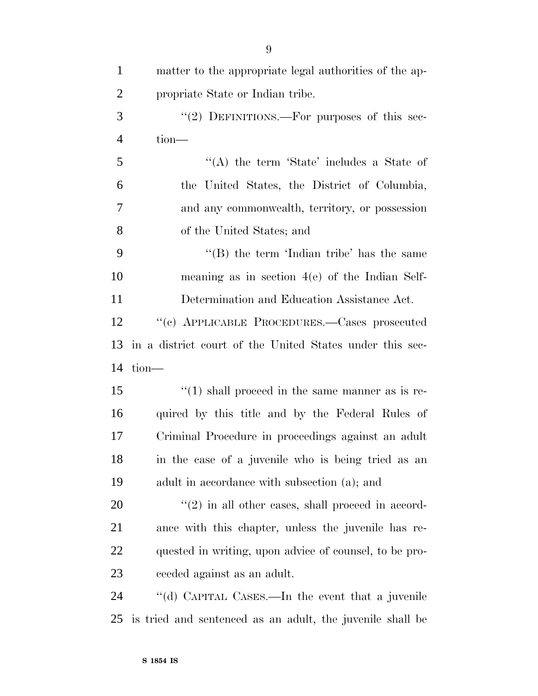| $\mathbf{1}$   | matter to the appropriate legal authorities of the ap-    |
|----------------|-----------------------------------------------------------|
| $\overline{2}$ | propriate State or Indian tribe.                          |
| 3              | "(2) DEFINITIONS.—For purposes of this sec-               |
| $\overline{4}$ | $tion$ —                                                  |
| 5              | "(A) the term 'State' includes a State of                 |
| 6              | the United States, the District of Columbia,              |
| 7              | and any commonwealth, territory, or possession            |
| 8              | of the United States; and                                 |
| 9              | "(B) the term 'Indian tribe' has the same                 |
| 10             | meaning as in section $4(e)$ of the Indian Self-          |
| 11             | Determination and Education Assistance Act.               |
| 12             | "(c) APPLICABLE PROCEDURES.—Cases prosecuted              |
| 13             | in a district court of the United States under this sec-  |
| 14             | $tion$ —                                                  |
| 15             | $\lq(1)$ shall proceed in the same manner as is re-       |
| 16             | quired by this title and by the Federal Rules of          |
| 17             | Criminal Procedure in proceedings against an adult        |
| 18             | in the case of a juvenile who is being tried as an        |
| 19             | adult in accordance with subsection (a); and              |
| 20             | $\lq(2)$ in all other cases, shall proceed in accord-     |
| 21             | ance with this chapter, unless the juvenile has re-       |
| 22             | quested in writing, upon advice of counsel, to be pro-    |
| 23             | ceeded against as an adult.                               |
| 24             | "(d) CAPITAL CASES.—In the event that a juvenile          |
| 25             | is tried and sentenced as an adult, the juvenile shall be |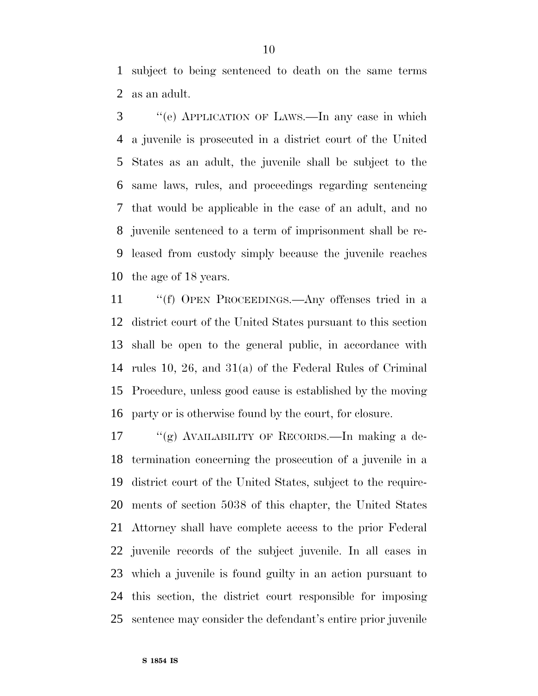subject to being sentenced to death on the same terms as an adult.

 ''(e) APPLICATION OF LAWS.—In any case in which a juvenile is prosecuted in a district court of the United States as an adult, the juvenile shall be subject to the same laws, rules, and proceedings regarding sentencing that would be applicable in the case of an adult, and no juvenile sentenced to a term of imprisonment shall be re- leased from custody simply because the juvenile reaches the age of 18 years.

 ''(f) OPEN PROCEEDINGS.—Any offenses tried in a district court of the United States pursuant to this section shall be open to the general public, in accordance with rules 10, 26, and 31(a) of the Federal Rules of Criminal Procedure, unless good cause is established by the moving party or is otherwise found by the court, for closure.

 ''(g) AVAILABILITY OF RECORDS.—In making a de- termination concerning the prosecution of a juvenile in a district court of the United States, subject to the require- ments of section 5038 of this chapter, the United States Attorney shall have complete access to the prior Federal juvenile records of the subject juvenile. In all cases in which a juvenile is found guilty in an action pursuant to this section, the district court responsible for imposing sentence may consider the defendant's entire prior juvenile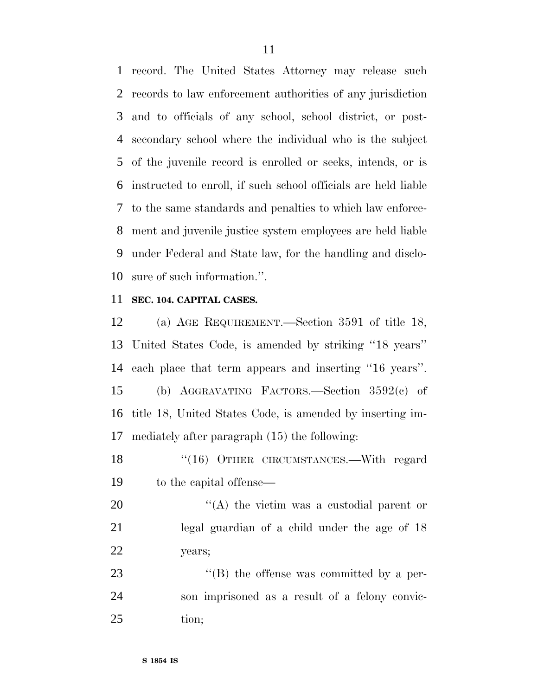record. The United States Attorney may release such records to law enforcement authorities of any jurisdiction and to officials of any school, school district, or post- secondary school where the individual who is the subject of the juvenile record is enrolled or seeks, intends, or is instructed to enroll, if such school officials are held liable to the same standards and penalties to which law enforce- ment and juvenile justice system employees are held liable under Federal and State law, for the handling and disclo-sure of such information.''.

#### **SEC. 104. CAPITAL CASES.**

 (a) AGE REQUIREMENT.—Section 3591 of title 18, United States Code, is amended by striking ''18 years'' each place that term appears and inserting ''16 years''. (b) AGGRAVATING FACTORS.—Section 3592(c) of title 18, United States Code, is amended by inserting im-mediately after paragraph (15) the following:

18 "(16) OTHER CIRCUMSTANCES.—With regard to the capital offense—

20  $\langle (A)$  the victim was a custodial parent or legal guardian of a child under the age of 18 years;

23 "'(B) the offense was committed by a per- son imprisoned as a result of a felony convic-tion;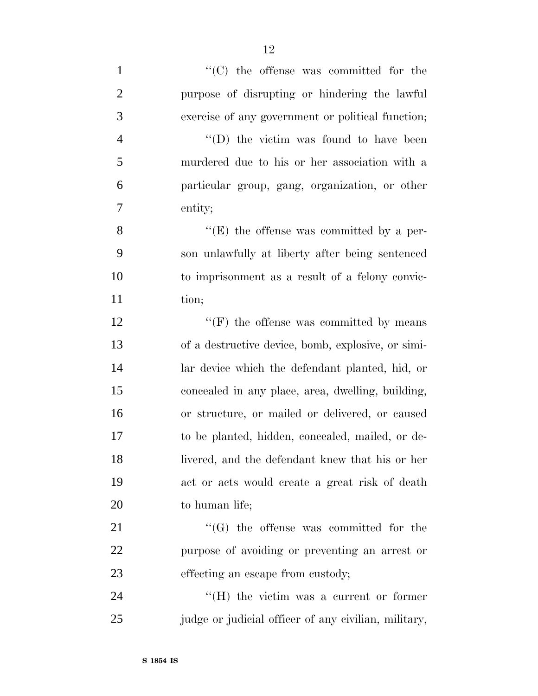$\lq$  (C) the offense was committed for the purpose of disrupting or hindering the lawful exercise of any government or political function; ''(D) the victim was found to have been murdered due to his or her association with a particular group, gang, organization, or other entity; 8 ''(E) the offense was committed by a per- son unlawfully at liberty after being sentenced to imprisonment as a result of a felony convic-11 tion;  $"({\rm F})$  the offense was committed by means of a destructive device, bomb, explosive, or simi- lar device which the defendant planted, hid, or concealed in any place, area, dwelling, building, or structure, or mailed or delivered, or caused to be planted, hidden, concealed, mailed, or de- livered, and the defendant knew that his or her act or acts would create a great risk of death to human life;  $\langle G \rangle$  the offense was committed for the purpose of avoiding or preventing an arrest or 23 effecting an escape from custody; 24 ''(H) the victim was a current or former

25 judge or judicial officer of any civilian, military,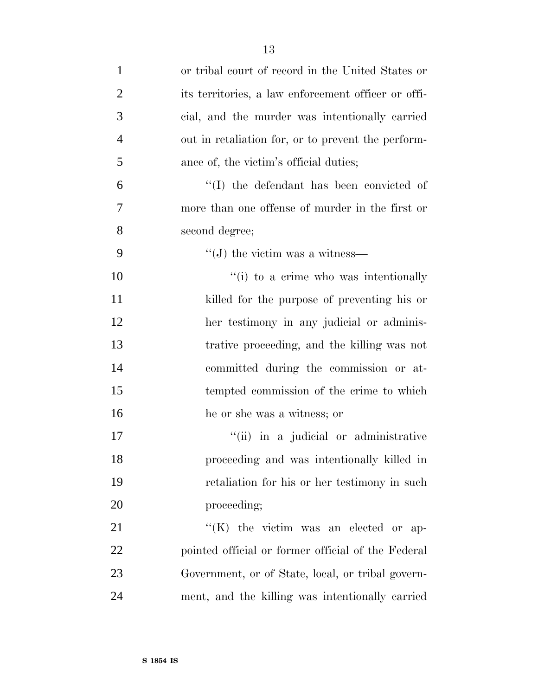| $\mathbf{1}$   | or tribal court of record in the United States or   |
|----------------|-----------------------------------------------------|
| $\overline{2}$ | its territories, a law enforcement officer or offi- |
| 3              | cial, and the murder was intentionally carried      |
| $\overline{4}$ | out in retaliation for, or to prevent the perform-  |
| 5              | ance of, the victim's official duties;              |
| 6              | "(I) the defendant has been convicted of            |
| 7              | more than one offense of murder in the first or     |
| 8              | second degree;                                      |
| 9              | $\lq\lq$ the victim was a witness—                  |
| 10             | "(i) to a crime who was intentionally               |
| 11             | killed for the purpose of preventing his or         |
| 12             | her testimony in any judicial or adminis-           |
| 13             | trative proceeding, and the killing was not         |
| 14             | committed during the commission or at-              |
| 15             | tempted commission of the crime to which            |
| 16             | he or she was a witness; or                         |
| 17             | "(ii) in a judicial or administrative               |
| 18             | proceeding and was intentionally killed in          |
| 19             | retaliation for his or her testimony in such        |
| 20             | proceeding;                                         |
| 21             | $\lq\lq$ (K) the victim was an elected or ap-       |
| 22             | pointed official or former official of the Federal  |
| 23             | Government, or of State, local, or tribal govern-   |
| 24             | ment, and the killing was intentionally carried     |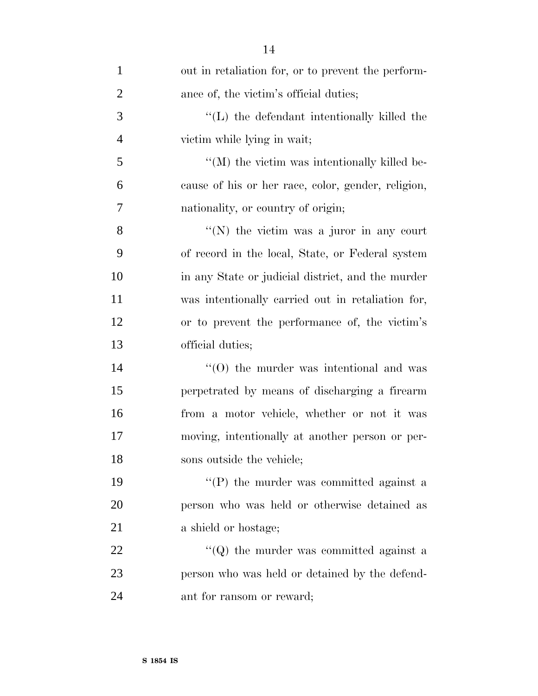| $\mathbf{1}$   | out in retaliation for, or to prevent the perform-   |
|----------------|------------------------------------------------------|
| $\overline{2}$ | ance of, the victim's official duties;               |
| 3              | $\lq\lq$ . The defendant intentionally killed the    |
| $\overline{4}$ | victim while lying in wait;                          |
| 5              | $\lq\lq (M)$ the victim was intentionally killed be- |
| 6              | cause of his or her race, color, gender, religion,   |
| 7              | nationality, or country of origin;                   |
| 8              | "(N) the victim was a juror in any court             |
| 9              | of record in the local, State, or Federal system     |
| 10             | in any State or judicial district, and the murder    |
| 11             | was intentionally carried out in retaliation for,    |
| 12             | or to prevent the performance of, the victim's       |
| 13             | official duties;                                     |
| 14             | $\cdot$ (O) the murder was intentional and was       |
| 15             | perpetrated by means of discharging a firearm        |
| 16             | from a motor vehicle, whether or not it was          |
| 17             | moving, intentionally at another person or per-      |
| 18             | sons outside the vehicle;                            |
| 19             | $\lq\lq$ the murder was committed against a          |
| 20             | person who was held or otherwise detained as         |
| 21             | a shield or hostage;                                 |
| 22             | $\lq\lq$ ) the murder was committed against a        |
| 23             | person who was held or detained by the defend-       |
| 24             | ant for ransom or reward;                            |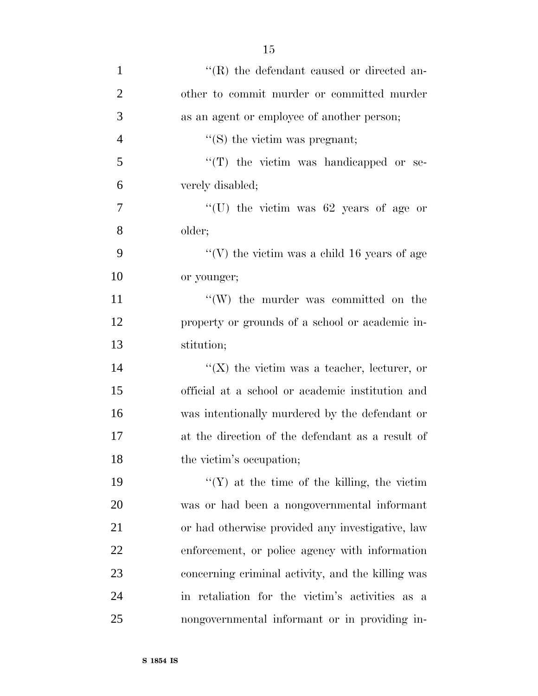| $\mathbf{1}$   | $\lq$ (R) the defendant caused or directed an-    |
|----------------|---------------------------------------------------|
| $\overline{2}$ | other to commit murder or committed murder        |
| 3              | as an agent or employee of another person;        |
| $\overline{4}$ | $\lq\lq$ (S) the victim was pregnant;             |
| 5              | $\lq$ (T) the victim was handicapped or se-       |
| 6              | verely disabled;                                  |
| 7              | "(U) the victim was $62$ years of age or          |
| 8              | older;                                            |
| 9              | "(V) the victim was a child 16 years of age       |
| 10             | or younger;                                       |
| 11             | $\lq\lq(W)$ the murder was committed on the       |
| 12             | property or grounds of a school or academic in-   |
| 13             | stitution;                                        |
| 14             | "( $X$ ) the victim was a teacher, lecturer, or   |
| 15             | official at a school or academic institution and  |
| 16             | was intentionally murdered by the defendant or    |
| 17             | at the direction of the defendant as a result of  |
| 18             | the victim's occupation;                          |
| 19             | $f'(Y)$ at the time of the killing, the victim    |
| 20             | was or had been a nongovernmental informant       |
| 21             | or had otherwise provided any investigative, law  |
| 22             | enforcement, or police agency with information    |
| 23             | concerning criminal activity, and the killing was |
| 24             | in retaliation for the victim's activities as a   |
| 25             | nongovernmental informant or in providing in-     |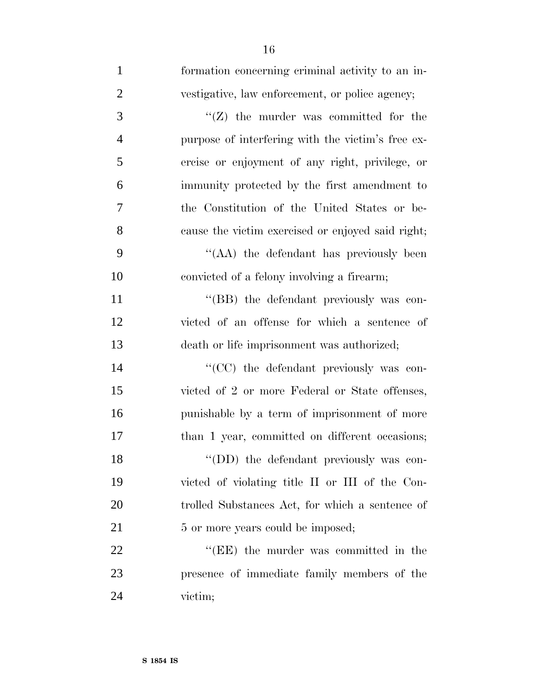| $\mathbf{1}$   | formation concerning criminal activity to an in-  |
|----------------|---------------------------------------------------|
| $\overline{2}$ | vestigative, law enforcement, or police agency;   |
| 3              | "( $Z$ ) the murder was committed for the         |
| $\overline{4}$ | purpose of interfering with the victim's free ex- |
| 5              | ercise or enjoyment of any right, privilege, or   |
| 6              | immunity protected by the first amendment to      |
| 7              | the Constitution of the United States or be-      |
| 8              | cause the victim exercised or enjoyed said right; |
| 9              | "(AA) the defendant has previously been           |
| 10             | convicted of a felony involving a firearm;        |
| 11             | "(BB) the defendant previously was con-           |
| 12             | victed of an offense for which a sentence of      |
| 13             | death or life imprisonment was authorized;        |
| 14             | "(CC) the defendant previously was con-           |
| 15             | victed of 2 or more Federal or State offenses,    |
| 16             | punishable by a term of imprisonment of more      |
| 17             | than 1 year, committed on different occasions;    |
| 18             | "(DD) the defendant previously was con-           |
| 19             | victed of violating title II or III of the Con-   |
| 20             | trolled Substances Act, for which a sentence of   |
| 21             | 5 or more years could be imposed;                 |
| 22             | "(EE) the murder was committed in the             |
| 23             | presence of immediate family members of the       |
| 24             | victim;                                           |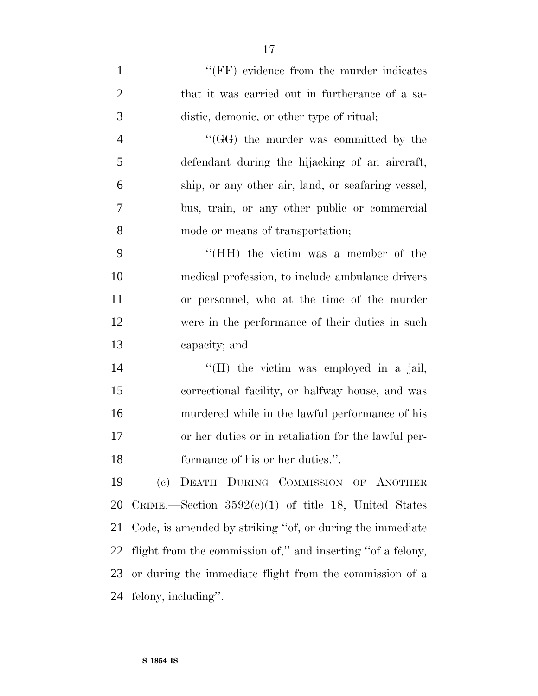| $\mathbf{1}$   | "(FF) evidence from the murder indicates                    |
|----------------|-------------------------------------------------------------|
| $\overline{2}$ | that it was carried out in furtherance of a sa-             |
| 3              | distic, demonic, or other type of ritual;                   |
| $\overline{4}$ | "(GG) the murder was committed by the                       |
| 5              | defendant during the hijacking of an aircraft,              |
| 6              | ship, or any other air, land, or seafaring vessel,          |
| 7              | bus, train, or any other public or commercial               |
| 8              | mode or means of transportation;                            |
| 9              | "(HH) the victim was a member of the                        |
| 10             | medical profession, to include ambulance drivers            |
| 11             | or personnel, who at the time of the murder                 |
| 12             | were in the performance of their duties in such             |
| 13             | capacity; and                                               |
| 14             | "(II) the victim was employed in a jail,                    |
| 15             | correctional facility, or halfway house, and was            |
| 16             | murdered while in the lawful performance of his             |
| 17             | or her duties or in retaliation for the lawful per-         |
| 18             | formance of his or her duties.".                            |
| 19             | (c) DEATH DURING COMMISSION OF ANOTHER                      |
| 20             | CRIME.—Section $3592(c)(1)$ of title 18, United States      |
| 21             | Code, is amended by striking "of, or during the immediate"  |
| 22             | flight from the commission of," and inserting "of a felony, |
| 23             | or during the immediate flight from the commission of a     |
| 24             | felony, including".                                         |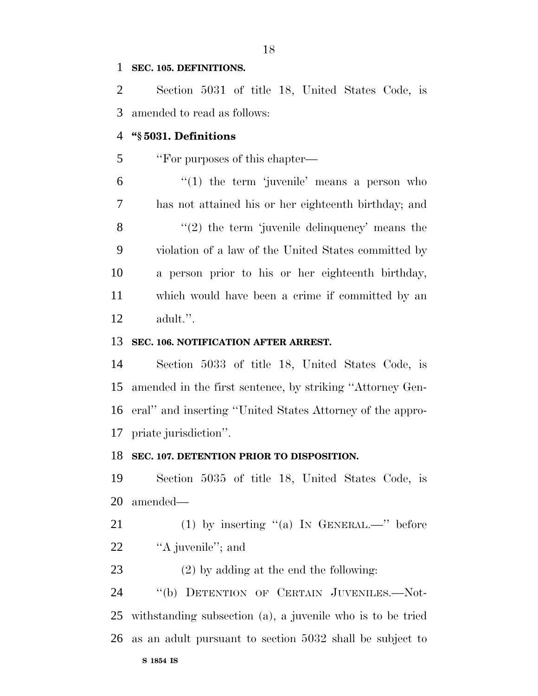#### **SEC. 105. DEFINITIONS.**

 Section 5031 of title 18, United States Code, is amended to read as follows:

#### **''§ 5031. Definitions**

5 "For purposes of this chapter—

 "(1) the term 'juvenile' means a person who has not attained his or her eighteenth birthday; and 8 "(2) the term 'juvenile delinquency' means the violation of a law of the United States committed by a person prior to his or her eighteenth birthday, which would have been a crime if committed by an adult.''.

#### **SEC. 106. NOTIFICATION AFTER ARREST.**

 Section 5033 of title 18, United States Code, is amended in the first sentence, by striking ''Attorney Gen- eral'' and inserting ''United States Attorney of the appro-priate jurisdiction''.

#### **SEC. 107. DETENTION PRIOR TO DISPOSITION.**

 Section 5035 of title 18, United States Code, is amended—

- 21 (1) by inserting "(a) In GENERAL.—" before 22 "A juvenile"; and
- (2) by adding at the end the following:

24 "(b) DETENTION OF CERTAIN JUVENILES.—Not- withstanding subsection (a), a juvenile who is to be tried as an adult pursuant to section 5032 shall be subject to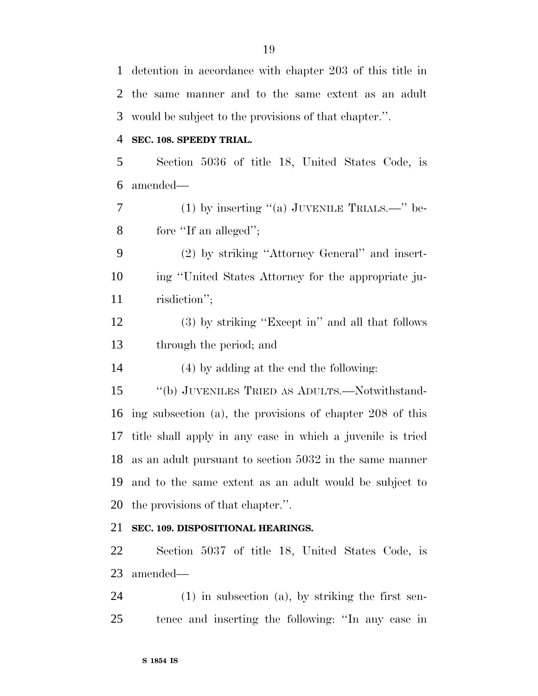detention in accordance with chapter 203 of this title in the same manner and to the same extent as an adult would be subject to the provisions of that chapter.''. **SEC. 108. SPEEDY TRIAL.** Section 5036 of title 18, United States Code, is amended— (1) by inserting ''(a) JUVENILE TRIALS.—'' be- fore ''If an alleged''; (2) by striking ''Attorney General'' and insert- ing ''United States Attorney for the appropriate ju- risdiction''; (3) by striking ''Except in'' and all that follows through the period; and (4) by adding at the end the following: ''(b) JUVENILES TRIED AS ADULTS.—Notwithstand- ing subsection (a), the provisions of chapter 208 of this title shall apply in any case in which a juvenile is tried as an adult pursuant to section 5032 in the same manner and to the same extent as an adult would be subject to the provisions of that chapter.''. **SEC. 109. DISPOSITIONAL HEARINGS.** Section 5037 of title 18, United States Code, is amended— (1) in subsection (a), by striking the first sen-

tence and inserting the following: ''In any case in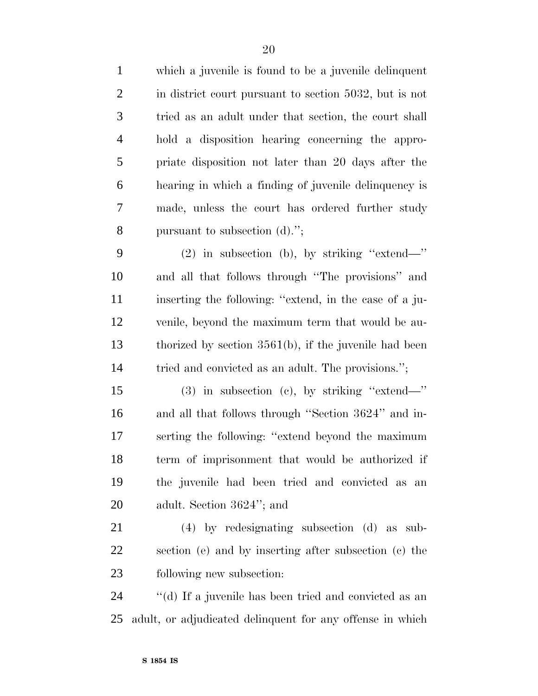which a juvenile is found to be a juvenile delinquent in district court pursuant to section 5032, but is not tried as an adult under that section, the court shall hold a disposition hearing concerning the appro- priate disposition not later than 20 days after the hearing in which a finding of juvenile delinquency is made, unless the court has ordered further study pursuant to subsection (d).'';

 (2) in subsection (b), by striking ''extend—'' and all that follows through ''The provisions'' and inserting the following: ''extend, in the case of a ju- venile, beyond the maximum term that would be au- thorized by section 3561(b), if the juvenile had been tried and convicted as an adult. The provisions.'';

 (3) in subsection (c), by striking ''extend—'' and all that follows through ''Section 3624'' and in- serting the following: ''extend beyond the maximum term of imprisonment that would be authorized if the juvenile had been tried and convicted as an adult. Section 3624''; and

 (4) by redesignating subsection (d) as sub- section (e) and by inserting after subsection (c) the following new subsection:

 ''(d) If a juvenile has been tried and convicted as an adult, or adjudicated delinquent for any offense in which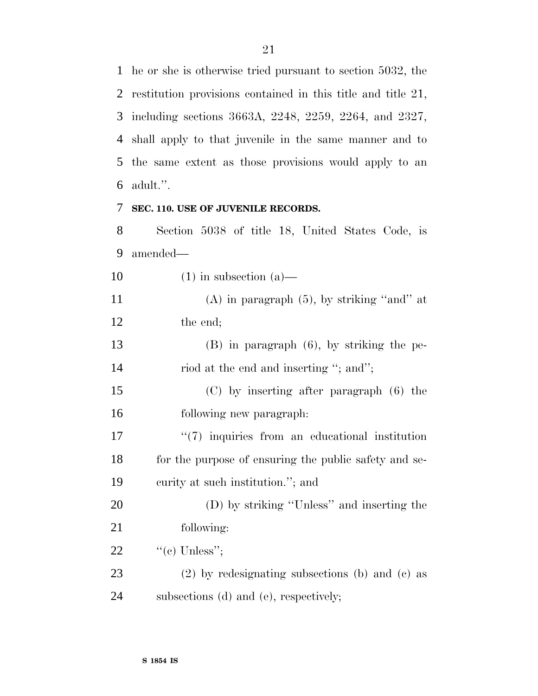he or she is otherwise tried pursuant to section 5032, the restitution provisions contained in this title and title 21, including sections 3663A, 2248, 2259, 2264, and 2327, shall apply to that juvenile in the same manner and to the same extent as those provisions would apply to an adult.''.

#### **SEC. 110. USE OF JUVENILE RECORDS.**

 Section 5038 of title 18, United States Code, is amended—

10  $(1)$  in subsection  $(a)$ —

 (A) in paragraph (5), by striking ''and'' at the end;

 (B) in paragraph (6), by striking the pe-14 riod at the end and inserting "; and";

 (C) by inserting after paragraph (6) the following new paragraph:

17  $\frac{17}{2}$   $\frac{17}{2}$  inquiries from an educational institution 18 for the purpose of ensuring the public safety and se-curity at such institution.''; and

 (D) by striking ''Unless'' and inserting the following:

22  $"$ (c) Unless";

 (2) by redesignating subsections (b) and (c) as subsections (d) and (e), respectively;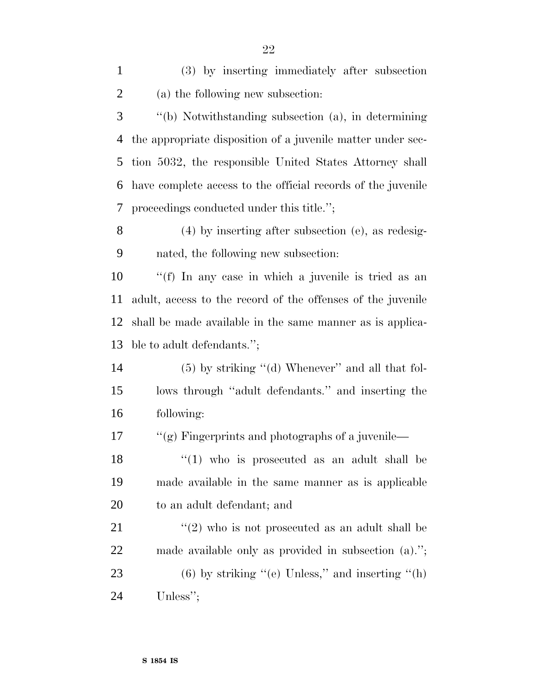(3) by inserting immediately after subsection (a) the following new subsection: ''(b) Notwithstanding subsection (a), in determining the appropriate disposition of a juvenile matter under sec- tion 5032, the responsible United States Attorney shall have complete access to the official records of the juvenile proceedings conducted under this title.''; (4) by inserting after subsection (e), as redesig- nated, the following new subsection: ''(f) In any case in which a juvenile is tried as an adult, access to the record of the offenses of the juvenile shall be made available in the same manner as is applica- ble to adult defendants.''; (5) by striking ''(d) Whenever'' and all that fol- lows through ''adult defendants.'' and inserting the following: 17 ''(g) Fingerprints and photographs of a juvenile- $\frac{18}{18}$  ''(1) who is prosecuted as an adult shall be made available in the same manner as is applicable to an adult defendant; and ''(2) who is not prosecuted as an adult shall be made available only as provided in subsection (a).''; 23 (6) by striking "(e) Unless," and inserting "(h) Unless'';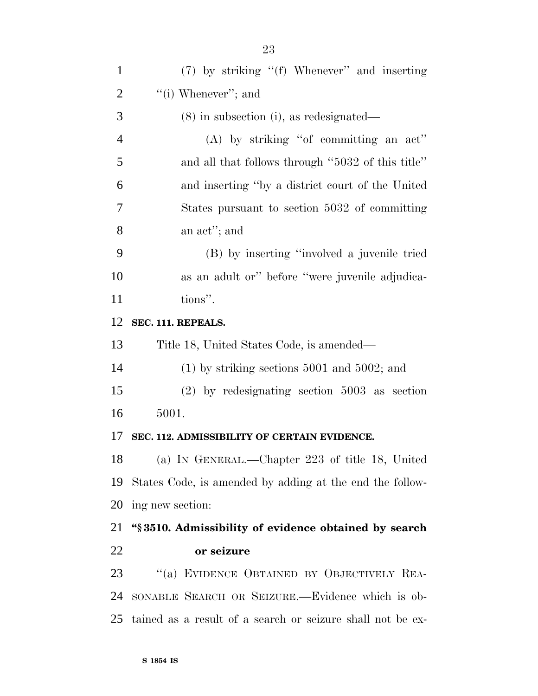| $\mathbf{1}$   | (7) by striking "(f) Whenever" and inserting               |
|----------------|------------------------------------------------------------|
| $\overline{2}$ | "(i) Whenever"; and                                        |
| 3              | $(8)$ in subsection (i), as redesignated—                  |
| $\overline{4}$ | $(A)$ by striking "of committing an act"                   |
| 5              | and all that follows through "5032 of this title"          |
| 6              | and inserting "by a district court of the United           |
| 7              | States pursuant to section 5032 of committing              |
| 8              | an act"; and                                               |
| 9              | (B) by inserting "involved a juvenile tried                |
| 10             | as an adult or" before "were juvenile adjudica-            |
| 11             | tions".                                                    |
| 12             | SEC. 111. REPEALS.                                         |
| 13             | Title 18, United States Code, is amended—                  |
| 14             | $(1)$ by striking sections 5001 and 5002; and              |
| 15             | $(2)$ by redesignating section 5003 as section             |
| 16             | 5001.                                                      |
| 17             | SEC. 112. ADMISSIBILITY OF CERTAIN EVIDENCE.               |
| 18             | (a) IN GENERAL.—Chapter 223 of title 18, United            |
| 19             | States Code, is amended by adding at the end the follow-   |
| 20             | ing new section:                                           |
| 21             | "\\$3510. Admissibility of evidence obtained by search     |
| 22             | or seizure                                                 |
| 23             | "(a) EVIDENCE OBTAINED BY OBJECTIVELY REA-                 |
| 24             | SONABLE SEARCH OR SEIZURE.—Evidence which is ob-           |
| 25             | tained as a result of a search or seizure shall not be ex- |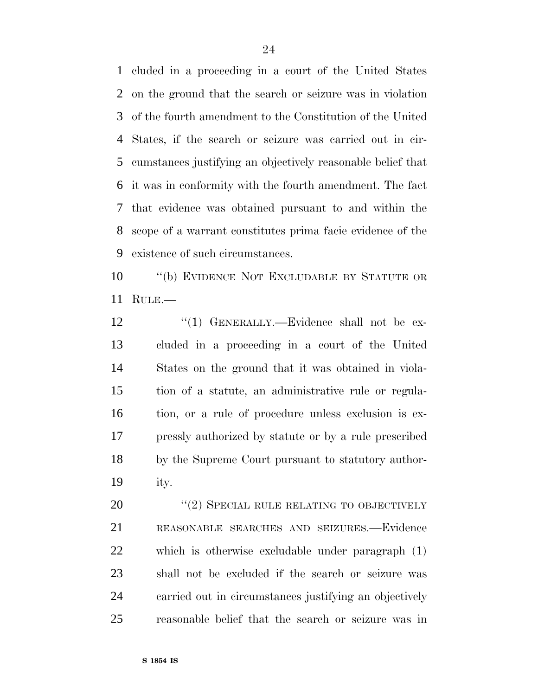cluded in a proceeding in a court of the United States on the ground that the search or seizure was in violation of the fourth amendment to the Constitution of the United States, if the search or seizure was carried out in cir- cumstances justifying an objectively reasonable belief that it was in conformity with the fourth amendment. The fact that evidence was obtained pursuant to and within the scope of a warrant constitutes prima facie evidence of the existence of such circumstances.

 ''(b) EVIDENCE NOT EXCLUDABLE BY STATUTE OR RULE.—

12 "(1) GENERALLY.—Evidence shall not be ex- cluded in a proceeding in a court of the United States on the ground that it was obtained in viola- tion of a statute, an administrative rule or regula- tion, or a rule of procedure unless exclusion is ex- pressly authorized by statute or by a rule prescribed by the Supreme Court pursuant to statutory author-ity.

20 "(2) SPECIAL RULE RELATING TO OBJECTIVELY REASONABLE SEARCHES AND SEIZURES.—Evidence which is otherwise excludable under paragraph (1) shall not be excluded if the search or seizure was carried out in circumstances justifying an objectively reasonable belief that the search or seizure was in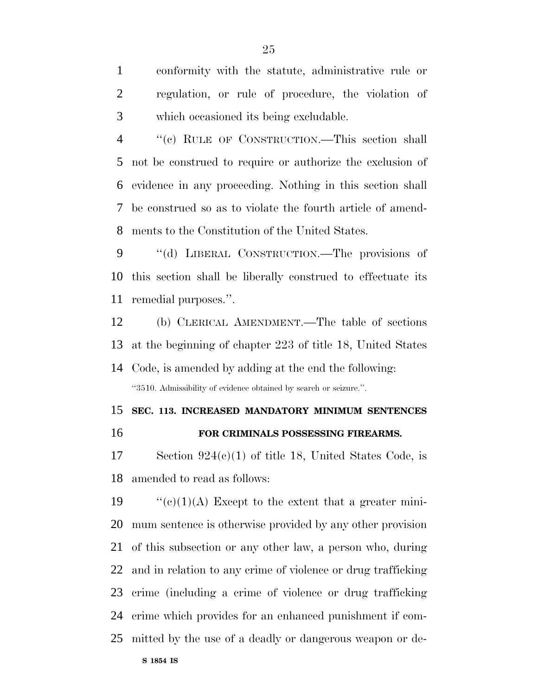conformity with the statute, administrative rule or regulation, or rule of procedure, the violation of which occasioned its being excludable.

 ''(c) RULE OF CONSTRUCTION.—This section shall not be construed to require or authorize the exclusion of evidence in any proceeding. Nothing in this section shall be construed so as to violate the fourth article of amend-ments to the Constitution of the United States.

 ''(d) LIBERAL CONSTRUCTION.—The provisions of this section shall be liberally construed to effectuate its remedial purposes.''.

 (b) CLERICAL AMENDMENT.—The table of sections at the beginning of chapter 223 of title 18, United States Code, is amended by adding at the end the following:

''3510. Admissibility of evidence obtained by search or seizure.''.

### **SEC. 113. INCREASED MANDATORY MINIMUM SENTENCES FOR CRIMINALS POSSESSING FIREARMS.**

 Section 924(c)(1) of title 18, United States Code, is amended to read as follows:

 $\text{``(c)(1)(A)}$  Except to the extent that a greater mini- mum sentence is otherwise provided by any other provision of this subsection or any other law, a person who, during and in relation to any crime of violence or drug trafficking crime (including a crime of violence or drug trafficking crime which provides for an enhanced punishment if com-mitted by the use of a deadly or dangerous weapon or de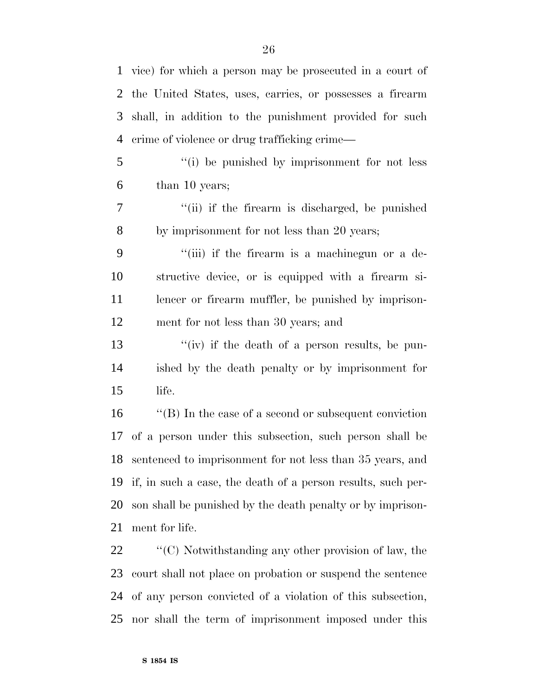vice) for which a person may be prosecuted in a court of the United States, uses, carries, or possesses a firearm shall, in addition to the punishment provided for such crime of violence or drug trafficking crime—

 ''(i) be punished by imprisonment for not less than 10 years;

7 ''(ii) if the firearm is discharged, be punished by imprisonment for not less than 20 years;

 ''(iii) if the firearm is a machinegun or a de- structive device, or is equipped with a firearm si-11 lencer or firearm muffler, be punished by imprison-ment for not less than 30 years; and

13 ''(iv) if the death of a person results, be pun- ished by the death penalty or by imprisonment for life.

 ''(B) In the case of a second or subsequent conviction of a person under this subsection, such person shall be sentenced to imprisonment for not less than 35 years, and if, in such a case, the death of a person results, such per- son shall be punished by the death penalty or by imprison-ment for life.

 $\bullet$  "(C) Notwithstanding any other provision of law, the court shall not place on probation or suspend the sentence of any person convicted of a violation of this subsection, nor shall the term of imprisonment imposed under this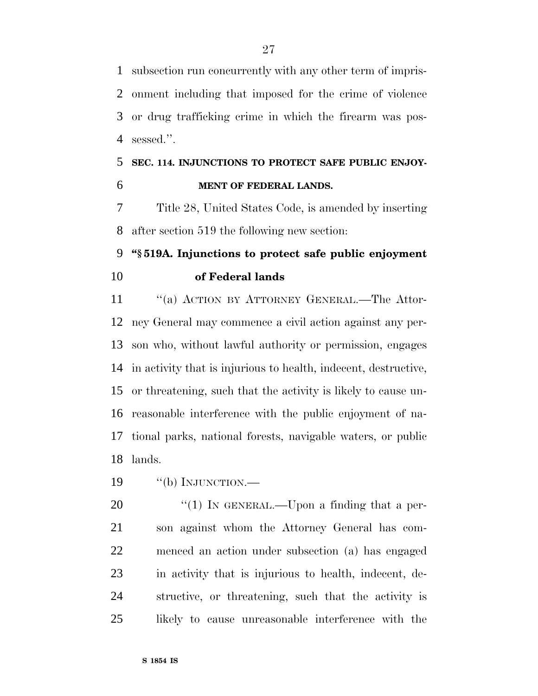subsection run concurrently with any other term of impris- onment including that imposed for the crime of violence or drug trafficking crime in which the firearm was pos-sessed.''.

## **SEC. 114. INJUNCTIONS TO PROTECT SAFE PUBLIC ENJOY-MENT OF FEDERAL LANDS.**

 Title 28, United States Code, is amended by inserting after section 519 the following new section:

## **''§ 519A. Injunctions to protect safe public enjoyment of Federal lands**

11 "(a) ACTION BY ATTORNEY GENERAL.—The Attor- ney General may commence a civil action against any per- son who, without lawful authority or permission, engages in activity that is injurious to health, indecent, destructive, or threatening, such that the activity is likely to cause un- reasonable interference with the public enjoyment of na- tional parks, national forests, navigable waters, or public lands.

19 "(b) INJUNCTION.—

 $\frac{1}{20}$  In GENERAL.—Upon a finding that a per- son against whom the Attorney General has com- menced an action under subsection (a) has engaged in activity that is injurious to health, indecent, de- structive, or threatening, such that the activity is likely to cause unreasonable interference with the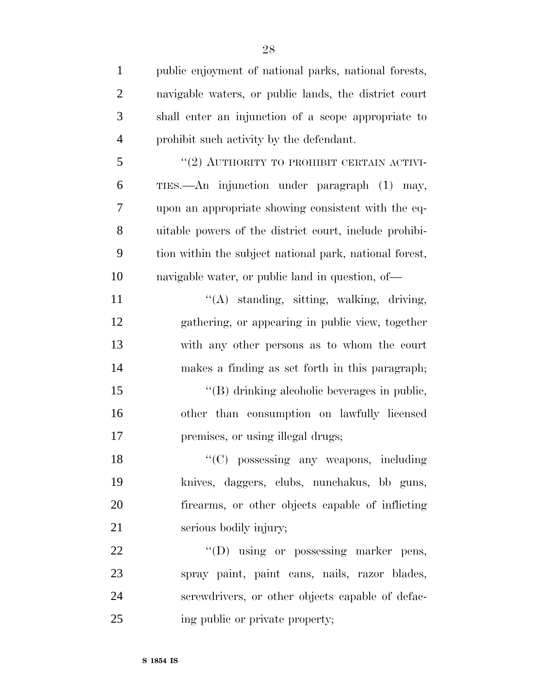| $\mathbf{1}$   | public enjoyment of national parks, national forests,   |
|----------------|---------------------------------------------------------|
| $\overline{2}$ | navigable waters, or public lands, the district court   |
| 3              | shall enter an injunction of a scope appropriate to     |
| $\overline{4}$ | prohibit such activity by the defendant.                |
| 5              | "(2) AUTHORITY TO PROHIBIT CERTAIN ACTIVI-              |
| 6              | TIES.—An injunction under paragraph (1) may,            |
| 7              | upon an appropriate showing consistent with the eq-     |
| 8              | uitable powers of the district court, include prohibi-  |
| 9              | tion within the subject national park, national forest, |
| 10             | navigable water, or public land in question, of—        |
| 11             | $\lq\lq$ standing, sitting, walking, driving,           |
| 12             | gathering, or appearing in public view, together        |
| 13             | with any other persons as to whom the court             |
| 14             | makes a finding as set forth in this paragraph;         |
| 15             | "(B) drinking alcoholic beverages in public,            |
| 16             | other than consumption on lawfully licensed             |
| 17             | premises, or using illegal drugs;                       |
| 18             | "(C) possessing any weapons, including                  |
| 19             | knives, daggers, clubs, nunchakus, bb guns,             |
| 20             | firearms, or other objects capable of inflicting        |
| 21             | serious bodily injury;                                  |
| 22             | "(D) using or possessing marker pens,                   |
| 23             | spray paint, paint cans, nails, razor blades,           |
| 24             | screwdrivers, or other objects capable of defac-        |
| 25             | ing public or private property;                         |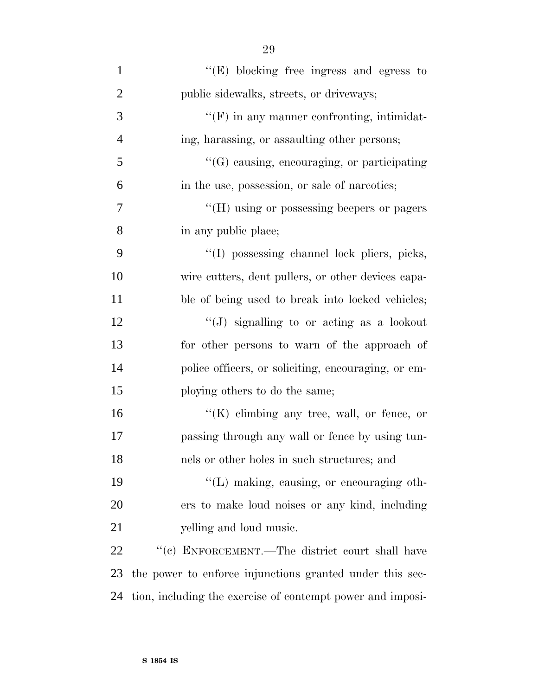| $\mathbf{1}$   | $\lq\lq(E)$ blocking free ingress and egress to            |
|----------------|------------------------------------------------------------|
| $\overline{2}$ | public sidewalks, streets, or driveways;                   |
| 3              | $\lq\lq(F)$ in any manner confronting, intimidat-          |
| $\overline{4}$ | ing, harassing, or assaulting other persons;               |
| 5              | $\lq\lq(G)$ causing, encouraging, or participating         |
| 6              | in the use, possession, or sale of narcotics;              |
| 7              | "(H) using or possessing beepers or pagers                 |
| 8              | in any public place;                                       |
| 9              | "(I) possessing channel lock pliers, picks,                |
| 10             | wire cutters, dent pullers, or other devices capa-         |
| 11             | ble of being used to break into locked vehicles;           |
| 12             | "(J) signalling to or acting as a lookout                  |
| 13             | for other persons to warn of the approach of               |
| 14             | police officers, or soliciting, encouraging, or em-        |
| 15             | ploying others to do the same;                             |
| 16             | $\lq\lq (K)$ elimbing any tree, wall, or fence, or         |
| 17             | passing through any wall or fence by using tun-            |
| 18             | nels or other holes in such structures; and                |
| 19             | "(L) making, causing, or encouraging oth-                  |
| 20             | ers to make loud noises or any kind, including             |
| 21             | yelling and loud music.                                    |
| 22             | "(c) ENFORCEMENT.—The district court shall have            |
| 23             | the power to enforce injunctions granted under this sec-   |
| 24             | tion, including the exercise of contempt power and imposi- |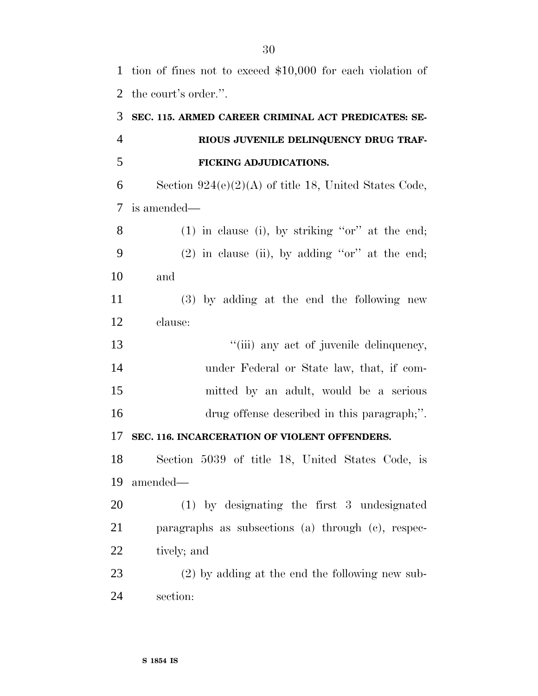# **SEC. 115. ARMED CAREER CRIMINAL ACT PREDICATES: SE- RIOUS JUVENILE DELINQUENCY DRUG TRAF- FICKING ADJUDICATIONS.** 6 Section  $924(e)(2)(A)$  of title 18, United States Code, is amended— (1) in clause (i), by striking ''or'' at the end; (2) in clause (ii), by adding ''or'' at the end;

and

 (3) by adding at the end the following new clause:

 $"$ (iii) any act of juvenile delinquency, under Federal or State law, that, if com- mitted by an adult, would be a serious drug offense described in this paragraph;''.

### **SEC. 116. INCARCERATION OF VIOLENT OFFENDERS.**

 Section 5039 of title 18, United States Code, is amended—

 (1) by designating the first 3 undesignated paragraphs as subsections (a) through (c), respec-tively; and

 (2) by adding at the end the following new sub-section: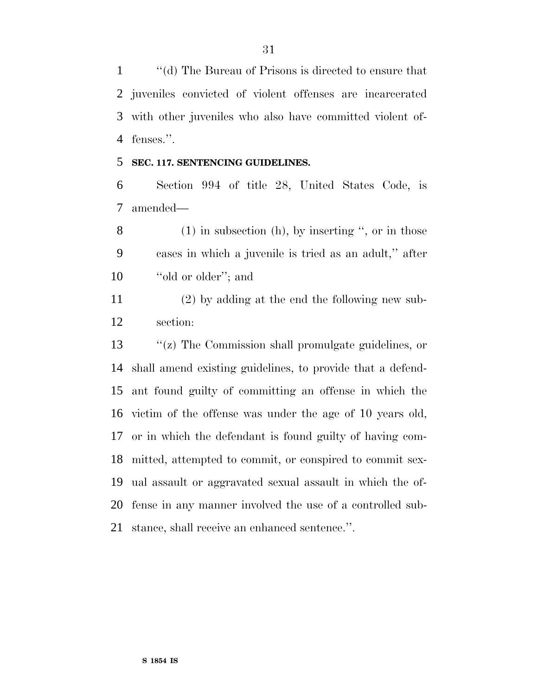''(d) The Bureau of Prisons is directed to ensure that juveniles convicted of violent offenses are incarcerated with other juveniles who also have committed violent of-fenses.''.

#### **SEC. 117. SENTENCING GUIDELINES.**

 Section 994 of title 28, United States Code, is amended—

 (1) in subsection (h), by inserting '', or in those cases in which a juvenile is tried as an adult,'' after 10 "old or older"; and

 (2) by adding at the end the following new sub-section:

 ''(z) The Commission shall promulgate guidelines, or shall amend existing guidelines, to provide that a defend- ant found guilty of committing an offense in which the victim of the offense was under the age of 10 years old, or in which the defendant is found guilty of having com- mitted, attempted to commit, or conspired to commit sex- ual assault or aggravated sexual assault in which the of- fense in any manner involved the use of a controlled sub-stance, shall receive an enhanced sentence.''.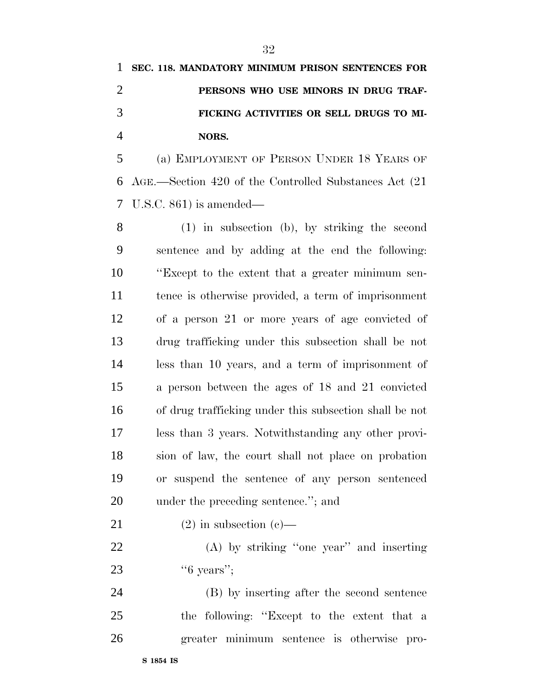|               | 1 SEC. 118. MANDATORY MINIMUM PRISON SENTENCES FOR |
|---------------|----------------------------------------------------|
|               | PERSONS WHO USE MINORS IN DRUG TRAF-               |
| $\mathcal{R}$ | FICKING ACTIVITIES OR SELL DRUGS TO MI-            |
|               | NORS.                                              |

 (a) EMPLOYMENT OF PERSON UNDER 18 YEARS OF AGE.—Section 420 of the Controlled Substances Act (21 U.S.C. 861) is amended—

 (1) in subsection (b), by striking the second sentence and by adding at the end the following: ''Except to the extent that a greater minimum sen- tence is otherwise provided, a term of imprisonment of a person 21 or more years of age convicted of drug trafficking under this subsection shall be not less than 10 years, and a term of imprisonment of a person between the ages of 18 and 21 convicted of drug trafficking under this subsection shall be not less than 3 years. Notwithstanding any other provi- sion of law, the court shall not place on probation or suspend the sentence of any person sentenced under the preceding sentence.''; and

21 (2) in subsection (c)—

 (A) by striking ''one year'' and inserting 23 '6 years'';

 (B) by inserting after the second sentence the following: ''Except to the extent that a greater minimum sentence is otherwise pro-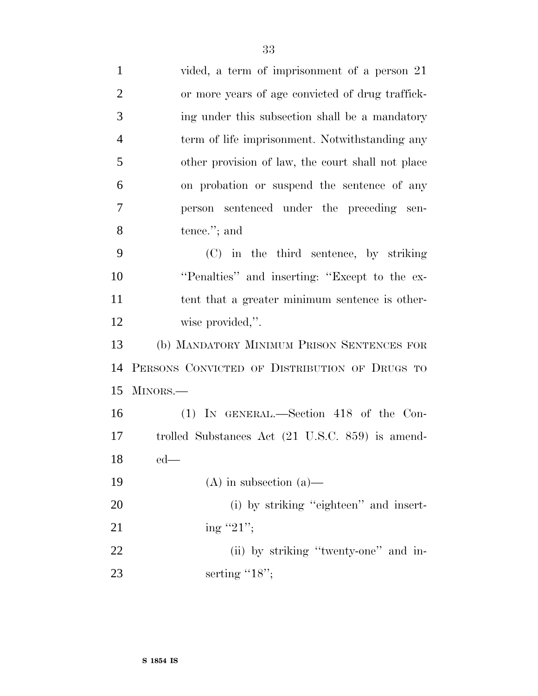| $\mathbf{1}$   | vided, a term of imprisonment of a person 21      |
|----------------|---------------------------------------------------|
| $\overline{2}$ | or more years of age convicted of drug traffick-  |
| 3              | ing under this subsection shall be a mandatory    |
| $\overline{4}$ | term of life imprisonment. Notwithstanding any    |
| 5              | other provision of law, the court shall not place |
| 6              | on probation or suspend the sentence of any       |
| $\overline{7}$ | sentenced under the preceding sen-<br>person      |
| 8              | tence."; and                                      |
| 9              | (C) in the third sentence, by striking            |
| 10             | "Penalties" and inserting: "Except to the ex-     |
| 11             | tent that a greater minimum sentence is other-    |
| 12             | wise provided,".                                  |
| 13             | (b) MANDATORY MINIMUM PRISON SENTENCES FOR        |
| 14             | PERSONS CONVICTED OF DISTRIBUTION OF DRUGS TO     |
| 15             | MINORS.                                           |
| 16             | $(1)$ In GENERAL.—Section 418 of the Con-         |
| 17             | trolled Substances Act (21 U.S.C. 859) is amend-  |
| 18             | $ed$ —                                            |
| 19             | $(A)$ in subsection $(a)$ —                       |
| 20             | (i) by striking "eighteen" and insert-            |
| 21             | ing "21";                                         |
| 22             | (ii) by striking "twenty-one" and in-             |
| 23             | serting " $18$ ";                                 |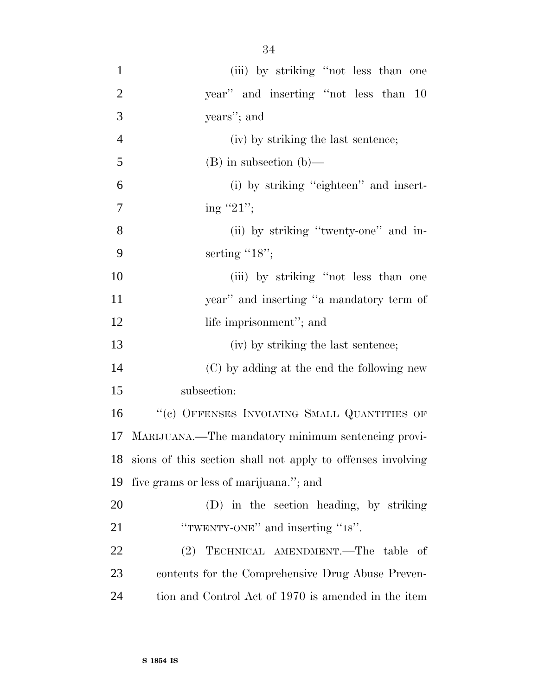| $\mathbf{1}$   | (iii) by striking "not less than one                           |
|----------------|----------------------------------------------------------------|
| $\overline{2}$ | year" and inserting "not less than 10                          |
| 3              | years"; and                                                    |
| $\overline{4}$ | (iv) by striking the last sentence;                            |
| 5              | $(B)$ in subsection $(b)$ —                                    |
| 6              | (i) by striking "eighteen" and insert-                         |
| 7              | ing "21";                                                      |
| 8              | (ii) by striking "twenty-one" and in-                          |
| 9              | serting $"18"$ ;                                               |
| 10             | (iii) by striking "not less than one                           |
| 11             | year" and inserting "a mandatory term of                       |
| 12             | life imprisonment"; and                                        |
| 13             | (iv) by striking the last sentence;                            |
| 14             | (C) by adding at the end the following new                     |
| 15             | subsection:                                                    |
| 16             | "(c) OFFENSES INVOLVING SMALL QUANTITIES OF                    |
| 17             | MARIJUANA.—The mandatory minimum sentencing provi-             |
|                | 18 sions of this section shall not apply to offenses involving |
| 19             | five grams or less of marijuana."; and                         |
| 20             | (D) in the section heading, by striking                        |
| 21             | "TWENTY-ONE" and inserting "18".                               |
| 22             | (2) TECHNICAL AMENDMENT.—The table of                          |
| 23             | contents for the Comprehensive Drug Abuse Preven-              |
| 24             | tion and Control Act of 1970 is amended in the item            |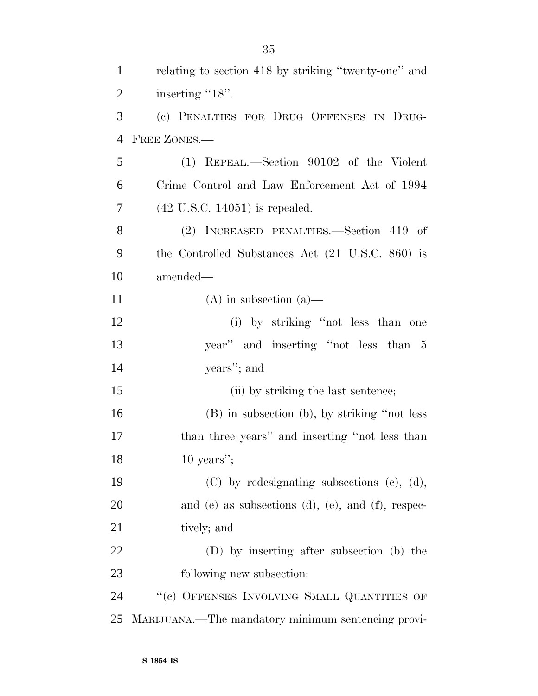| 1              | relating to section 418 by striking "twenty-one" and |
|----------------|------------------------------------------------------|
| $\overline{2}$ | inserting "18".                                      |
| 3              | (c) PENALTIES FOR DRUG OFFENSES IN DRUG-             |
| $\overline{4}$ | FREE ZONES.                                          |
| 5              | $(1)$ REPEAL.—Section 90102 of the Violent           |
| 6              | Crime Control and Law Enforcement Act of 1994        |
| 7              | $(42 \text{ U.S.C. } 14051)$ is repealed.            |
| 8              | (2) INCREASED PENALTIES.—Section 419 of              |
| 9              | the Controlled Substances Act (21 U.S.C. 860) is     |
| 10             | amended—                                             |
| 11             | $(A)$ in subsection $(a)$ —                          |
| 12             | (i) by striking "not less than one                   |
| 13             | year" and inserting "not less than 5                 |
| 14             | years"; and                                          |
| 15             | (ii) by striking the last sentence;                  |
| 16             | (B) in subsection (b), by striking "not less         |
| 17             | than three years" and inserting "not less than       |
| 18             | $10$ years";                                         |
| 19             | $(C)$ by redesignating subsections $(e)$ , $(d)$ ,   |
| 20             | and (e) as subsections (d), (e), and (f), respec-    |
| 21             | tively; and                                          |
| 22             | (D) by inserting after subsection (b) the            |
| 23             | following new subsection:                            |
| 24             | "(c) OFFENSES INVOLVING SMALL QUANTITIES OF          |
| 25             | MARIJUANA.—The mandatory minimum sentencing provi-   |

**S 1854 IS**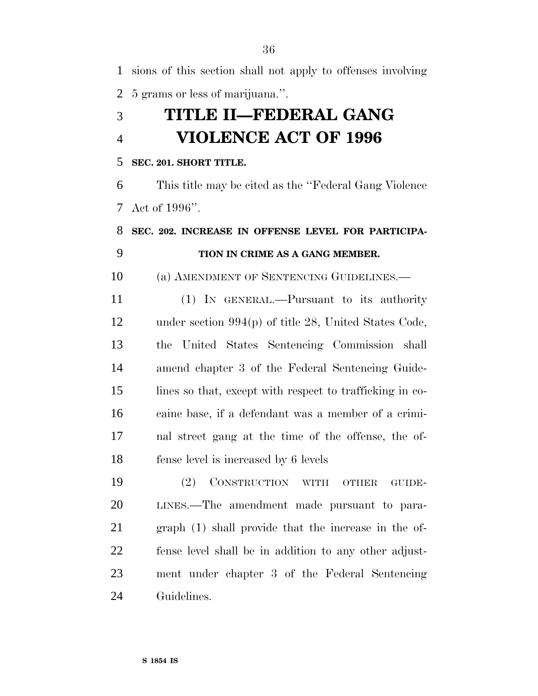sions of this section shall not apply to offenses involving 5 grams or less of marijuana.''.

# **TITLE II—FEDERAL GANG VIOLENCE ACT OF 1996**

#### **SEC. 201. SHORT TITLE.**

 This title may be cited as the ''Federal Gang Violence Act of 1996''.

## **SEC. 202. INCREASE IN OFFENSE LEVEL FOR PARTICIPA-TION IN CRIME AS A GANG MEMBER.**

(a) AMENDMENT OF SENTENCING GUIDELINES.—

 (1) IN GENERAL.—Pursuant to its authority under section 994(p) of title 28, United States Code, the United States Sentencing Commission shall amend chapter 3 of the Federal Sentencing Guide- lines so that, except with respect to trafficking in co- caine base, if a defendant was a member of a crimi- nal street gang at the time of the offense, the of-fense level is increased by 6 levels

 (2) CONSTRUCTION WITH OTHER GUIDE- LINES.—The amendment made pursuant to para- graph (1) shall provide that the increase in the of- fense level shall be in addition to any other adjust- ment under chapter 3 of the Federal Sentencing Guidelines.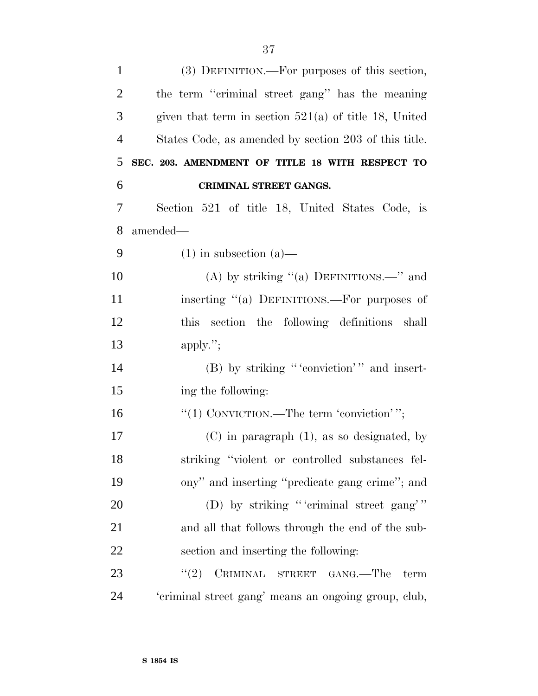| $\mathbf{1}$   | (3) DEFINITION.—For purposes of this section,           |
|----------------|---------------------------------------------------------|
| $\overline{2}$ | the term "criminal street gang" has the meaning         |
| 3              | given that term in section $521(a)$ of title 18, United |
| $\overline{4}$ | States Code, as amended by section 203 of this title.   |
| 5              | SEC. 203. AMENDMENT OF TITLE 18 WITH RESPECT TO         |
| 6              | CRIMINAL STREET GANGS.                                  |
| 7              | Section 521 of title 18, United States Code, is         |
| 8              | amended—                                                |
| 9              | $(1)$ in subsection $(a)$ —                             |
| 10             | (A) by striking "(a) DEFINITIONS.—" and                 |
| 11             | inserting "(a) DEFINITIONS.—For purposes of             |
| 12             | this section the following definitions shall            |
| 13             | apply.";                                                |
| 14             | (B) by striking "'conviction'" and insert-              |
| 15             | ing the following:                                      |
| 16             | "(1) CONVICTION.—The term 'conviction'";                |
| 17             | $(C)$ in paragraph $(1)$ , as so designated, by         |
| 18             | striking "violent or controlled substances fel-         |
| 19             | ony" and inserting "predicate gang crime"; and          |
| 20             | (D) by striking "'criminal street gang'"                |
| 21             | and all that follows through the end of the sub-        |
| <u>22</u>      | section and inserting the following:                    |
| 23             | (2)<br>CRIMINAL STREET GANG.—The<br>term                |
| 24             | 'criminal street gang' means an ongoing group, club,    |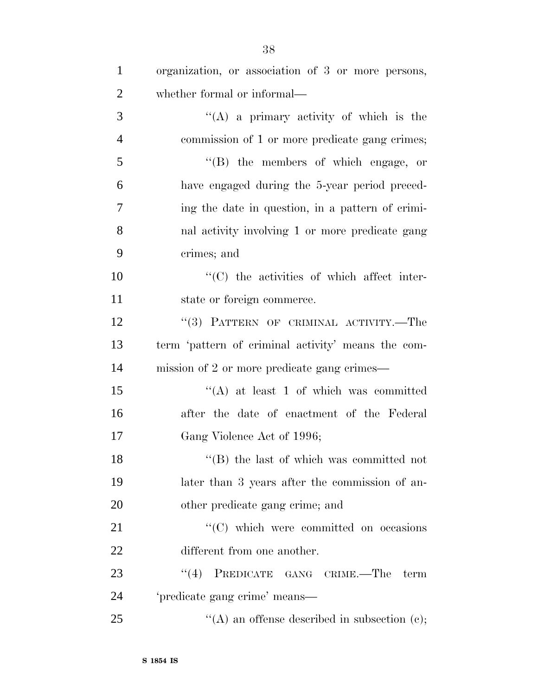| $\mathbf{1}$   | organization, or association of 3 or more persons, |
|----------------|----------------------------------------------------|
| $\overline{2}$ | whether formal or informal—                        |
| 3              | "(A) a primary activity of which is the            |
| $\overline{4}$ | commission of 1 or more predicate gang crimes;     |
| 5              | $\lq\lq$ the members of which engage, or           |
| 6              | have engaged during the 5-year period preced-      |
| 7              | ing the date in question, in a pattern of crimi-   |
| 8              | nal activity involving 1 or more predicate gang    |
| 9              | crimes; and                                        |
| 10             | $\lq\lq$ (C) the activities of which affect inter- |
| 11             | state or foreign commerce.                         |
| 12             | "(3) PATTERN OF CRIMINAL ACTIVITY.—The             |
| 13             | term 'pattern of criminal activity' means the com- |
| 14             | mission of 2 or more predicate gang crimes—        |
| 15             | $\lq\lq$ at least 1 of which was committed         |
| 16             | after the date of enactment of the Federal         |
| 17             | Gang Violence Act of 1996;                         |
| 18             | $\lq\lq$ the last of which was committed not       |
| 19             | later than 3 years after the commission of an-     |
| 20             | other predicate gang crime; and                    |
| 21             | $\lq\lq$ (C) which were committed on occasions     |
| 22             | different from one another.                        |
| 23             | (4)<br>PREDICATE GANG CRIME.—The term              |
| 24             | 'predicate gang crime' means—                      |
| 25             | "(A) an offense described in subsection $(e)$ ;    |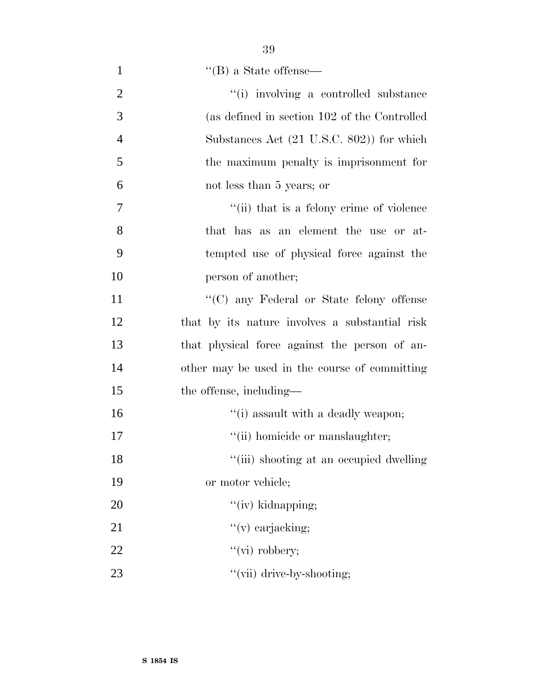| $\mathbf{1}$   | $\lq\lq (B)$ a State of<br>fense—              |
|----------------|------------------------------------------------|
| $\overline{2}$ | "(i) involving a controlled substance          |
| 3              | (as defined in section 102 of the Controlled   |
| $\overline{4}$ | Substances Act (21 U.S.C. 802)) for which      |
| 5              | the maximum penalty is imprisonment for        |
| 6              | not less than 5 years; or                      |
| $\overline{7}$ | "(ii) that is a felony crime of violence       |
| 8              | that has as an element the use or at-          |
| 9              | tempted use of physical force against the      |
| 10             | person of another;                             |
| 11             | "(C) any Federal or State felony offense       |
| 12             | that by its nature involves a substantial risk |
| 13             | that physical force against the person of an-  |
| 14             | other may be used in the course of committing  |
| 15             | the offense, including—                        |
| 16             | "(i) assault with a deadly weapon;             |
| 17             | "(ii) homicide or manslaughter;                |
| 18             | "(iii) shooting at an occupied dwelling        |
| 19             | or motor vehicle;                              |
| 20             | $"$ (iv) kidnapping;                           |
| 21             | $\lq\lq$ (v) carjacking;                       |
| 22             | "(vi) robbery;                                 |
| 23             | "(vii) drive-by-shooting;                      |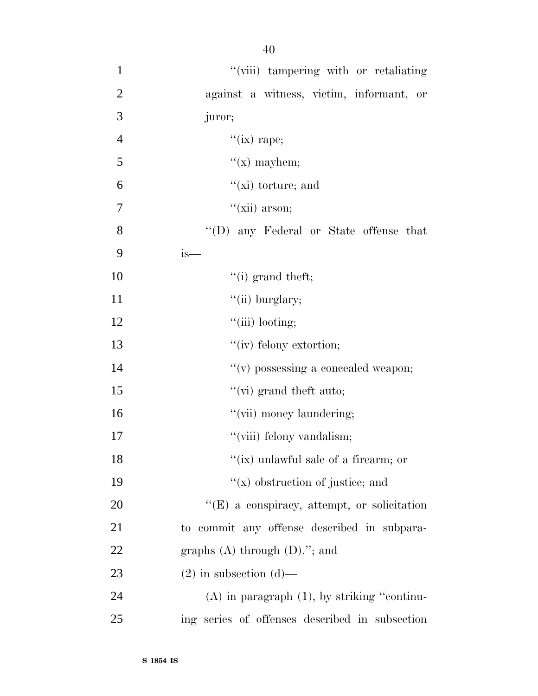| $\mathbf{1}$   | "(viii) tampering with or retaliating            |
|----------------|--------------------------------------------------|
| $\mathbf{2}$   | against a witness, victim, informant, or         |
| 3              | juror;                                           |
| $\overline{4}$ | "(ix) rape;                                      |
| 5              | $f(x)$ mayhem;                                   |
| 6              | $\lq\lq$ (xi) torture; and                       |
| 7              | $``(xii)$ arson;                                 |
| 8              | "(D) any Federal or State offense that           |
| 9              | $is-$                                            |
| 10             | $``(i)$ grand theft;                             |
| 11             | $``(ii)$ burglary;                               |
| 12             | $``$ (iii) looting;                              |
| 13             | "(iv) felony extortion;                          |
| 14             | "(v) possessing a concealed weapon;              |
| 15             | $``$ (vi) grand theft auto;                      |
| 16             | "(vii) money laundering;                         |
| 17             | "(viii) felony vandalism;                        |
| 18             | "(ix) unlawful sale of a firearm; or             |
| 19             | $f(x)$ obstruction of justice; and               |
| 20             | "(E) a conspiracy, attempt, or solicitation      |
| 21             | to commit any offense described in subpara-      |
| 22             | graphs $(A)$ through $(D)$ ."; and               |
| 23             | $(2)$ in subsection $(d)$ —                      |
| 24             | $(A)$ in paragraph $(1)$ , by striking "continu- |
| 25             | ing series of offenses described in subsection   |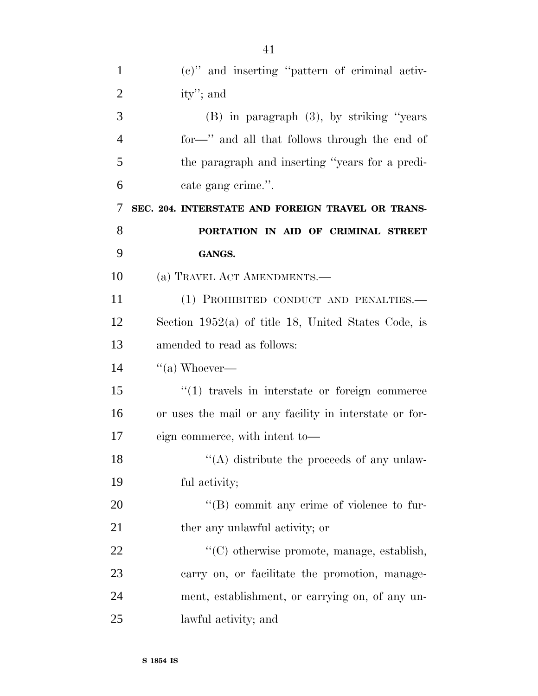| $\mathbf{1}$   | (c)" and inserting "pattern of criminal activ-         |
|----------------|--------------------------------------------------------|
| $\overline{2}$ | ity'; and                                              |
| 3              | $(B)$ in paragraph $(3)$ , by striking "years"         |
| $\overline{4}$ | for—" and all that follows through the end of          |
| 5              | the paragraph and inserting "years for a predi-        |
| 6              | cate gang crime.".                                     |
| 7              | SEC. 204. INTERSTATE AND FOREIGN TRAVEL OR TRANS-      |
| 8              | PORTATION IN AID OF CRIMINAL STREET                    |
| 9              | GANGS.                                                 |
| 10             | (a) TRAVEL ACT AMENDMENTS.—                            |
| 11             | (1) PROHIBITED CONDUCT AND PENALTIES.-                 |
| 12             | Section $1952(a)$ of title 18, United States Code, is  |
| 13             | amended to read as follows:                            |
| 14             | $\lq($ a) Whoever—                                     |
| 15             | $"(1)$ travels in interstate or foreign commerce       |
| 16             | or uses the mail or any facility in interstate or for- |
| 17             | eign commerce, with intent to-                         |
| 18             | $\lq($ A) distribute the proceeds of any unlaw-        |
| 19             | ful activity;                                          |
| 20             | $\lq\lq (B)$ commit any crime of violence to fur-      |
| 21             | ther any unlawful activity; or                         |
| 22             | "(C) otherwise promote, manage, establish,             |
| 23             | carry on, or facilitate the promotion, manage-         |
| 24             | ment, establishment, or carrying on, of any un-        |
| 25             | lawful activity; and                                   |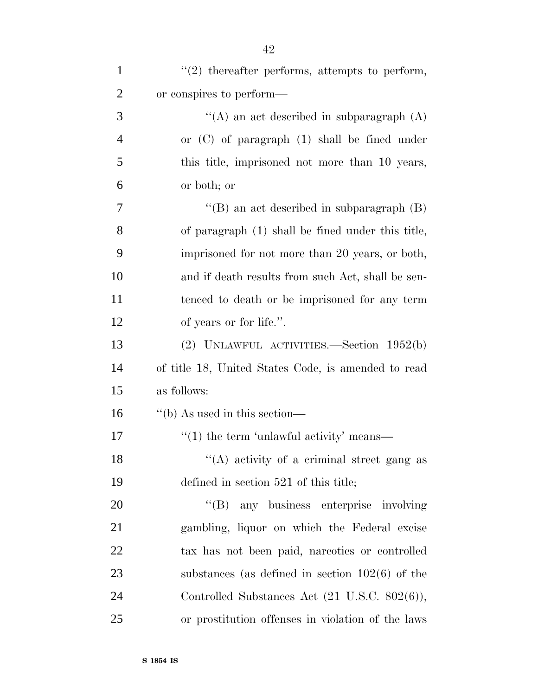| $\mathbf{1}$   | $\lq(2)$ thereafter performs, attempts to perform,       |
|----------------|----------------------------------------------------------|
| $\overline{2}$ | or conspires to perform—                                 |
| 3              | "(A) an act described in subparagraph $(A)$              |
| $\overline{4}$ | or $(C)$ of paragraph $(1)$ shall be fined under         |
| 5              | this title, imprisoned not more than 10 years,           |
| 6              | or both; or                                              |
| 7              | "(B) an act described in subparagraph $(B)$              |
| 8              | of paragraph (1) shall be fined under this title,        |
| 9              | imprisoned for not more than 20 years, or both,          |
| 10             | and if death results from such Act, shall be sen-        |
| 11             | tenced to death or be imprisoned for any term            |
| 12             | of years or for life.".                                  |
| 13             | (2) UNLAWFUL ACTIVITIES.—Section $1952(b)$               |
| 14             | of title 18, United States Code, is amended to read      |
| 15             | as follows:                                              |
| 16             | $\lq\lq(b)$ As used in this section—                     |
| 17             | $\cdot\cdot\cdot(1)$ the term 'unlawful activity' means— |
| 18             | "(A) activity of a criminal street gang as               |
| 19             | defined in section 521 of this title;                    |
| 20             | $\lq\lq (B)$<br>any business enterprise involving        |
| 21             | gambling, liquor on which the Federal excise             |
| 22             | tax has not been paid, nareotics or controlled           |
| 23             | substances (as defined in section $102(6)$ of the        |
| 24             | Controlled Substances Act (21 U.S.C. 802(6)),            |
| 25             | or prostitution of fenses in violation of the laws       |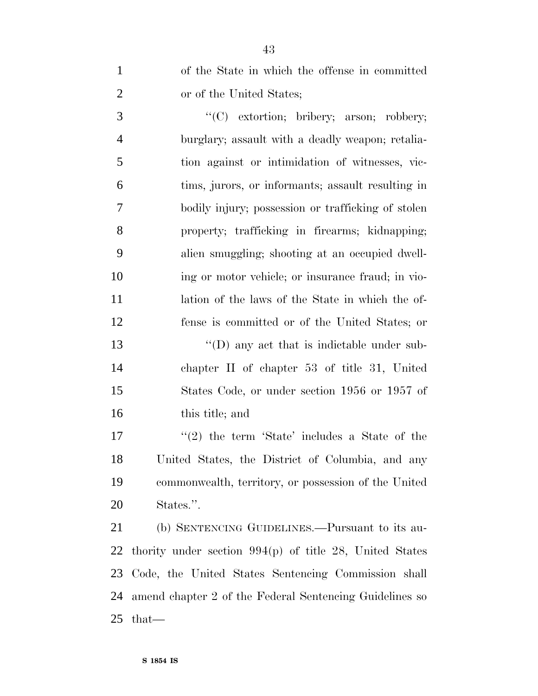of the State in which the offense in committed or of the United States;

 $\bullet$  (C) extortion; bribery; arson; robbery; burglary; assault with a deadly weapon; retalia- tion against or intimidation of witnesses, vic- tims, jurors, or informants; assault resulting in bodily injury; possession or trafficking of stolen property; trafficking in firearms; kidnapping; alien smuggling; shooting at an occupied dwell- ing or motor vehicle; or insurance fraud; in vio- lation of the laws of the State in which the of-fense is committed or of the United States; or

13 "(D) any act that is indictable under sub- chapter II of chapter 53 of title 31, United States Code, or under section 1956 or 1957 of this title; and

 ''(2) the term 'State' includes a State of the United States, the District of Columbia, and any commonwealth, territory, or possession of the United States.''.

 (b) SENTENCING GUIDELINES.—Pursuant to its au- thority under section 994(p) of title 28, United States Code, the United States Sentencing Commission shall amend chapter 2 of the Federal Sentencing Guidelines so that—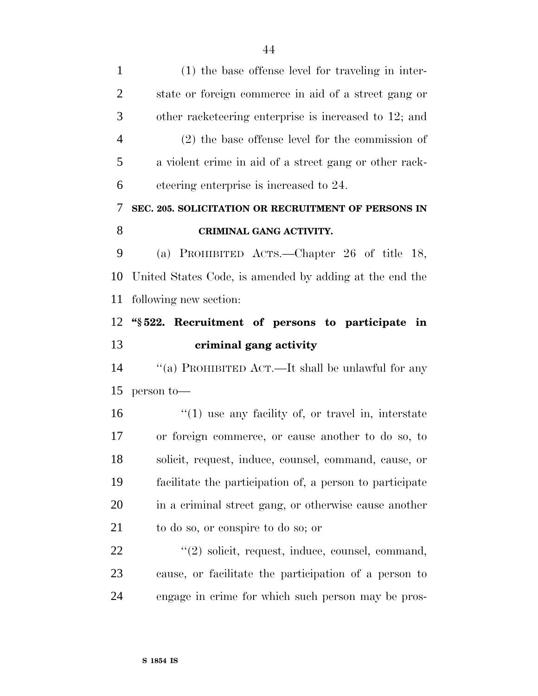(1) the base offense level for traveling in inter- state or foreign commerce in aid of a street gang or other racketeering enterprise is increased to 12; and (2) the base offense level for the commission of a violent crime in aid of a street gang or other rack- eteering enterprise is increased to 24. **SEC. 205. SOLICITATION OR RECRUITMENT OF PERSONS IN CRIMINAL GANG ACTIVITY.** (a) PROHIBITED ACTS.—Chapter 26 of title 18, United States Code, is amended by adding at the end the following new section: **''§ 522. Recruitment of persons to participate in criminal gang activity** ''(a) PROHIBITED ACT.—It shall be unlawful for any person to— 16 ''(1) use any facility of, or travel in, interstate or foreign commerce, or cause another to do so, to solicit, request, induce, counsel, command, cause, or facilitate the participation of, a person to participate in a criminal street gang, or otherwise cause another to do so, or conspire to do so; or 22 ''(2) solicit, request, induce, counsel, command, cause, or facilitate the participation of a person to engage in crime for which such person may be pros-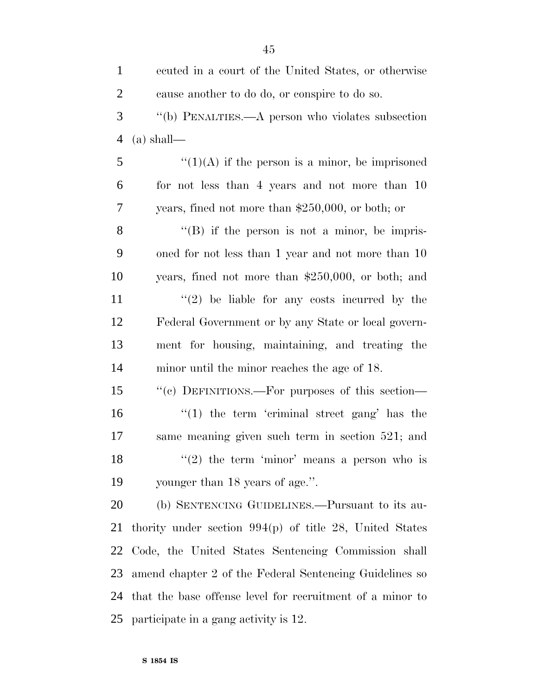| $\mathbf{1}$   | ecuted in a court of the United States, or otherwise      |
|----------------|-----------------------------------------------------------|
| $\overline{2}$ | cause another to do do, or conspire to do so.             |
| 3              | "(b) PENALTIES.—A person who violates subsection          |
| $\overline{4}$ | $(a)$ shall—                                              |
| 5              | $\lq(1)(A)$ if the person is a minor, be imprisoned       |
| 6              | for not less than 4 years and not more than 10            |
| 7              | years, fined not more than $$250,000$ , or both; or       |
| 8              | $\lq\lq (B)$ if the person is not a minor, be impris-     |
| 9              | oned for not less than 1 year and not more than 10        |
| 10             | years, fined not more than \$250,000, or both; and        |
| 11             | $\lq(2)$ be liable for any costs incurred by the          |
| 12             | Federal Government or by any State or local govern-       |
| 13             | ment for housing, maintaining, and treating the           |
| 14             | minor until the minor reaches the age of 18.              |
| 15             | "(c) DEFINITIONS.—For purposes of this section—           |
| 16             | $\lq(1)$ the term 'criminal street gang' has the          |
| 17             | same meaning given such term in section 521; and          |
| 18             | "(2) the term 'minor' means a person who is               |
| 19             | younger than 18 years of age.".                           |
| 20             | (b) SENTENCING GUIDELINES.—Pursuant to its au-            |
| 21             | thority under section $994(p)$ of title 28, United States |
| 22             | Code, the United States Sentencing Commission shall       |
| 23             | amend chapter 2 of the Federal Sentencing Guidelines so   |
| 24             | that the base offense level for recruitment of a minor to |
| 25             | participate in a gang activity is 12.                     |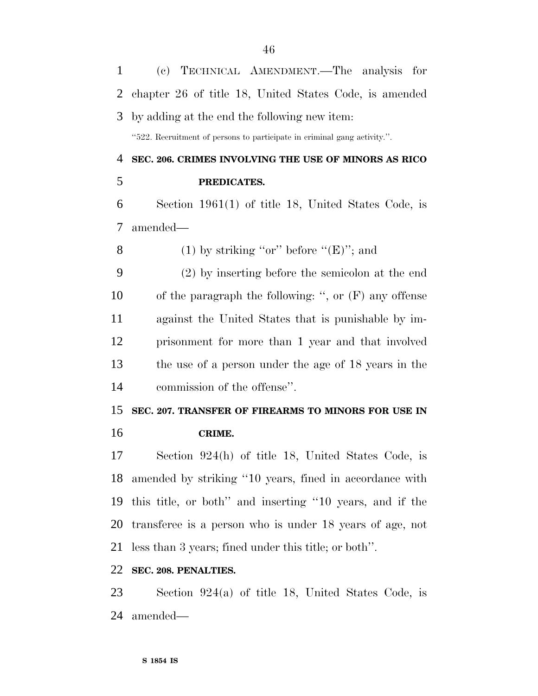| $\mathbf{1}$ | (c) TECHNICAL AMENDMENT.—The analysis for                                |
|--------------|--------------------------------------------------------------------------|
| 2            | chapter 26 of title 18, United States Code, is amended                   |
| 3            | by adding at the end the following new item:                             |
|              | "522. Recruitment of persons to participate in criminal gang activity.". |
| 4            | SEC. 206. CRIMES INVOLVING THE USE OF MINORS AS RICO                     |
| 5            | PREDICATES.                                                              |
| 6            | Section $1961(1)$ of title 18, United States Code, is                    |
| 7            | amended—                                                                 |
| 8            | (1) by striking "or" before " $(E)$ "; and                               |
| 9            | $(2)$ by inserting before the semicolon at the end                       |
| 10           | of the paragraph the following: ", or $(F)$ any offense                  |
| 11           | against the United States that is punishable by im-                      |
| 12           | prisonment for more than 1 year and that involved                        |
| 13           | the use of a person under the age of 18 years in the                     |
| 14           | commission of the offense".                                              |
| 15           | SEC. 207. TRANSFER OF FIREARMS TO MINORS FOR USE IN                      |
| 16           | CRIME.                                                                   |
| 17           | Section 924(h) of title 18, United States Code, is                       |
| 18           | amended by striking "10 years, fined in accordance with                  |
| 19           | this title, or both" and inserting "10 years, and if the                 |
| 20           | transferee is a person who is under 18 years of age, not                 |
| 21           | less than 3 years; fined under this title; or both".                     |
| 22           | SEC. 208. PENALTIES.                                                     |
| 23           | Section $924(a)$ of title 18, United States Code, is                     |
| 24           | amended—                                                                 |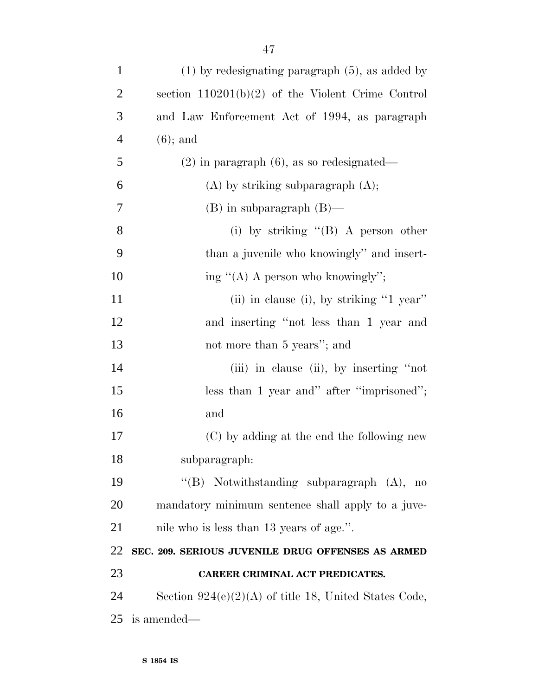| $\mathbf{1}$   | $(1)$ by redesignating paragraph $(5)$ , as added by    |
|----------------|---------------------------------------------------------|
| $\overline{2}$ | section $110201(b)(2)$ of the Violent Crime Control     |
| 3              | and Law Enforcement Act of 1994, as paragraph           |
| $\overline{4}$ | $(6)$ ; and                                             |
| 5              | $(2)$ in paragraph $(6)$ , as so redesignated—          |
| 6              | $(A)$ by striking subparagraph $(A)$ ;                  |
| 7              | $(B)$ in subparagraph $(B)$ —                           |
| 8              | (i) by striking $\lq\lq (B)$ A person other             |
| 9              | than a juvenile who knowingly" and insert-              |
| 10             | ing " $(A)$ A person who knowingly";                    |
| 11             | (ii) in clause (i), by striking "1 year"                |
| 12             | and inserting "not less than 1 year and                 |
| 13             | not more than 5 years"; and                             |
| 14             | (iii) in clause (ii), by inserting "not                 |
| 15             | less than 1 year and" after "imprisoned";               |
| 16             | and                                                     |
| 17             | (C) by adding at the end the following new              |
| 18             | subparagraph:                                           |
| 19             | "(B) Notwithstanding subparagraph $(A)$ , no            |
| 20             | mandatory minimum sentence shall apply to a juve-       |
| 21             | nile who is less than 13 years of age.".                |
| 22             | SEC. 209. SERIOUS JUVENILE DRUG OFFENSES AS ARMED       |
| 23             | CAREER CRIMINAL ACT PREDICATES.                         |
| 24             | Section $924(e)(2)(A)$ of title 18, United States Code, |
| 25             | is amended—                                             |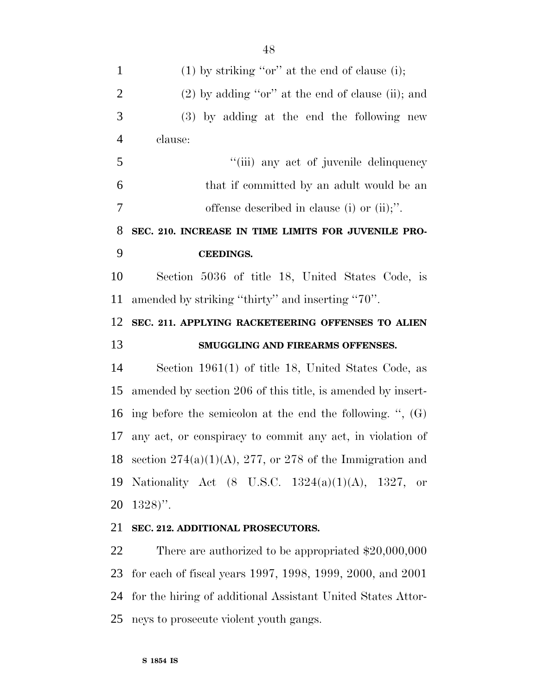1 (1) by striking "or" at the end of clause (i); 2 (2) by adding "or" at the end of clause (ii); and (3) by adding at the end the following new clause: ''(iii) any act of juvenile delinquency that if committed by an adult would be an offense described in clause (i) or (ii);''. **SEC. 210. INCREASE IN TIME LIMITS FOR JUVENILE PRO- CEEDINGS.** Section 5036 of title 18, United States Code, is amended by striking ''thirty'' and inserting ''70''. **SEC. 211. APPLYING RACKETEERING OFFENSES TO ALIEN SMUGGLING AND FIREARMS OFFENSES.** Section 1961(1) of title 18, United States Code, as amended by section 206 of this title, is amended by insert- ing before the semicolon at the end the following. '', (G) any act, or conspiracy to commit any act, in violation of 18 section  $274(a)(1)(A)$ , 277, or 278 of the Immigration and Nationality Act (8 U.S.C. 1324(a)(1)(A), 1327, or 1328)''. **SEC. 212. ADDITIONAL PROSECUTORS.** There are authorized to be appropriated \$20,000,000

 for each of fiscal years 1997, 1998, 1999, 2000, and 2001 for the hiring of additional Assistant United States Attor-neys to prosecute violent youth gangs.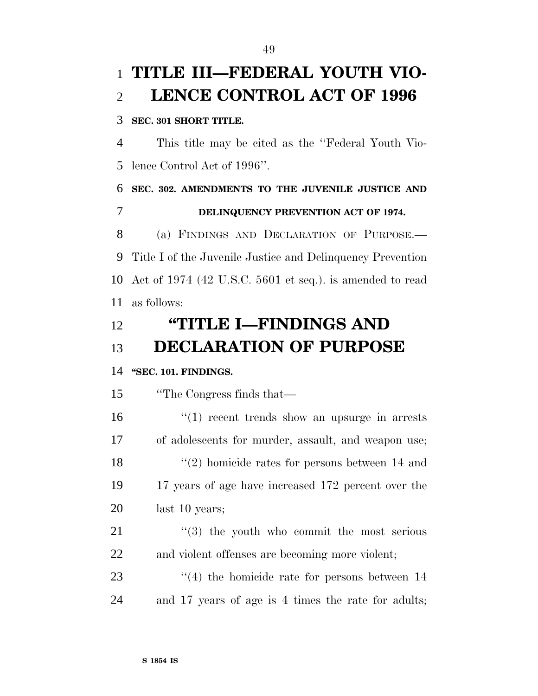## **TITLE III—FEDERAL YOUTH VIO-LENCE CONTROL ACT OF 1996**

#### **SEC. 301 SHORT TITLE.**

 This title may be cited as the ''Federal Youth Vio-lence Control Act of 1996''.

 **SEC. 302. AMENDMENTS TO THE JUVENILE JUSTICE AND DELINQUENCY PREVENTION ACT OF 1974.** (a) FINDINGS AND DECLARATION OF PURPOSE.—

 Title I of the Juvenile Justice and Delinquency Prevention Act of 1974 (42 U.S.C. 5601 et seq.). is amended to read as follows:

# **''TITLE I—FINDINGS AND DECLARATION OF PURPOSE**

### **''SEC. 101. FINDINGS.**

''The Congress finds that—

16 ''(1) recent trends show an upsurge in arrests of adolescents for murder, assault, and weapon use; 18 ''(2) homicide rates for persons between 14 and 17 years of age have increased 172 percent over the last 10 years;

 "(3) the youth who commit the most serious and violent offenses are becoming more violent;

23  $\frac{4}{4}$  the homicide rate for persons between 14 and 17 years of age is 4 times the rate for adults;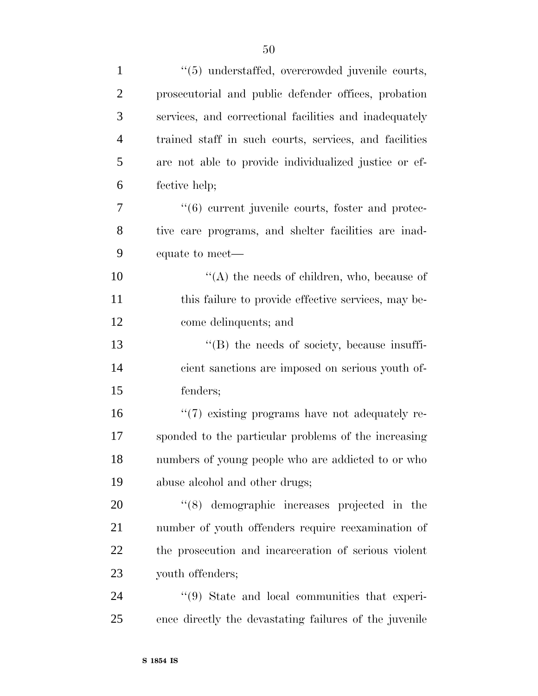| $\mathbf{1}$   | "(5) understaffed, overcrowded juvenile courts,               |
|----------------|---------------------------------------------------------------|
| $\overline{2}$ | prosecutorial and public defender offices, probation          |
| 3              | services, and correctional facilities and inadequately        |
| $\overline{4}$ | trained staff in such courts, services, and facilities        |
| 5              | are not able to provide individualized justice or ef-         |
| 6              | fective help;                                                 |
| 7              | "(6) current juvenile courts, foster and protec-              |
| 8              | tive care programs, and shelter facilities are inad-          |
| 9              | equate to meet—                                               |
| 10             | " $(A)$ the needs of children, who, because of                |
| 11             | this failure to provide effective services, may be-           |
| 12             | come delinquents; and                                         |
| 13             | $\lq\lq (B)$ the needs of society, because insuffi-           |
| 14             | cient sanctions are imposed on serious youth of-              |
| 15             | fenders;                                                      |
| 16             | $\lq(7)$ existing programs have not adequately re-            |
| 17             | sponded to the particular problems of the increasing          |
| 18             | numbers of young people who are addicted to or who            |
| 19             | abuse alcohol and other drugs;                                |
| 20             | $(8)$ demographic increases projected in the                  |
| 21             | number of youth offenders require reexamination of            |
| 22             | the prosecution and incarceration of serious violent          |
| 23             | youth offenders;                                              |
| 24             | $\cdot\cdot\cdot(9)$ State and local communities that experi- |
| 25             | ence directly the devastating failures of the juvenile        |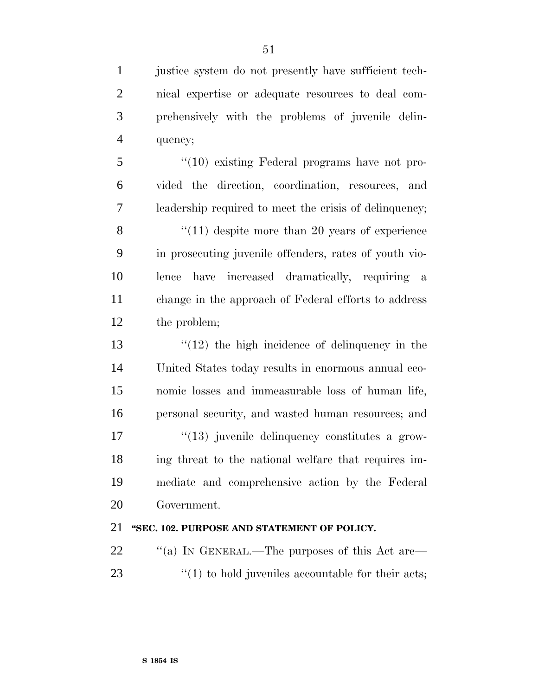justice system do not presently have sufficient tech- nical expertise or adequate resources to deal com- prehensively with the problems of juvenile delin-quency;

 ''(10) existing Federal programs have not pro- vided the direction, coordination, resources, and leadership required to meet the crisis of delinquency;

8 ''(11) despite more than 20 years of experience in prosecuting juvenile offenders, rates of youth vio- lence have increased dramatically, requiring a change in the approach of Federal efforts to address the problem;

 ''(12) the high incidence of delinquency in the United States today results in enormous annual eco- nomic losses and immeasurable loss of human life, personal security, and wasted human resources; and  $\frac{1}{2}$  (13) juvenile delinquency constitutes a grow- ing threat to the national welfare that requires im- mediate and comprehensive action by the Federal Government.

### **''SEC. 102. PURPOSE AND STATEMENT OF POLICY.**

22  $\cdot$  "(a) In GENERAL.—The purposes of this Act are— 23  $\frac{1}{2}$  (1) to hold juveniles accountable for their acts;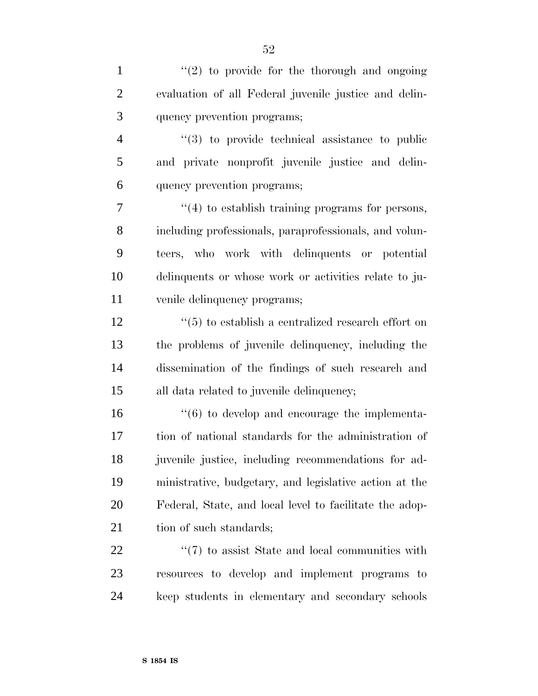1  $\frac{1}{2}$  to provide for the thorough and ongoing evaluation of all Federal juvenile justice and delin-quency prevention programs;

 ''(3) to provide technical assistance to public and private nonprofit juvenile justice and delin-quency prevention programs;

 $\frac{4}{4}$  to establish training programs for persons, including professionals, paraprofessionals, and volun- teers, who work with delinquents or potential delinquents or whose work or activities relate to ju-venile delinquency programs;

 $\frac{12}{12}$  ''(5) to establish a centralized research effort on the problems of juvenile delinquency, including the dissemination of the findings of such research and all data related to juvenile delinquency;

 $\frac{16}{16}$  to develop and encourage the implementa- tion of national standards for the administration of juvenile justice, including recommendations for ad- ministrative, budgetary, and legislative action at the Federal, State, and local level to facilitate the adop-21 tion of such standards;

22  $\frac{1}{2}$  (7) to assist State and local communities with resources to develop and implement programs to keep students in elementary and secondary schools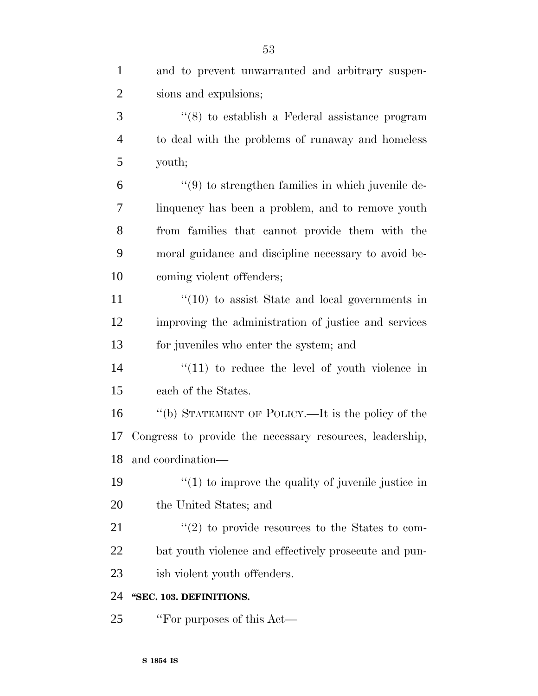| $\mathbf{1}$   | and to prevent unwarranted and arbitrary suspen-         |
|----------------|----------------------------------------------------------|
| $\overline{2}$ | sions and expulsions;                                    |
| 3              | $\cdot$ (8) to establish a Federal assistance program    |
| $\overline{4}$ | to deal with the problems of runaway and homeless        |
| 5              | youth;                                                   |
| 6              | $\lq(9)$ to strengthen families in which juvenile de-    |
| 7              | linquency has been a problem, and to remove youth        |
| 8              | from families that cannot provide them with the          |
| 9              | moral guidance and discipline necessary to avoid be-     |
| 10             | coming violent offenders;                                |
| 11             | $\degree$ (10) to assist State and local governments in  |
| 12             | improving the administration of justice and services     |
| 13             | for juveniles who enter the system; and                  |
| 14             | $\lq(11)$ to reduce the level of youth violence in       |
| 15             | each of the States.                                      |
| 16             | "(b) STATEMENT OF POLICY.—It is the policy of the        |
| 17             | Congress to provide the necessary resources, leadership, |
| 18             | and coordination—                                        |
| 19             | $\lq(1)$ to improve the quality of juvenile justice in   |
| 20             | the United States; and                                   |
| 21             | $\lq(2)$ to provide resources to the States to com-      |
| 22             | bat youth violence and effectively prosecute and pun-    |
| 23             | ish violent youth offenders.                             |
| 24             | "SEC. 103. DEFINITIONS.                                  |
| 25             | "For purposes of this Act—                               |
|                |                                                          |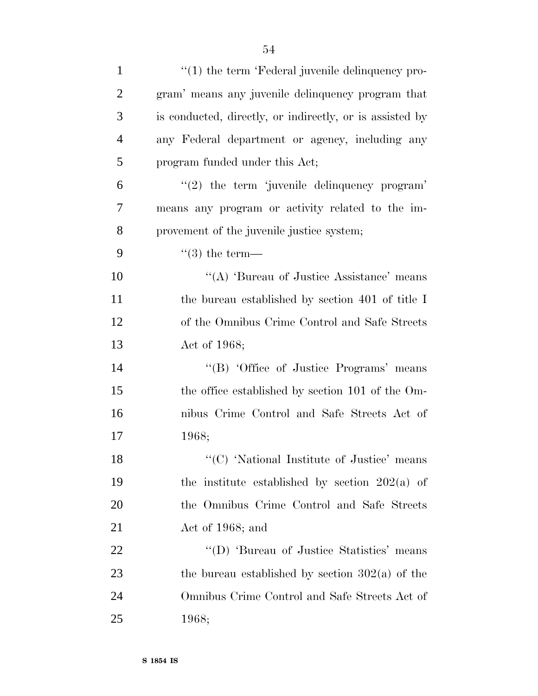| $\mathbf{1}$   | "(1) the term 'Federal juvenile delinquency pro-         |
|----------------|----------------------------------------------------------|
| $\overline{2}$ | gram' means any juvenile delinquency program that        |
| 3              | is conducted, directly, or indirectly, or is assisted by |
| $\overline{4}$ | any Federal department or agency, including any          |
| 5              | program funded under this Act;                           |
| 6              | $\lq(2)$ the term 'juvenile delinquency program'         |
| 7              | means any program or activity related to the im-         |
| 8              | provement of the juvenile justice system;                |
| 9              | $\lq(3)$ the term—                                       |
| 10             | "(A) 'Bureau of Justice Assistance' means                |
| 11             | the bureau established by section 401 of title I         |
| 12             | of the Omnibus Crime Control and Safe Streets            |
| 13             | Act of 1968;                                             |
| 14             | "(B) 'Office of Justice Programs' means                  |
| 15             | the office established by section 101 of the Om-         |
| 16             | nibus Crime Control and Safe Streets Act of              |
| 17             | 1968;                                                    |
| 18             | "(C) 'National Institute of Justice' means               |
| 19             | the institute established by section $202(a)$ of         |
| 20             | the Omnibus Crime Control and Safe Streets               |
| 21             | Act of 1968; and                                         |
| 22             | "(D) 'Bureau of Justice Statistics' means                |
| 23             | the bureau established by section $302(a)$ of the        |
| 24             | Omnibus Crime Control and Safe Streets Act of            |
| 25             | 1968;                                                    |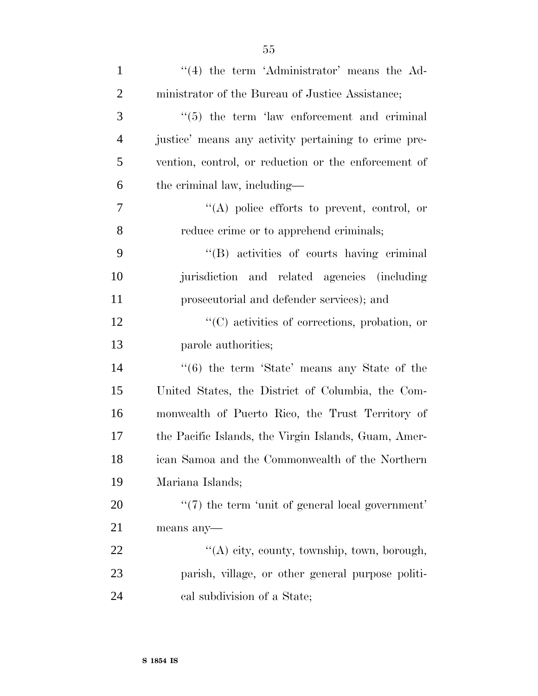| $\mathbf{1}$   | $\lq(4)$ the term 'Administrator' means the Ad-          |
|----------------|----------------------------------------------------------|
| $\overline{2}$ | ministrator of the Bureau of Justice Assistance;         |
| 3              | $\cdot\cdot$ (5) the term 'law enforcement and criminal  |
| $\overline{4}$ | justice' means any activity pertaining to crime pre-     |
| 5              | vention, control, or reduction or the enforcement of     |
| 6              | the criminal law, including—                             |
| 7              | $\lq\lq$ police efforts to prevent, control, or          |
| 8              | reduce crime or to apprehend criminals;                  |
| 9              | "(B) activities of courts having criminal                |
| 10             | jurisdiction and related agencies (including             |
| 11             | prosecutorial and defender services); and                |
| 12             | $\lq\lq$ (C) activities of corrections, probation, or    |
| 13             | parole authorities;                                      |
| 14             | $\cdot\cdot$ (6) the term 'State' means any State of the |
| 15             | United States, the District of Columbia, the Com-        |
| 16             | monwealth of Puerto Rico, the Trust Territory of         |
| 17             | the Pacific Islands, the Virgin Islands, Guam, Amer-     |
| 18             | ican Samoa and the Commonwealth of the Northern          |
| 19             | Mariana Islands;                                         |
| 20             | $\lq(7)$ the term 'unit of general local government'     |
| 21             | means any-                                               |
| 22             | "(A) city, county, township, town, borough,              |
| 23             | parish, village, or other general purpose politi-        |
| 24             | cal subdivision of a State;                              |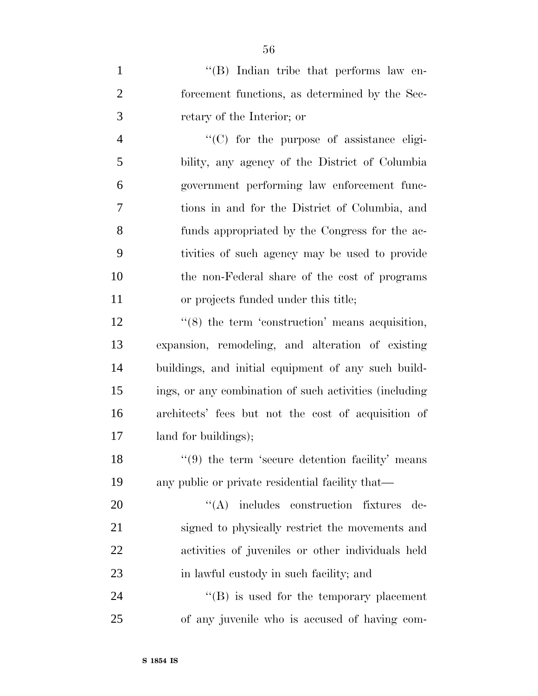1 ''(B) Indian tribe that performs law en- forcement functions, as determined by the Sec-retary of the Interior; or

 ''(C) for the purpose of assistance eligi- bility, any agency of the District of Columbia government performing law enforcement func- tions in and for the District of Columbia, and funds appropriated by the Congress for the ac- tivities of such agency may be used to provide the non-Federal share of the cost of programs or projects funded under this title;

12 ''(8) the term 'construction' means acquisition, expansion, remodeling, and alteration of existing buildings, and initial equipment of any such build- ings, or any combination of such activities (including architects' fees but not the cost of acquisition of land for buildings);

18 ''(9) the term 'secure detention facility' means any public or private residential facility that—

 $((A)$  includes construction fixtures de- signed to physically restrict the movements and activities of juveniles or other individuals held in lawful custody in such facility; and

24 ''(B) is used for the temporary placement of any juvenile who is accused of having com-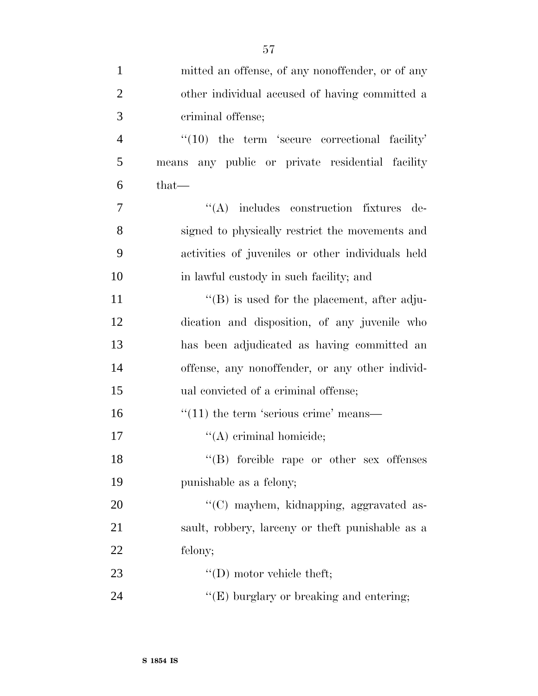| $\mathbf{1}$   | mitted an offense, of any nonoffender, or of any    |
|----------------|-----------------------------------------------------|
| $\overline{2}$ | other individual accused of having committed a      |
| 3              | criminal offense;                                   |
| $\overline{4}$ | $\lq(10)$ the term 'secure correctional facility'   |
| 5              | means any public or private residential facility    |
| 6              | $that-$                                             |
| 7              | "(A) includes construction fixtures de-             |
| 8              | signed to physically restrict the movements and     |
| 9              | activities of juveniles or other individuals held   |
| 10             | in lawful custody in such facility; and             |
| 11             | $\lq\lq (B)$ is used for the placement, after adju- |
| 12             | dication and disposition, of any juvenile who       |
| 13             | has been adjudicated as having committed an         |
| 14             | offense, any nonoffender, or any other individ-     |
| 15             | ual convicted of a criminal offense;                |
| 16             | $\cdot\cdot(11)$ the term 'serious crime' means—    |
| 17             | $\lq\lq$ (A) criminal homicide;                     |
| 18             | "(B) forcible rape or other sex offenses            |
| 19             | punishable as a felony;                             |
| 20             | "(C) mayhem, kidnapping, aggravated as-             |
| 21             | sault, robbery, lareeny or theft punishable as a    |
| 22             | felony;                                             |
| 23             | $\lq\lq$ (D) motor vehicle theft;                   |
| 24             | " $(E)$ burglary or breaking and entering;          |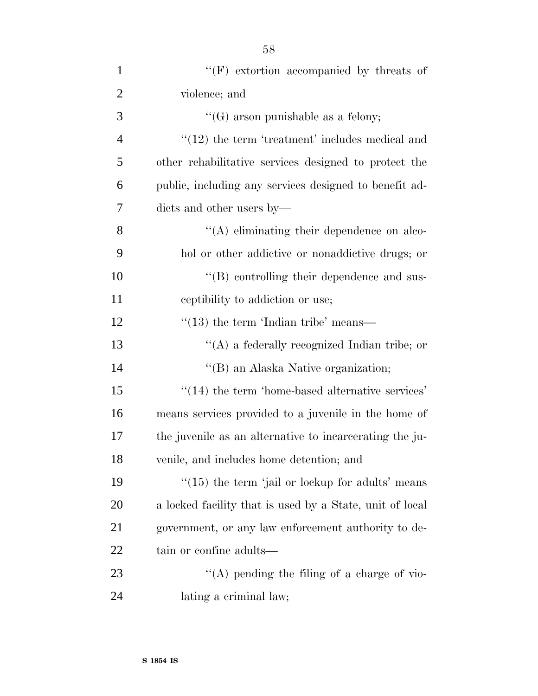| $\mathbf{1}$   | $\lq\lq(F)$ extortion accompanied by threats of          |
|----------------|----------------------------------------------------------|
| $\overline{2}$ | violence; and                                            |
| 3              | $\lq\lq(G)$ arson punishable as a felony;                |
| $\overline{4}$ | $"(12)$ the term 'treatment' includes medical and        |
| 5              | other rehabilitative services designed to protect the    |
| 6              | public, including any services designed to benefit ad-   |
| 7              | dicts and other users by—                                |
| 8              | "(A) eliminating their dependence on alco-               |
| 9              | hol or other addictive or nonaddictive drugs; or         |
| 10             | "(B) controlling their dependence and sus-               |
| 11             | equiption or use;                                        |
| 12             | $\cdot$ (13) the term 'Indian tribe' means—              |
| 13             | "(A) a federally recognized Indian tribe; or             |
| 14             | "(B) an Alaska Native organization;                      |
| 15             | $\cdot$ (14) the term 'home-based alternative services'  |
| 16             | means services provided to a juvenile in the home of     |
| 17             | the juvenile as an alternative to incarcerating the ju-  |
| 18             | venile, and includes home detention; and                 |
| 19             | $\lq(15)$ the term 'jail or lockup for adults' means     |
| 20             | a locked facility that is used by a State, unit of local |
| 21             | government, or any law enforcement authority to de-      |
| 22             | tain or confine adults—                                  |
| 23             | "(A) pending the filing of a charge of vio-              |
| 24             | lating a criminal law;                                   |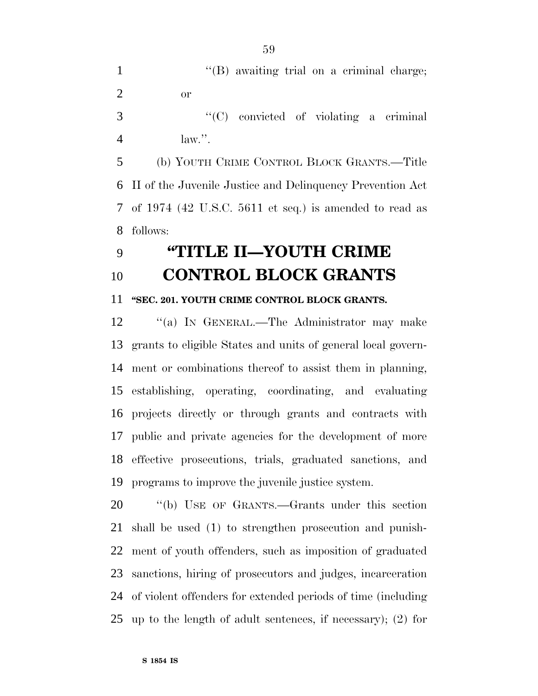1 ''(B) awaiting trial on a criminal charge; or

 ''(C) convicted of violating a criminal  $4 \quad \text{law.}$ ".

 (b) YOUTH CRIME CONTROL BLOCK GRANTS.—Title II of the Juvenile Justice and Delinquency Prevention Act of 1974 (42 U.S.C. 5611 et seq.) is amended to read as follows:

## **''TITLE II—YOUTH CRIME CONTROL BLOCK GRANTS**

#### **''SEC. 201. YOUTH CRIME CONTROL BLOCK GRANTS.**

12 "(a) IN GENERAL.—The Administrator may make grants to eligible States and units of general local govern- ment or combinations thereof to assist them in planning, establishing, operating, coordinating, and evaluating projects directly or through grants and contracts with public and private agencies for the development of more effective prosecutions, trials, graduated sanctions, and programs to improve the juvenile justice system.

 ''(b) USE OF GRANTS.—Grants under this section shall be used (1) to strengthen prosecution and punish- ment of youth offenders, such as imposition of graduated sanctions, hiring of prosecutors and judges, incarceration of violent offenders for extended periods of time (including up to the length of adult sentences, if necessary); (2) for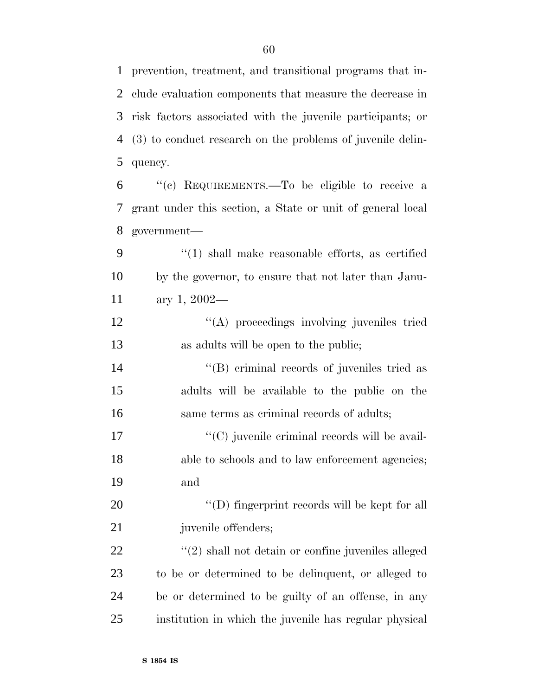prevention, treatment, and transitional programs that in- clude evaluation components that measure the decrease in risk factors associated with the juvenile participants; or (3) to conduct research on the problems of juvenile delin-quency.

 ''(c) REQUIREMENTS.—To be eligible to receive a grant under this section, a State or unit of general local government—

 ''(1) shall make reasonable efforts, as certified by the governor, to ensure that not later than Janu-ary 1, 2002—

12 "(A) proceedings involving juveniles tried as adults will be open to the public;

14  $\langle$  (B) criminal records of juveniles tried as adults will be available to the public on the same terms as criminal records of adults;

17  $C(C)$  juvenile criminal records will be avail-18 able to schools and to law enforcement agencies; and

20  $\text{``(D) fingerprint records will be kept for all}$ 21 juvenile offenders;

22 ''(2) shall not detain or confine juveniles alleged to be or determined to be delinquent, or alleged to be or determined to be guilty of an offense, in any institution in which the juvenile has regular physical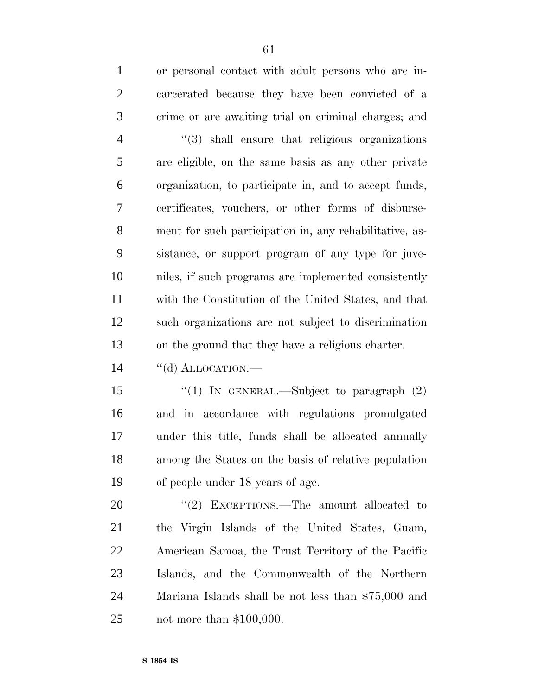| $\mathbf{1}$   | or personal contact with adult persons who are in-      |
|----------------|---------------------------------------------------------|
| $\overline{2}$ | carcerated because they have been convicted of a        |
| 3              | crime or are awaiting trial on criminal charges; and    |
| $\overline{4}$ | $\lq(3)$ shall ensure that religious organizations      |
| 5              | are eligible, on the same basis as any other private    |
| 6              | organization, to participate in, and to accept funds,   |
| $\overline{7}$ | certificates, vouchers, or other forms of disburse-     |
| 8              | ment for such participation in, any rehabilitative, as- |
| 9              | sistance, or support program of any type for juve-      |
| 10             | niles, if such programs are implemented consistently    |
| 11             | with the Constitution of the United States, and that    |
| 12             | such organizations are not subject to discrimination    |
| 13             | on the ground that they have a religious charter.       |
|                |                                                         |

14 "(d) ALLOCATION.—

15 "(1) In GENERAL.—Subject to paragraph (2) and in accordance with regulations promulgated under this title, funds shall be allocated annually among the States on the basis of relative population of people under 18 years of age.

20 "'(2) EXCEPTIONS.—The amount allocated to the Virgin Islands of the United States, Guam, American Samoa, the Trust Territory of the Pacific Islands, and the Commonwealth of the Northern Mariana Islands shall be not less than \$75,000 and not more than \$100,000.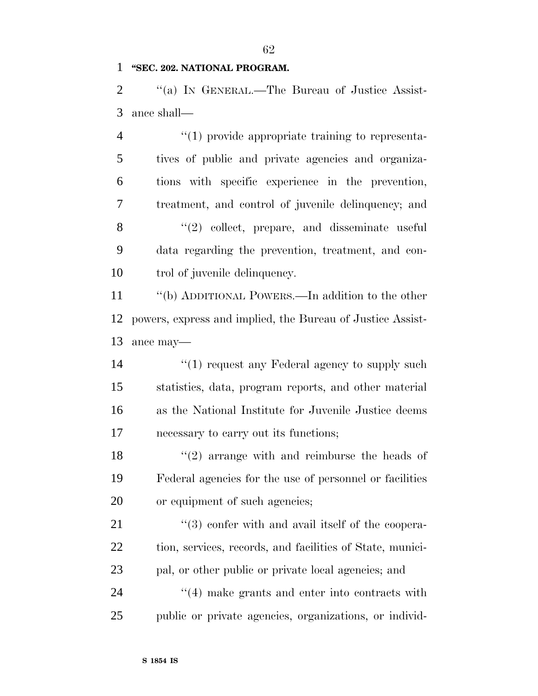#### **''SEC. 202. NATIONAL PROGRAM.**

2 "(a) In GENERAL.—The Bureau of Justice Assist-ance shall—

 $(1)$  provide appropriate training to representa- tives of public and private agencies and organiza- tions with specific experience in the prevention, treatment, and control of juvenile delinquency; and 8 "(2) collect, prepare, and disseminate useful data regarding the prevention, treatment, and con-trol of juvenile delinquency.

 ''(b) ADDITIONAL POWERS.—In addition to the other powers, express and implied, the Bureau of Justice Assist-ance may—

14 ''(1) request any Federal agency to supply such statistics, data, program reports, and other material as the National Institute for Juvenile Justice deems necessary to carry out its functions;

18  $\frac{1}{2}$  arrange with and reimburse the heads of Federal agencies for the use of personnel or facilities or equipment of such agencies;

 $\frac{u(3)}{2}$  confer with and avail itself of the coopera- tion, services, records, and facilities of State, munici- pal, or other public or private local agencies; and 24 ''(4) make grants and enter into contracts with

public or private agencies, organizations, or individ-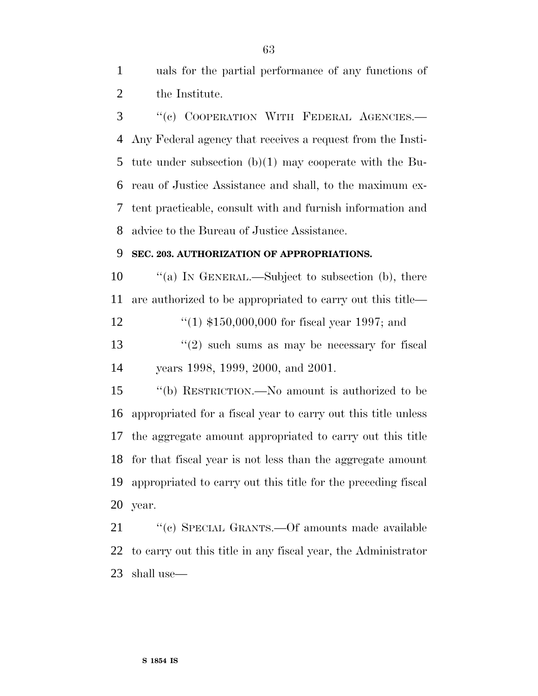uals for the partial performance of any functions of the Institute.

 ''(c) COOPERATION WITH FEDERAL AGENCIES.— Any Federal agency that receives a request from the Insti- tute under subsection (b)(1) may cooperate with the Bu- reau of Justice Assistance and shall, to the maximum ex- tent practicable, consult with and furnish information and advice to the Bureau of Justice Assistance.

#### **SEC. 203. AUTHORIZATION OF APPROPRIATIONS.**

10  $\frac{1}{2}$  (a) In GENERAL.—Subject to subsection (b), there are authorized to be appropriated to carry out this title—

''(1) \$150,000,000 for fiscal year 1997; and

13 ''(2) such sums as may be necessary for fiscal years 1998, 1999, 2000, and 2001.

 ''(b) RESTRICTION.—No amount is authorized to be appropriated for a fiscal year to carry out this title unless the aggregate amount appropriated to carry out this title for that fiscal year is not less than the aggregate amount appropriated to carry out this title for the preceding fiscal year.

21 "'(c) SPECIAL GRANTS.—Of amounts made available to carry out this title in any fiscal year, the Administrator shall use—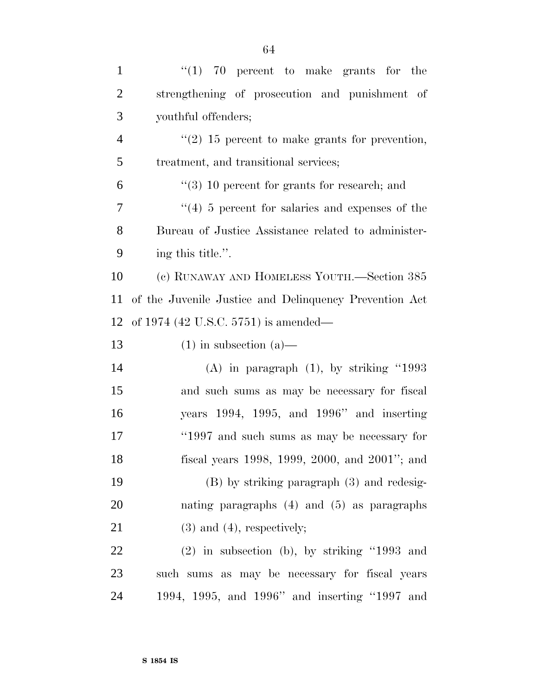| $\mathbf{1}$   | " $(1)$ 70 percent to make grants for the              |
|----------------|--------------------------------------------------------|
| $\overline{2}$ | strengthening of prosecution and punishment of         |
| 3              | youthful offenders;                                    |
| $\overline{4}$ | $\lq(2)$ 15 percent to make grants for prevention,     |
| 5              | treatment, and transitional services;                  |
| 6              | $\lq(3)$ 10 percent for grants for research; and       |
| 7              | $(4)$ 5 percent for salaries and expenses of the       |
| 8              | Bureau of Justice Assistance related to administer-    |
| 9              | ing this title.".                                      |
| 10             | (c) RUNAWAY AND HOMELESS YOUTH.—Section 385            |
| 11             | of the Juvenile Justice and Delinquency Prevention Act |
| 12             | of 1974 (42 U.S.C. 5751) is amended—                   |
| 13             | $(1)$ in subsection $(a)$ —                            |
| 14             | $(A)$ in paragraph $(1)$ , by striking "1993           |
| 15             | and such sums as may be necessary for fiscal           |
| 16             | years $1994$ , $1995$ , and $1996$ " and inserting     |
| 17             | "1997 and such sums as may be necessary for            |
| 18             | fiscal years 1998, 1999, 2000, and 2001"; and          |
| 19             | $(B)$ by striking paragraph $(3)$ and redesig-         |
| 20             | nating paragraphs $(4)$ and $(5)$ as paragraphs        |
| 21             | $(3)$ and $(4)$ , respectively;                        |
| 22             | $(2)$ in subsection (b), by striking "1993 and         |
| 23             | such sums as may be necessary for fiscal years         |
| 24             | 1994, 1995, and 1996" and inserting "1997 and          |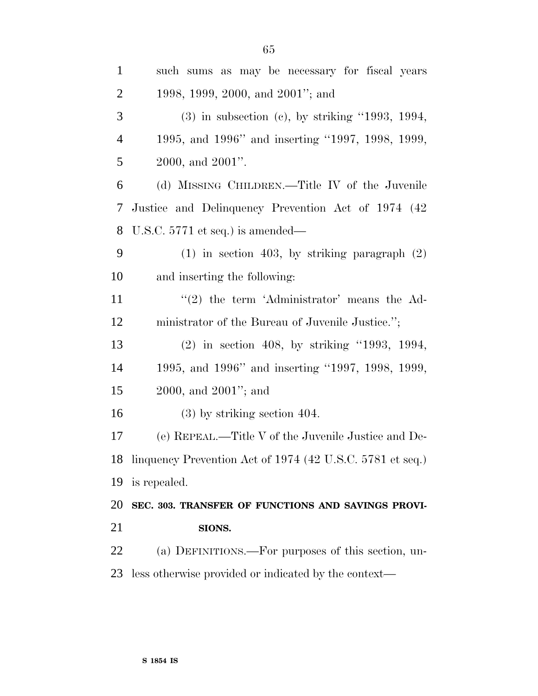| $\mathbf{1}$   | such sums as may be necessary for fiscal years               |
|----------------|--------------------------------------------------------------|
| $\overline{2}$ | 1998, 1999, 2000, and 2001"; and                             |
| 3              | $(3)$ in subsection $(e)$ , by striking "1993, 1994,         |
| $\overline{4}$ | 1995, and 1996" and inserting "1997, 1998, 1999,             |
| 5              | $2000$ , and $2001$ ".                                       |
| 6              | (d) MISSING CHILDREN.—Title IV of the Juvenile               |
| 7              | Justice and Delinquency Prevention Act of 1974 (42)          |
| 8              | U.S.C. $5771$ et seq.) is amended—                           |
| 9              | $(1)$ in section 403, by striking paragraph $(2)$            |
| 10             | and inserting the following:                                 |
| 11             | $\lq(2)$ the term 'Administrator' means the Ad-              |
| 12             | ministrator of the Bureau of Juvenile Justice.";             |
| 13             | $(2)$ in section 408, by striking "1993, 1994,               |
| 14             | 1995, and 1996" and inserting "1997, 1998, 1999,             |
| 15             | $2000$ , and $2001$ "; and                                   |
| 16             | $(3)$ by striking section 404.                               |
| 17             | (e) REPEAL.—Title V of the Juvenile Justice and De-          |
|                | 18 linguency Prevention Act of 1974 (42 U.S.C. 5781 et seq.) |
| 19             | is repealed.                                                 |
| 20             | SEC. 303. TRANSFER OF FUNCTIONS AND SAVINGS PROVI-           |
| 21             | SIONS.                                                       |
| 22             | (a) DEFINITIONS.—For purposes of this section, un-           |
| 23             | less otherwise provided or indicated by the context—         |
|                |                                                              |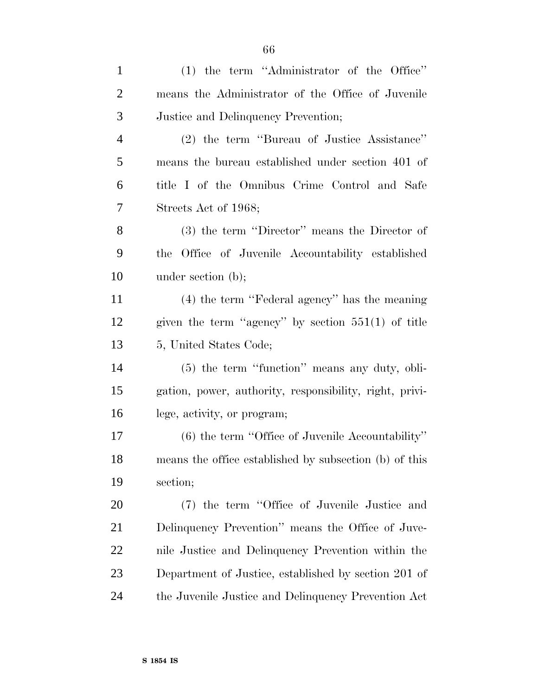| $\mathbf{1}$   | $(1)$ the term "Administrator of the Office"            |
|----------------|---------------------------------------------------------|
| $\overline{c}$ | means the Administrator of the Office of Juvenile       |
| 3              | Justice and Delinquency Prevention;                     |
| $\overline{4}$ | (2) the term "Bureau of Justice Assistance"             |
| 5              | means the bureau established under section 401 of       |
| 6              | title I of the Omnibus Crime Control and Safe           |
| 7              | Streets Act of 1968;                                    |
| 8              | (3) the term "Director" means the Director of           |
| 9              | the Office of Juvenile Accountability established       |
| 10             | under section $(b)$ ;                                   |
| 11             | $(4)$ the term "Federal agency" has the meaning         |
| 12             | given the term "agency" by section $551(1)$ of title    |
| 13             | 5, United States Code;                                  |
| 14             | (5) the term "function" means any duty, obli-           |
| 15             | gation, power, authority, responsibility, right, privi- |
| 16             | lege, activity, or program;                             |
| 17             | $(6)$ the term "Office of Juvenile Accountability"      |
| 18             | means the office established by subsection (b) of this  |
| 19             | section;                                                |
| 20             | (7) the term "Office of Juvenile Justice and            |
| 21             | Delinquency Prevention" means the Office of Juve-       |
| 22             | nile Justice and Delinquency Prevention within the      |
| 23             | Department of Justice, established by section 201 of    |
| 24             | the Juvenile Justice and Delinquency Prevention Act     |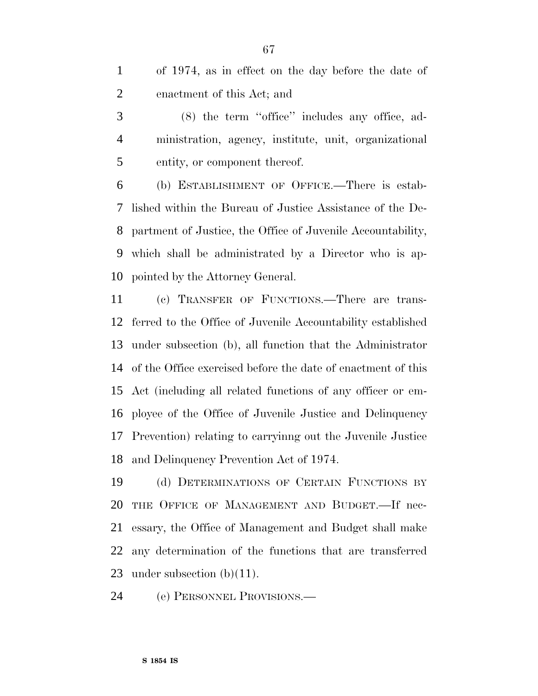of 1974, as in effect on the day before the date of enactment of this Act; and

 (8) the term ''office'' includes any office, ad- ministration, agency, institute, unit, organizational entity, or component thereof.

 (b) ESTABLISHMENT OF OFFICE.—There is estab- lished within the Bureau of Justice Assistance of the De- partment of Justice, the Office of Juvenile Accountability, which shall be administrated by a Director who is ap-pointed by the Attorney General.

 (c) TRANSFER OF FUNCTIONS.—There are trans- ferred to the Office of Juvenile Accountability established under subsection (b), all function that the Administrator of the Office exercised before the date of enactment of this Act (including all related functions of any officer or em- ployee of the Office of Juvenile Justice and Delinquency Prevention) relating to carryinng out the Juvenile Justice and Delinquency Prevention Act of 1974.

 (d) DETERMINATIONS OF CERTAIN FUNCTIONS BY THE OFFICE OF MANAGEMENT AND BUDGET.—If nec- essary, the Office of Management and Budget shall make any determination of the functions that are transferred 23 under subsection  $(b)(11)$ .

(e) PERSONNEL PROVISIONS.—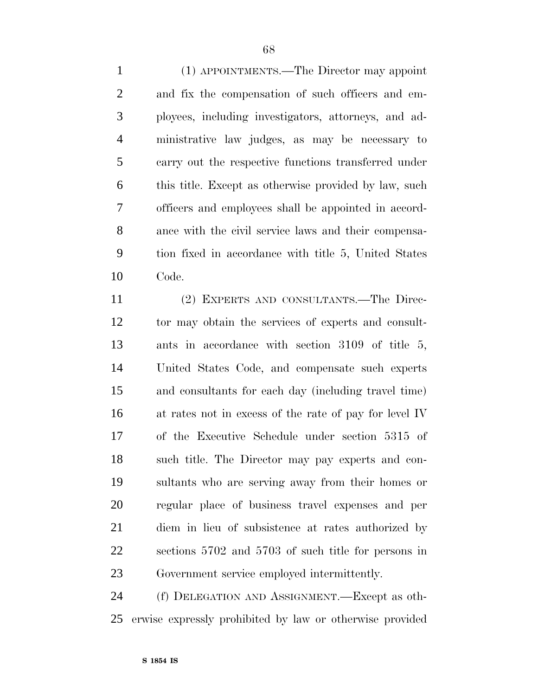(1) APPOINTMENTS.—The Director may appoint and fix the compensation of such officers and em- ployees, including investigators, attorneys, and ad- ministrative law judges, as may be necessary to carry out the respective functions transferred under this title. Except as otherwise provided by law, such officers and employees shall be appointed in accord- ance with the civil service laws and their compensa- tion fixed in accordance with title 5, United States Code.

 (2) EXPERTS AND CONSULTANTS.—The Direc- tor may obtain the services of experts and consult- ants in accordance with section 3109 of title 5, United States Code, and compensate such experts and consultants for each day (including travel time) at rates not in excess of the rate of pay for level IV of the Executive Schedule under section 5315 of such title. The Director may pay experts and con- sultants who are serving away from their homes or regular place of business travel expenses and per diem in lieu of subsistence at rates authorized by sections 5702 and 5703 of such title for persons in Government service employed intermittently.

 (f) DELEGATION AND ASSIGNMENT.—Except as oth-erwise expressly prohibited by law or otherwise provided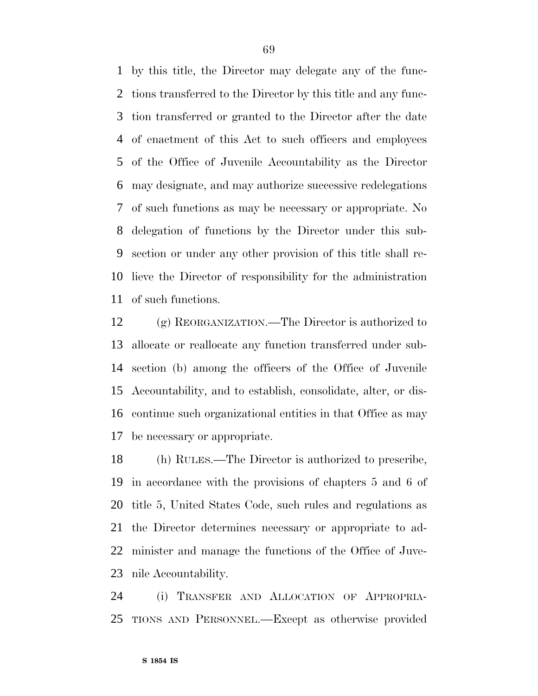by this title, the Director may delegate any of the func- tions transferred to the Director by this title and any func- tion transferred or granted to the Director after the date of enactment of this Act to such officers and employees of the Office of Juvenile Accountability as the Director may designate, and may authorize successive redelegations of such functions as may be necessary or appropriate. No delegation of functions by the Director under this sub- section or under any other provision of this title shall re- lieve the Director of responsibility for the administration of such functions.

 (g) REORGANIZATION.—The Director is authorized to allocate or reallocate any function transferred under sub- section (b) among the officers of the Office of Juvenile Accountability, and to establish, consolidate, alter, or dis- continue such organizational entities in that Office as may be necessary or appropriate.

 (h) RULES.—The Director is authorized to prescribe, in accordance with the provisions of chapters 5 and 6 of title 5, United States Code, such rules and regulations as the Director determines necessary or appropriate to ad- minister and manage the functions of the Office of Juve-nile Accountability.

 (i) TRANSFER AND ALLOCATION OF APPROPRIA-TIONS AND PERSONNEL.—Except as otherwise provided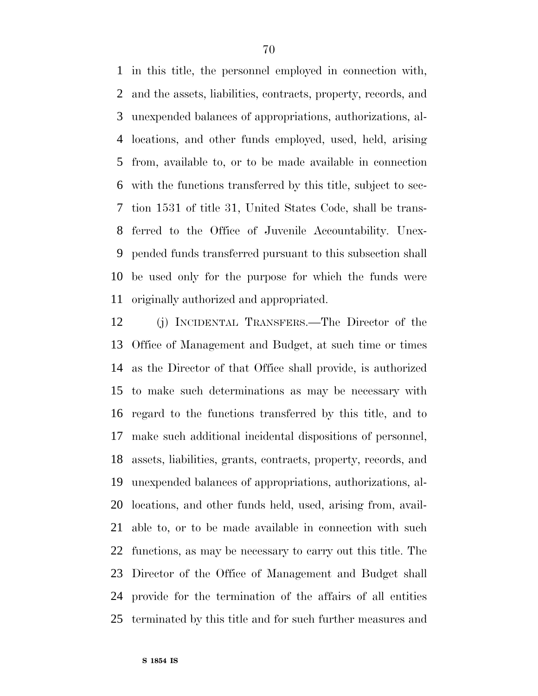in this title, the personnel employed in connection with, and the assets, liabilities, contracts, property, records, and unexpended balances of appropriations, authorizations, al- locations, and other funds employed, used, held, arising from, available to, or to be made available in connection with the functions transferred by this title, subject to sec- tion 1531 of title 31, United States Code, shall be trans- ferred to the Office of Juvenile Accountability. Unex- pended funds transferred pursuant to this subsection shall be used only for the purpose for which the funds were originally authorized and appropriated.

 (j) INCIDENTAL TRANSFERS.—The Director of the Office of Management and Budget, at such time or times as the Director of that Office shall provide, is authorized to make such determinations as may be necessary with regard to the functions transferred by this title, and to make such additional incidental dispositions of personnel, assets, liabilities, grants, contracts, property, records, and unexpended balances of appropriations, authorizations, al- locations, and other funds held, used, arising from, avail- able to, or to be made available in connection with such functions, as may be necessary to carry out this title. The Director of the Office of Management and Budget shall provide for the termination of the affairs of all entities terminated by this title and for such further measures and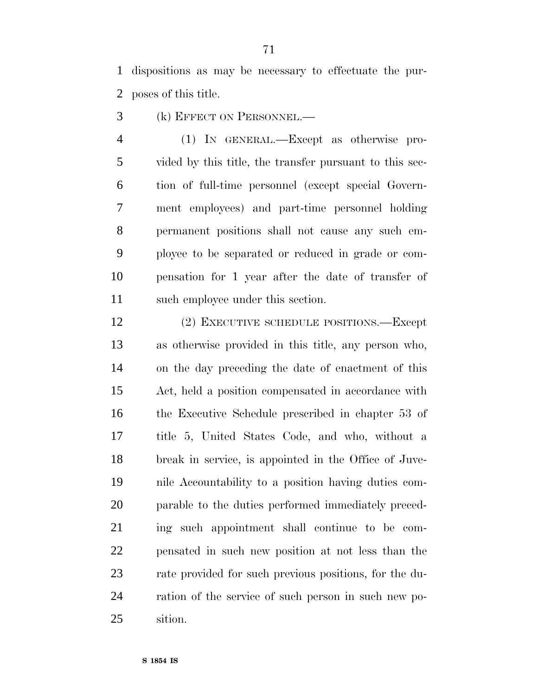dispositions as may be necessary to effectuate the pur-poses of this title.

- (k) EFFECT ON PERSONNEL.—
- (1) IN GENERAL.—Except as otherwise pro- vided by this title, the transfer pursuant to this sec- tion of full-time personnel (except special Govern- ment employees) and part-time personnel holding permanent positions shall not cause any such em- ployee to be separated or reduced in grade or com- pensation for 1 year after the date of transfer of such employee under this section.
- (2) EXECUTIVE SCHEDULE POSITIONS.—Except as otherwise provided in this title, any person who, on the day preceding the date of enactment of this Act, held a position compensated in accordance with the Executive Schedule prescribed in chapter 53 of title 5, United States Code, and who, without a break in service, is appointed in the Office of Juve- nile Accountability to a position having duties com- parable to the duties performed immediately preced- ing such appointment shall continue to be com- pensated in such new position at not less than the rate provided for such previous positions, for the du- ration of the service of such person in such new po-sition.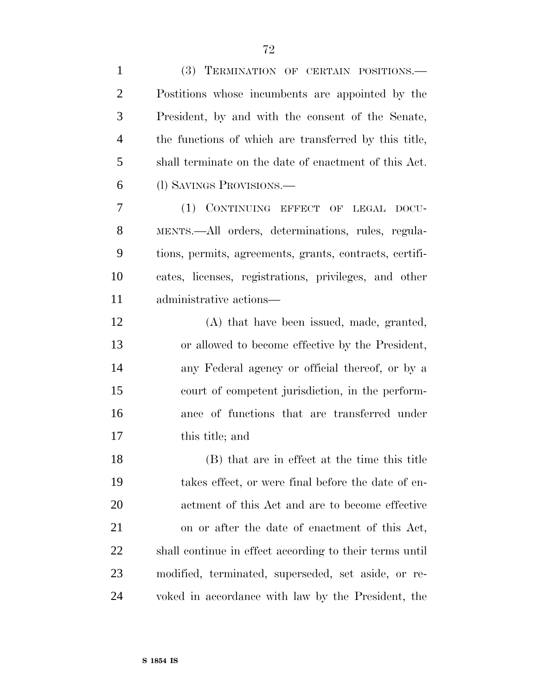| $\mathbf{1}$   | (3) TERMINATION OF CERTAIN POSITIONS.                   |
|----------------|---------------------------------------------------------|
| $\overline{2}$ | Postitions whose incumbents are appointed by the        |
| 3              | President, by and with the consent of the Senate,       |
| $\overline{4}$ | the functions of which are transferred by this title,   |
| 5              | shall terminate on the date of enactment of this Act.   |
| 6              | (1) SAVINGS PROVISIONS.—                                |
| $\overline{7}$ | (1) CONTINUING EFFECT OF LEGAL DOCU-                    |
| 8              | MENTS.—All orders, determinations, rules, regula-       |
| 9              | tions, permits, agreements, grants, contracts, certifi- |
| 10             | cates, licenses, registrations, privileges, and other   |
| 11             | administrative actions—                                 |
| 12             | (A) that have been issued, made, granted,               |
| 13             | or allowed to become effective by the President,        |
| 14             | any Federal agency or official thereof, or by a         |
| 15             | court of competent jurisdiction, in the perform-        |
| 16             | ance of functions that are transferred under            |
| 17             | this title; and                                         |
| 18             | (B) that are in effect at the time this title           |
| 19             | takes effect, or were final before the date of en-      |
| 20             | actment of this Act and are to become effective         |
| 21             | on or after the date of enactment of this Act,          |
| 22             | shall continue in effect according to their terms until |
| 23             | modified, terminated, superseded, set aside, or re-     |
| 24             | voked in accordance with law by the President, the      |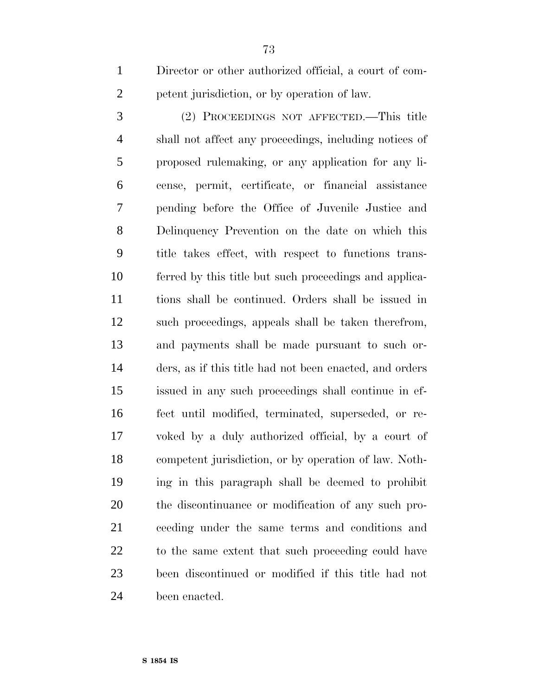Director or other authorized official, a court of com-petent jurisdiction, or by operation of law.

 (2) PROCEEDINGS NOT AFFECTED.—This title shall not affect any proceedings, including notices of proposed rulemaking, or any application for any li- cense, permit, certificate, or financial assistance pending before the Office of Juvenile Justice and Delinquency Prevention on the date on which this title takes effect, with respect to functions trans- ferred by this title but such proceedings and applica- tions shall be continued. Orders shall be issued in such proceedings, appeals shall be taken therefrom, and payments shall be made pursuant to such or- ders, as if this title had not been enacted, and orders issued in any such proceedings shall continue in ef- fect until modified, terminated, superseded, or re- voked by a duly authorized official, by a court of competent jurisdiction, or by operation of law. Noth- ing in this paragraph shall be deemed to prohibit the discontinuance or modification of any such pro- ceeding under the same terms and conditions and to the same extent that such proceeding could have been discontinued or modified if this title had not been enacted.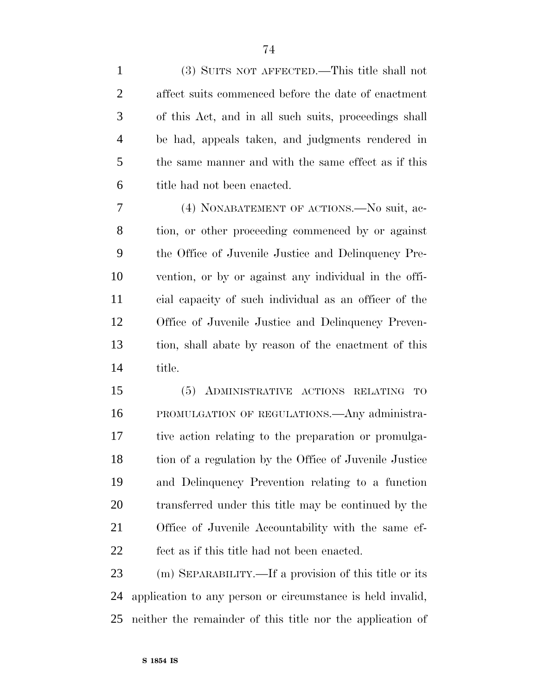| $\mathbf{1}$   | (3) SUITS NOT AFFECTED.—This title shall not           |
|----------------|--------------------------------------------------------|
| $\overline{2}$ | affect suits commenced before the date of enactment    |
| 3              | of this Act, and in all such suits, proceedings shall  |
| $\overline{4}$ | be had, appeals taken, and judgments rendered in       |
| 5              | the same manner and with the same effect as if this    |
| 6              | title had not been enacted.                            |
| 7              | (4) NONABATEMENT OF ACTIONS.—No suit, ac-              |
| 8              | tion, or other proceeding commenced by or against      |
| 9              | the Office of Juvenile Justice and Delinquency Pre-    |
| 10             | vention, or by or against any individual in the offi-  |
| 11             | cial capacity of such individual as an officer of the  |
| 12             | Office of Juvenile Justice and Delinquency Preven-     |
| 13             | tion, shall abate by reason of the enactment of this   |
| 14             | title.                                                 |
| 15             | (5) ADMINISTRATIVE ACTIONS RELATING TO                 |
| 16             | PROMULGATION OF REGULATIONS. Any administra-           |
| 17             | tive action relating to the preparation or promulga-   |
| 18             | tion of a regulation by the Office of Juvenile Justice |
| 19             | and Delinquency Prevention relating to a function      |
| 20             | transferred under this title may be continued by the   |
| 21             | Office of Juvenile Accountability with the same ef-    |
| 22             | fect as if this title had not been enacted.            |
| 23             | (m) SEPARABILITY.—If a provision of this title or its  |

 application to any person or circumstance is held invalid, neither the remainder of this title nor the application of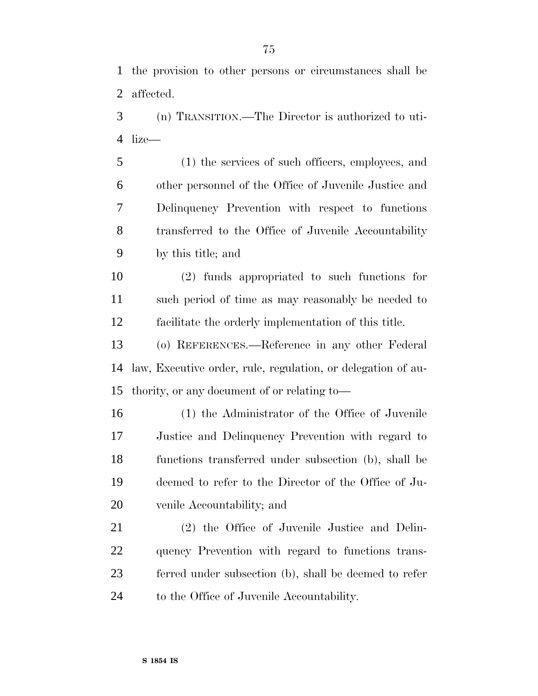the provision to other persons or circumstances shall be affected.

 (n) TRANSITION.—The Director is authorized to uti-lize—

 (1) the services of such officers, employees, and other personnel of the Office of Juvenile Justice and Delinquency Prevention with respect to functions transferred to the Office of Juvenile Accountability by this title; and

 (2) funds appropriated to such functions for such period of time as may reasonably be needed to facilitate the orderly implementation of this title.

 (o) REFERENCES.—Reference in any other Federal law, Executive order, rule, regulation, or delegation of au-thority, or any document of or relating to—

 (1) the Administrator of the Office of Juvenile Justice and Delinquency Prevention with regard to functions transferred under subsection (b), shall be deemed to refer to the Director of the Office of Ju-venile Accountability; and

 (2) the Office of Juvenile Justice and Delin- quency Prevention with regard to functions trans- ferred under subsection (b), shall be deemed to refer to the Office of Juvenile Accountability.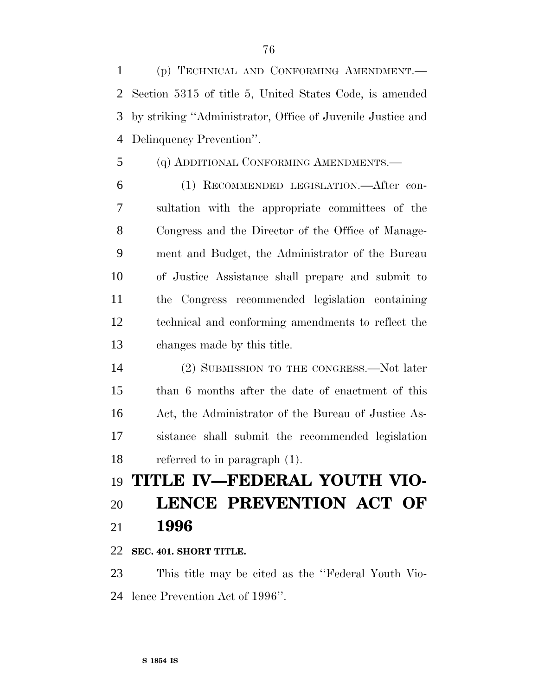(p) TECHNICAL AND CONFORMING AMENDMENT.— Section 5315 of title 5, United States Code, is amended by striking ''Administrator, Office of Juvenile Justice and Delinquency Prevention''.

(q) ADDITIONAL CONFORMING AMENDMENTS.—

 (1) RECOMMENDED LEGISLATION.—After con- sultation with the appropriate committees of the Congress and the Director of the Office of Manage- ment and Budget, the Administrator of the Bureau of Justice Assistance shall prepare and submit to the Congress recommended legislation containing technical and conforming amendments to reflect the changes made by this title.

 (2) SUBMISSION TO THE CONGRESS.—Not later than 6 months after the date of enactment of this Act, the Administrator of the Bureau of Justice As- sistance shall submit the recommended legislation referred to in paragraph (1).

# **TITLE IV—FEDERAL YOUTH VIO- LENCE PREVENTION ACT OF 1996**

**SEC. 401. SHORT TITLE.**

 This title may be cited as the ''Federal Youth Vio-lence Prevention Act of 1996''.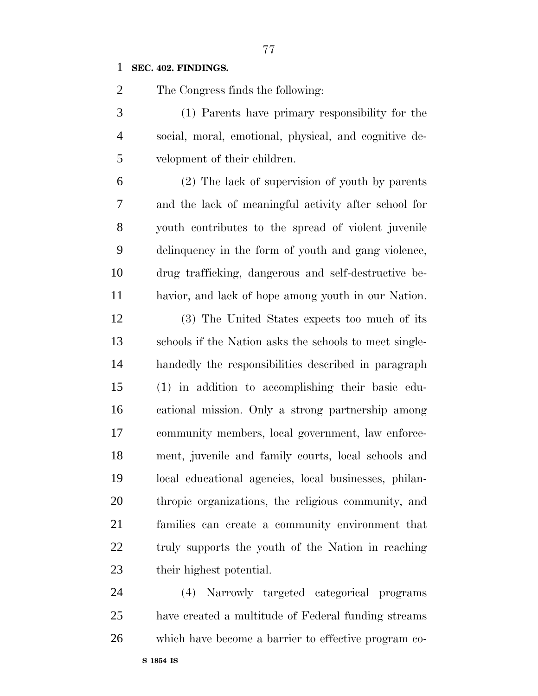#### **SEC. 402. FINDINGS.**

The Congress finds the following:

 (1) Parents have primary responsibility for the social, moral, emotional, physical, and cognitive de-velopment of their children.

 (2) The lack of supervision of youth by parents and the lack of meaningful activity after school for youth contributes to the spread of violent juvenile delinquency in the form of youth and gang violence, drug trafficking, dangerous and self-destructive be-havior, and lack of hope among youth in our Nation.

 (3) The United States expects too much of its schools if the Nation asks the schools to meet single- handedly the responsibilities described in paragraph (1) in addition to accomplishing their basic edu- cational mission. Only a strong partnership among community members, local government, law enforce- ment, juvenile and family courts, local schools and local educational agencies, local businesses, philan- thropic organizations, the religious community, and families can create a community environment that truly supports the youth of the Nation in reaching their highest potential.

 (4) Narrowly targeted categorical programs have created a multitude of Federal funding streams which have become a barrier to effective program co-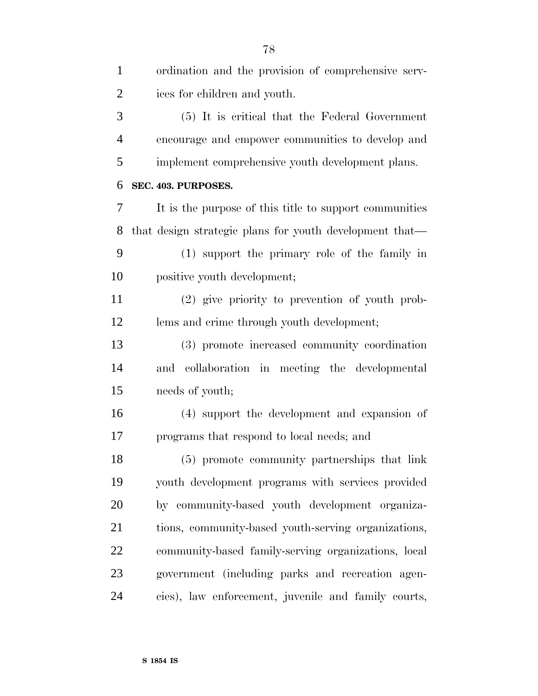| $\mathbf{1}$   | ordination and the provision of comprehensive serv-     |
|----------------|---------------------------------------------------------|
| $\overline{2}$ | ices for children and youth.                            |
| 3              | (5) It is critical that the Federal Government          |
| 4              | encourage and empower communities to develop and        |
| 5              | implement comprehensive youth development plans.        |
| 6              | SEC. 403. PURPOSES.                                     |
| 7              | It is the purpose of this title to support communities  |
| 8              | that design strategic plans for youth development that— |
| 9              | (1) support the primary role of the family in           |
| 10             | positive youth development;                             |
| 11             | (2) give priority to prevention of youth prob-          |
| 12             | lems and crime through youth development;               |
| 13             | (3) promote increased community coordination            |
| 14             | and collaboration in meeting the developmental          |
| 15             | needs of youth;                                         |
| 16             | (4) support the development and expansion of            |
| 17             | programs that respond to local needs; and               |
| 18             | (5) promote community partnerships that link            |
| 19             | youth development programs with services provided       |
| 20             | by community-based youth development organiza-          |
| 21             | tions, community-based youth-serving organizations,     |
| 22             | community-based family-serving organizations, local     |
| 23             | government (including parks and recreation agen-        |
| 24             | cies), law enforcement, juvenile and family courts,     |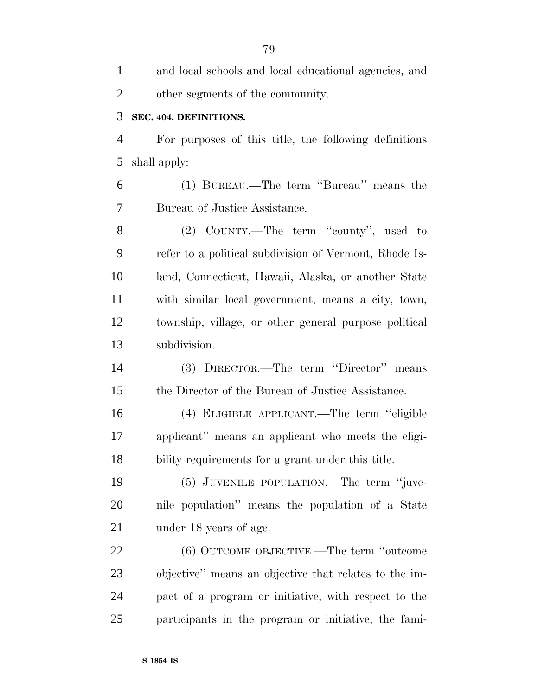| $\mathbf{1}$   | and local schools and local educational agencies, and  |
|----------------|--------------------------------------------------------|
| $\overline{2}$ | other segments of the community.                       |
| 3              | SEC. 404. DEFINITIONS.                                 |
| $\overline{4}$ | For purposes of this title, the following definitions  |
| 5              | shall apply:                                           |
| 6              | (1) BUREAU.—The term "Bureau" means the                |
| 7              | Bureau of Justice Assistance.                          |
| 8              | (2) COUNTY.—The term "county", used to                 |
| 9              | refer to a political subdivision of Vermont, Rhode Is- |
| 10             | land, Connecticut, Hawaii, Alaska, or another State    |
| 11             | with similar local government, means a city, town,     |
| 12             | township, village, or other general purpose political  |
| 13             | subdivision.                                           |
| 14             | (3) DIRECTOR.—The term "Director" means                |
| 15             | the Director of the Bureau of Justice Assistance.      |
| 16             | (4) ELIGIBLE APPLICANT.—The term "eligible             |
| 17             | applicant" means an applicant who meets the eligi-     |
| 18             | bility requirements for a grant under this title.      |
| 19             | (5) JUVENILE POPULATION.—The term "juve-               |
| 20             | nile population" means the population of a State       |
| 21             | under 18 years of age.                                 |
| 22             | (6) OUTCOME OBJECTIVE.—The term "outcome               |
| 23             | objective" means an objective that relates to the im-  |
| 24             | pact of a program or initiative, with respect to the   |
| 25             | participants in the program or initiative, the fami-   |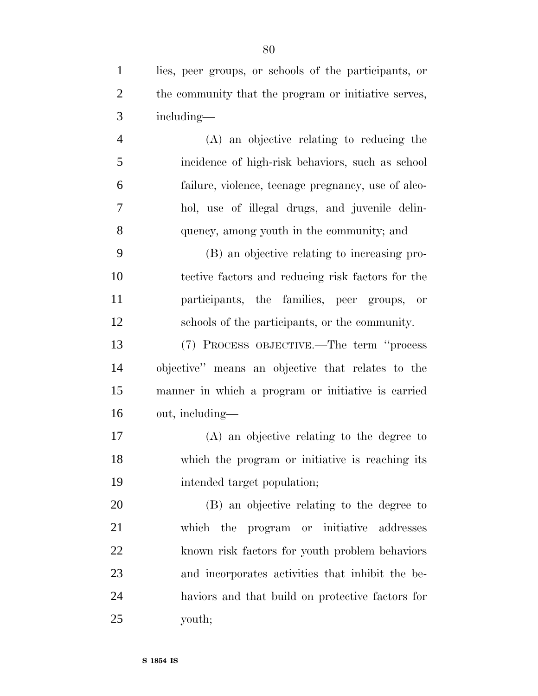lies, peer groups, or schools of the participants, or 2 the community that the program or initiative serves, including— (A) an objective relating to reducing the incidence of high-risk behaviors, such as school failure, violence, teenage pregnancy, use of alco- hol, use of illegal drugs, and juvenile delin- quency, among youth in the community; and (B) an objective relating to increasing pro- tective factors and reducing risk factors for the participants, the families, peer groups, or schools of the participants, or the community. (7) PROCESS OBJECTIVE.—The term ''process objective'' means an objective that relates to the manner in which a program or initiative is carried out, including— (A) an objective relating to the degree to which the program or initiative is reaching its intended target population; (B) an objective relating to the degree to which the program or initiative addresses known risk factors for youth problem behaviors and incorporates activities that inhibit the be- haviors and that build on protective factors for youth;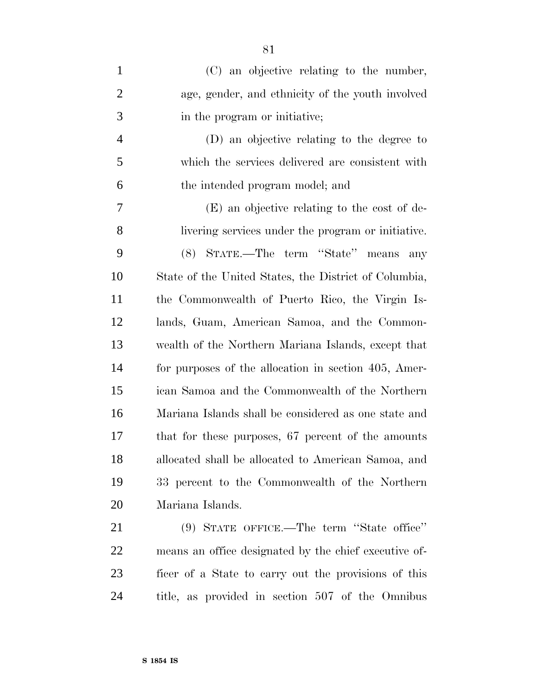| $\mathbf{1}$   | (C) an objective relating to the number,              |
|----------------|-------------------------------------------------------|
| $\overline{2}$ | age, gender, and ethnicity of the youth involved      |
| 3              | in the program or initiative;                         |
| $\overline{4}$ | (D) an objective relating to the degree to            |
| 5              | which the services delivered are consistent with      |
| 6              | the intended program model; and                       |
| 7              | (E) an objective relating to the cost of de-          |
| 8              | livering services under the program or initiative.    |
| 9              | STATE.—The term "State" means any<br>(8)              |
| 10             | State of the United States, the District of Columbia, |
| 11             | the Commonwealth of Puerto Rico, the Virgin Is-       |
| 12             | lands, Guam, American Samoa, and the Common-          |
| 13             | wealth of the Northern Mariana Islands, except that   |
| 14             | for purposes of the allocation in section 405, Amer-  |
| 15             | ican Samoa and the Commonwealth of the Northern       |
| 16             | Mariana Islands shall be considered as one state and  |
| 17             | that for these purposes, 67 percent of the amounts    |
| 18             | allocated shall be allocated to American Samoa, and   |
| 19             | 33 percent to the Commonwealth of the Northern        |
| 20             | Mariana Islands.                                      |
| 21             | (9) STATE OFFICE.—The term "State office"             |
| <u>22</u>      | means an office designated by the chief executive of- |
| 23             | ficer of a State to carry out the provisions of this  |
| 24             | title, as provided in section 507 of the Omnibus      |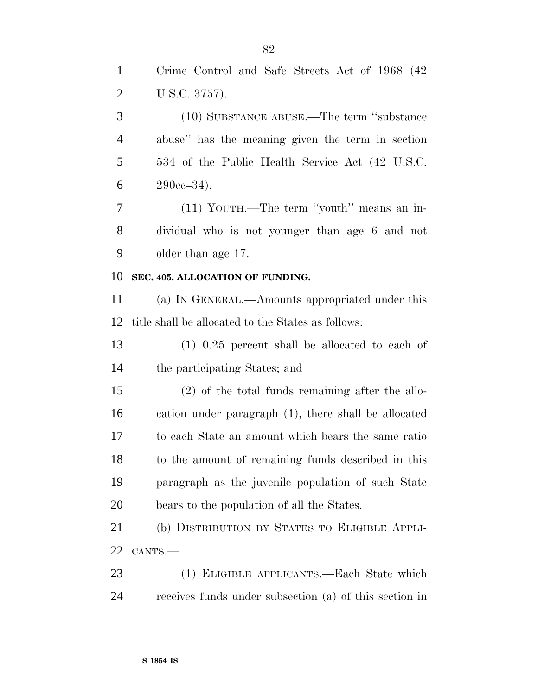| $\mathbf{1}$   | Crime Control and Safe Streets Act of 1968 (42)      |
|----------------|------------------------------------------------------|
| $\overline{2}$ | U.S.C. 3757).                                        |
| 3              | (10) SUBSTANCE ABUSE.—The term "substance            |
| $\overline{4}$ | abuse" has the meaning given the term in section     |
| 5              | 534 of the Public Health Service Act (42 U.S.C.      |
| 6              | $290cc - 34$ ).                                      |
| 7              | (11) YOUTH.—The term "youth" means an in-            |
| 8              | dividual who is not younger than age 6 and not       |
| 9              | older than age 17.                                   |
| 10             | SEC. 405. ALLOCATION OF FUNDING.                     |
| 11             | (a) IN GENERAL.—Amounts appropriated under this      |
| 12             | title shall be allocated to the States as follows:   |
| 13             | $(1)$ 0.25 percent shall be allocated to each of     |
| 14             | the participating States; and                        |
| 15             | $(2)$ of the total funds remaining after the allo-   |
| 16             | cation under paragraph (1), there shall be allocated |
| 17             | to each State an amount which bears the same ratio   |
| 18             | to the amount of remaining funds described in this   |
| 19             | paragraph as the juvenile population of such State   |
| 20             | bears to the population of all the States.           |
| 21             | (b) DISTRIBUTION BY STATES TO ELIGIBLE APPLI-        |
|                | CANTS.-                                              |
| 22             |                                                      |
| 23             | (1) ELIGIBLE APPLICANTS.—Each State which            |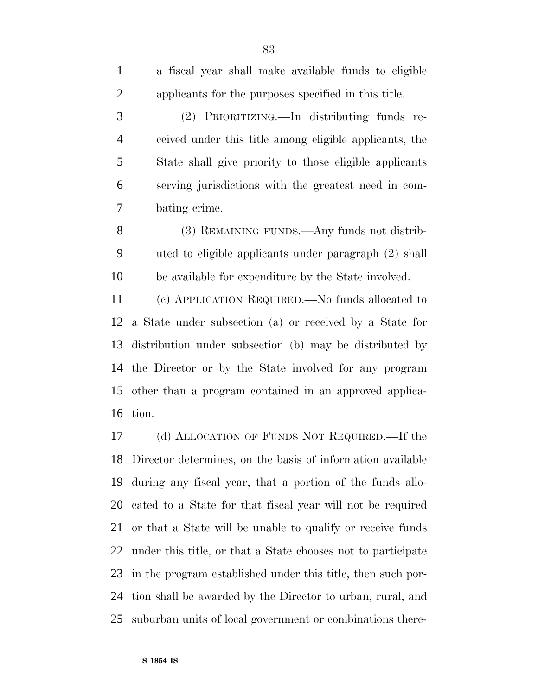| a fiscal year shall make available funds to eligible       |
|------------------------------------------------------------|
| applicants for the purposes specified in this title.       |
| (2) PRIORITIZING.—In distributing funds re-                |
| ceived under this title among eligible applicants, the     |
| State shall give priority to those eligible applicants     |
| serving jurisdictions with the greatest need in com-       |
| bating crime.                                              |
| (3) REMAINING FUNDS.—Any funds not distrib-                |
| uted to eligible applicants under paragraph (2) shall      |
| be available for expenditure by the State involved.        |
| (c) APPLICATION REQUIRED.—No funds allocated to            |
| 12 a State under subsection (a) or received by a State for |
| 13 distribution under subsection (b) may be distributed by |
| 14 the Director or by the State involved for any program   |
|                                                            |

tion.

 (d) ALLOCATION OF FUNDS NOT REQUIRED.—If the Director determines, on the basis of information available during any fiscal year, that a portion of the funds allo- cated to a State for that fiscal year will not be required or that a State will be unable to qualify or receive funds under this title, or that a State chooses not to participate in the program established under this title, then such por- tion shall be awarded by the Director to urban, rural, and suburban units of local government or combinations there-

other than a program contained in an approved applica-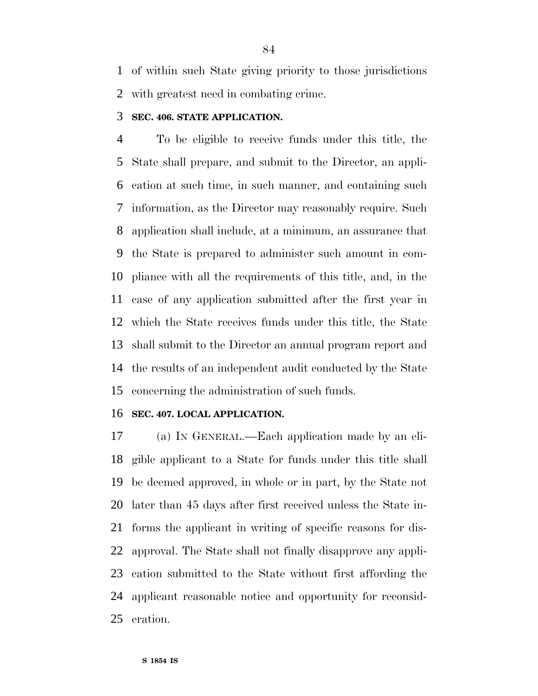of within such State giving priority to those jurisdictions with greatest need in combating crime.

### **SEC. 406. STATE APPLICATION.**

 To be eligible to receive funds under this title, the State shall prepare, and submit to the Director, an appli- cation at such time, in such manner, and containing such information, as the Director may reasonably require. Such application shall include, at a minimum, an assurance that the State is prepared to administer such amount in com- pliance with all the requirements of this title, and, in the case of any application submitted after the first year in which the State receives funds under this title, the State shall submit to the Director an annual program report and the results of an independent audit conducted by the State concerning the administration of such funds.

#### **SEC. 407. LOCAL APPLICATION.**

 (a) IN GENERAL.—Each application made by an eli- gible applicant to a State for funds under this title shall be deemed approved, in whole or in part, by the State not later than 45 days after first received unless the State in- forms the applicant in writing of specific reasons for dis- approval. The State shall not finally disapprove any appli- cation submitted to the State without first affording the applicant reasonable notice and opportunity for reconsid-eration.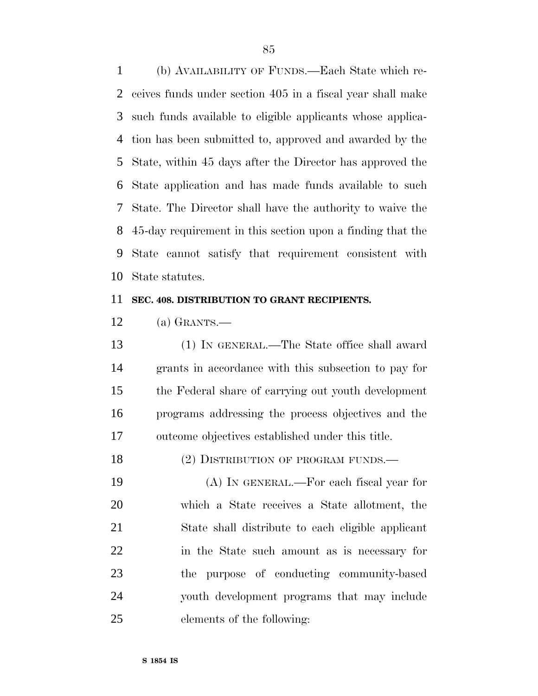(b) AVAILABILITY OF FUNDS.—Each State which re- ceives funds under section 405 in a fiscal year shall make such funds available to eligible applicants whose applica- tion has been submitted to, approved and awarded by the State, within 45 days after the Director has approved the State application and has made funds available to such State. The Director shall have the authority to waive the 45-day requirement in this section upon a finding that the State cannot satisfy that requirement consistent with State statutes.

#### **SEC. 408. DISTRIBUTION TO GRANT RECIPIENTS.**

(a) GRANTS.—

 (1) IN GENERAL.—The State office shall award grants in accordance with this subsection to pay for the Federal share of carrying out youth development programs addressing the process objectives and the outcome objectives established under this title.

18 (2) DISTRIBUTION OF PROGRAM FUNDS.

 (A) IN GENERAL.—For each fiscal year for which a State receives a State allotment, the State shall distribute to each eligible applicant in the State such amount as is necessary for the purpose of conducting community-based youth development programs that may include elements of the following: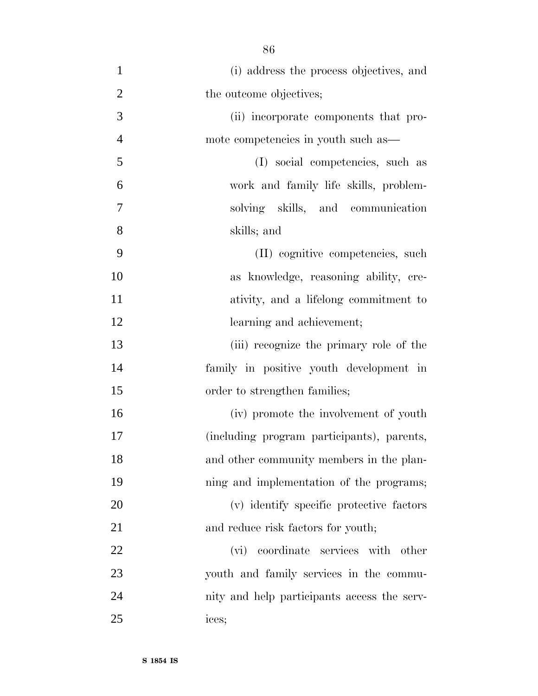(i) address the process objectives, and 2 the outcome objectives; (ii) incorporate components that pro- mote competencies in youth such as— (I) social competencies, such as work and family life skills, problem- solving skills, and communication skills; and (II) cognitive competencies, such as knowledge, reasoning ability, cre- ativity, and a lifelong commitment to 12 learning and achievement; (iii) recognize the primary role of the family in positive youth development in 15 order to strengthen families; (iv) promote the involvement of youth (including program participants), parents, and other community members in the plan- ning and implementation of the programs; (v) identify specific protective factors 21 and reduce risk factors for youth; (vi) coordinate services with other youth and family services in the commu- nity and help participants access the serv-ices;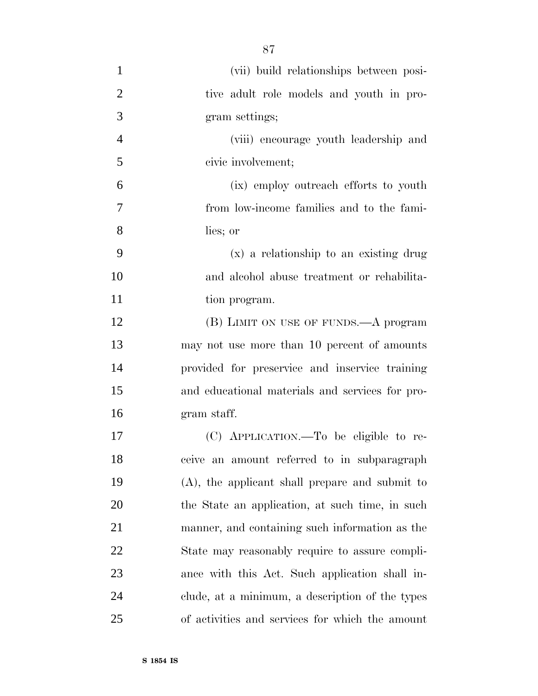(vii) build relationships between posi-2 tive adult role models and youth in pro- gram settings; (viii) encourage youth leadership and civic involvement; (ix) employ outreach efforts to youth from low-income families and to the fami- lies; or (x) a relationship to an existing drug and alcohol abuse treatment or rehabilita-11 tion program. 12 (B) LIMIT ON USE OF FUNDS.—A program may not use more than 10 percent of amounts provided for preservice and inservice training and educational materials and services for pro- gram staff. (C) APPLICATION.—To be eligible to re- ceive an amount referred to in subparagraph (A), the applicant shall prepare and submit to the State an application, at such time, in such manner, and containing such information as the State may reasonably require to assure compli- ance with this Act. Such application shall in- clude, at a minimum, a description of the types of activities and services for which the amount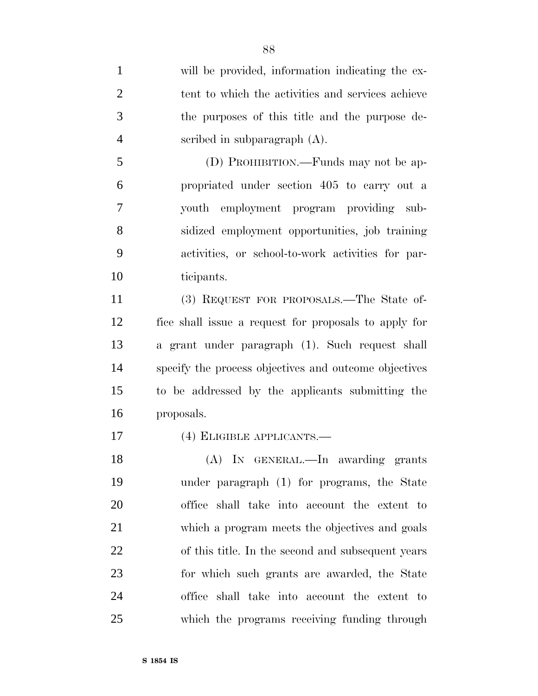will be provided, information indicating the ex- tent to which the activities and services achieve the purposes of this title and the purpose de- scribed in subparagraph (A). (D) PROHIBITION.—Funds may not be ap- propriated under section 405 to carry out a youth employment program providing sub- sidized employment opportunities, job training activities, or school-to-work activities for par- ticipants. (3) REQUEST FOR PROPOSALS.—The State of- fice shall issue a request for proposals to apply for a grant under paragraph (1). Such request shall specify the process objectives and outcome objectives to be addressed by the applicants submitting the proposals. (4) ELIGIBLE APPLICANTS.— (A) IN GENERAL.—In awarding grants under paragraph (1) for programs, the State office shall take into account the extent to which a program meets the objectives and goals of this title. In the second and subsequent years for which such grants are awarded, the State office shall take into account the extent to which the programs receiving funding through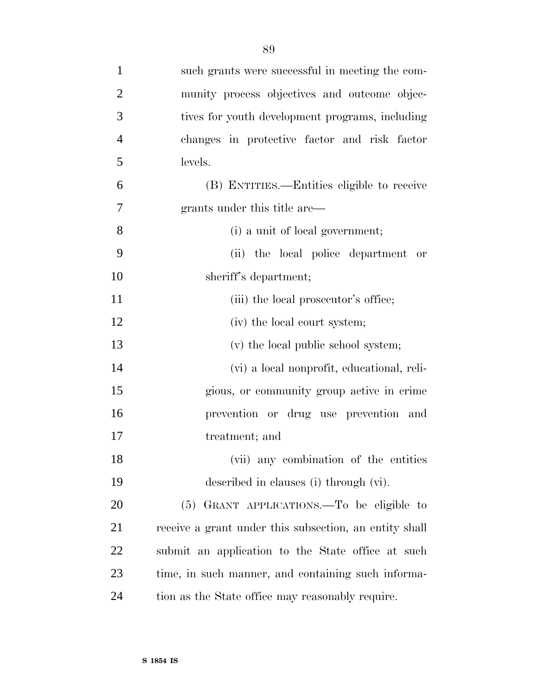| $\mathbf{1}$   | such grants were successful in meeting the com-        |
|----------------|--------------------------------------------------------|
| $\overline{2}$ | munity process objectives and outcome objec-           |
| 3              | tives for youth development programs, including        |
| $\overline{4}$ | changes in protective factor and risk factor           |
| 5              | levels.                                                |
| 6              | (B) ENTITIES.—Entities eligible to receive             |
| 7              | grants under this title are—                           |
| 8              | (i) a unit of local government;                        |
| 9              | (ii) the local police department or                    |
| 10             | sheriff's department;                                  |
| 11             | (iii) the local prosecutor's office;                   |
| 12             | (iv) the local court system;                           |
| 13             | (v) the local public school system;                    |
| 14             | (vi) a local nonprofit, educational, reli-             |
| 15             | gious, or community group active in crime              |
| 16             | prevention or drug use prevention and                  |
| 17             | treatment; and                                         |
| 18             | (vii) any combination of the entities                  |
| 19             | described in clauses (i) through (vi).                 |
| 20             | (5) GRANT APPLICATIONS.—To be eligible to              |
| 21             | receive a grant under this subsection, an entity shall |
| 22             | submit an application to the State office at such      |
| 23             | time, in such manner, and containing such informa-     |
| 24             | tion as the State office may reasonably require.       |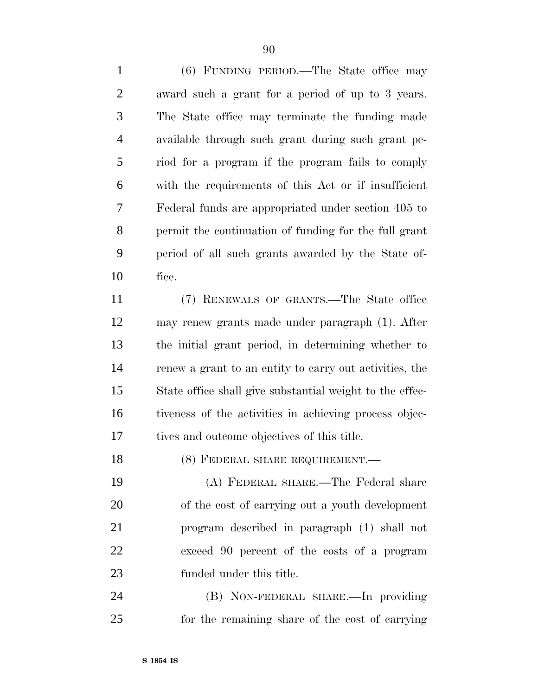(6) FUNDING PERIOD.—The State office may award such a grant for a period of up to 3 years. The State office may terminate the funding made available through such grant during such grant pe- riod for a program if the program fails to comply with the requirements of this Act or if insufficient Federal funds are appropriated under section 405 to permit the continuation of funding for the full grant period of all such grants awarded by the State of-fice.

 (7) RENEWALS OF GRANTS.—The State office may renew grants made under paragraph (1). After the initial grant period, in determining whether to renew a grant to an entity to carry out activities, the State office shall give substantial weight to the effec- tiveness of the activities in achieving process objec-tives and outcome objectives of this title.

18 (8) FEDERAL SHARE REQUIREMENT.

 (A) FEDERAL SHARE.—The Federal share of the cost of carrying out a youth development program described in paragraph (1) shall not exceed 90 percent of the costs of a program funded under this title.

 (B) NON-FEDERAL SHARE.—In providing for the remaining share of the cost of carrying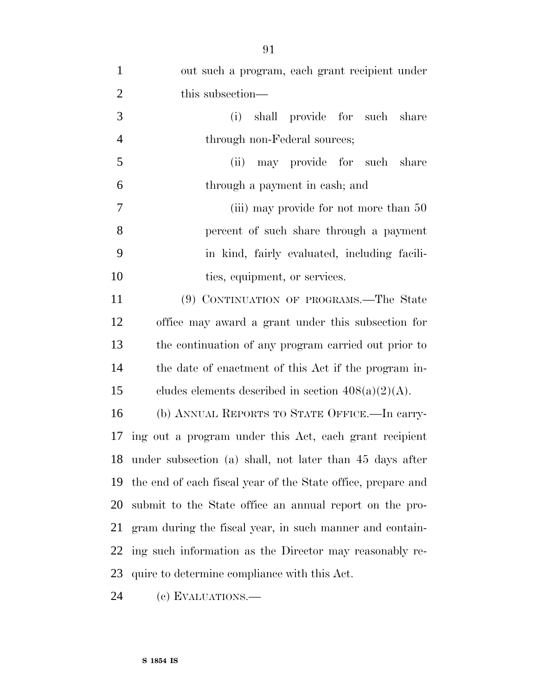| $\mathbf{1}$   | out such a program, each grant recipient under               |
|----------------|--------------------------------------------------------------|
| $\mathfrak{2}$ | this subsection—                                             |
| 3              | shall provide for such share<br>(i)                          |
| $\overline{4}$ | through non-Federal sources;                                 |
| 5              | (ii) may provide for such share                              |
| 6              | through a payment in cash; and                               |
| 7              | (iii) may provide for not more than 50                       |
| 8              | percent of such share through a payment                      |
| 9              | in kind, fairly evaluated, including facili-                 |
| 10             | ties, equipment, or services.                                |
| 11             | (9) CONTINUATION OF PROGRAMS.—The State                      |
| 12             | office may award a grant under this subsection for           |
| 13             | the continuation of any program carried out prior to         |
| 14             | the date of enactment of this Act if the program in-         |
| 15             | cludes elements described in section $408(a)(2)(A)$ .        |
| 16             | (b) ANNUAL REPORTS TO STATE OFFICE.—In carry-                |
|                | 17 ing out a program under this Act, each grant recipient    |
|                | 18 under subsection (a) shall, not later than 45 days after  |
| 19             | the end of each fiscal year of the State office, prepare and |
| 20             | submit to the State office an annual report on the pro-      |
| 21             | gram during the fiscal year, in such manner and contain-     |
| 22             | ing such information as the Director may reasonably re-      |
| 23             | quire to determine compliance with this Act.                 |
|                |                                                              |

(c) EVALUATIONS.—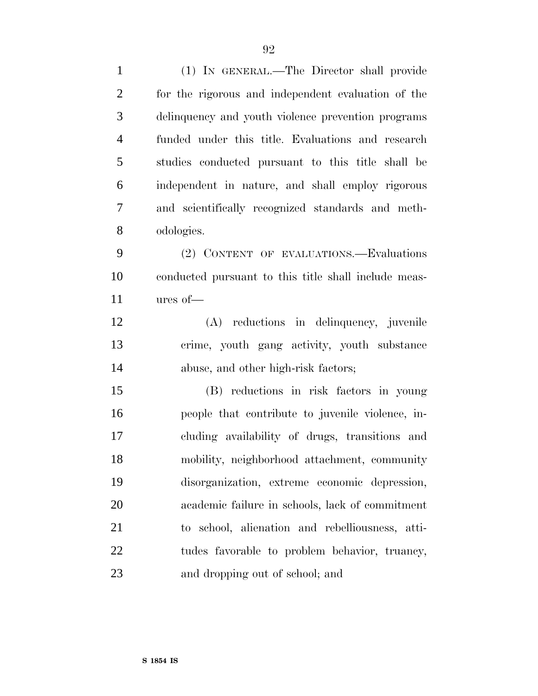(1) IN GENERAL.—The Director shall provide for the rigorous and independent evaluation of the delinquency and youth violence prevention programs funded under this title. Evaluations and research studies conducted pursuant to this title shall be independent in nature, and shall employ rigorous and scientifically recognized standards and meth- odologies. (2) CONTENT OF EVALUATIONS.—Evaluations conducted pursuant to this title shall include meas- ures of— (A) reductions in delinquency, juvenile crime, youth gang activity, youth substance abuse, and other high-risk factors; (B) reductions in risk factors in young people that contribute to juvenile violence, in- cluding availability of drugs, transitions and mobility, neighborhood attachment, community disorganization, extreme economic depression, academic failure in schools, lack of commitment to school, alienation and rebelliousness, atti-22 tudes favorable to problem behavior, truancy, and dropping out of school; and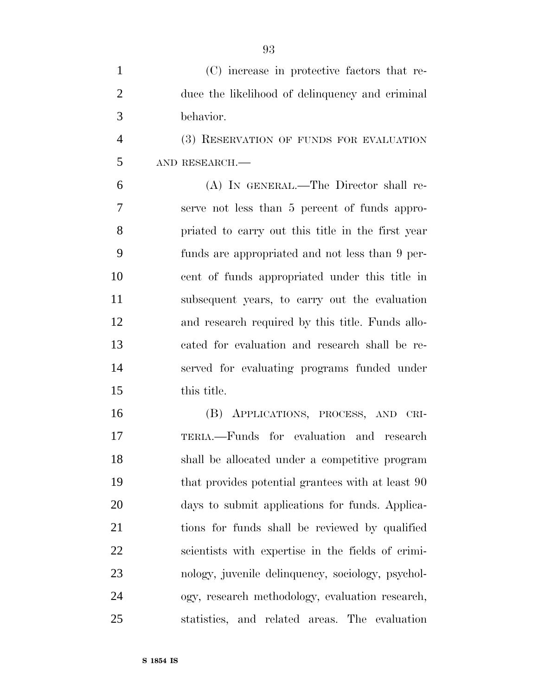| $\mathbf{1}$   | (C) increase in protective factors that re-       |
|----------------|---------------------------------------------------|
| $\overline{2}$ | duce the likelihood of delinquency and criminal   |
| 3              | behavior.                                         |
| $\overline{4}$ | (3) RESERVATION OF FUNDS FOR EVALUATION           |
| 5              | AND RESEARCH.                                     |
| 6              | (A) IN GENERAL.—The Director shall re-            |
| 7              | serve not less than 5 percent of funds appro-     |
| 8              | priated to carry out this title in the first year |
| 9              | funds are appropriated and not less than 9 per-   |
| 10             | cent of funds appropriated under this title in    |
| 11             | subsequent years, to carry out the evaluation     |
| 12             | and research required by this title. Funds allo-  |
| 13             | cated for evaluation and research shall be re-    |
| 14             | served for evaluating programs funded under       |
| 15             | this title.                                       |
| 16             | (B) APPLICATIONS, PROCESS, AND CRI-               |
| 17             | TERIA.—Funds for evaluation and research          |
| 18             | shall be allocated under a competitive program    |
| 19             | that provides potential grantees with at least 90 |
| 20             | days to submit applications for funds. Applica-   |
| 21             | tions for funds shall be reviewed by qualified    |
| 22             | scientists with expertise in the fields of crimi- |
| 23             | nology, juvenile delinquency, sociology, psychol- |
| 24             | ogy, research methodology, evaluation research,   |

statistics, and related areas. The evaluation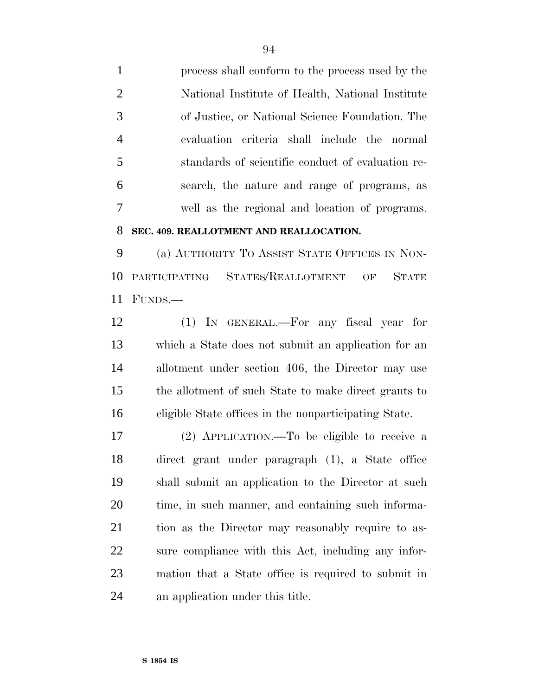process shall conform to the process used by the National Institute of Health, National Institute of Justice, or National Science Foundation. The evaluation criteria shall include the normal standards of scientific conduct of evaluation re- search, the nature and range of programs, as well as the regional and location of programs.

# **SEC. 409. REALLOTMENT AND REALLOCATION.**

 (a) AUTHORITY TO ASSIST STATE OFFICES IN NON- PARTICIPATING STATES/REALLOTMENT OF STATE FUNDS.—

 (1) IN GENERAL.—For any fiscal year for which a State does not submit an application for an allotment under section 406, the Director may use the allotment of such State to make direct grants to eligible State offices in the nonparticipating State.

 (2) APPLICATION.—To be eligible to receive a direct grant under paragraph (1), a State office shall submit an application to the Director at such time, in such manner, and containing such informa- tion as the Director may reasonably require to as- sure compliance with this Act, including any infor- mation that a State office is required to submit in an application under this title.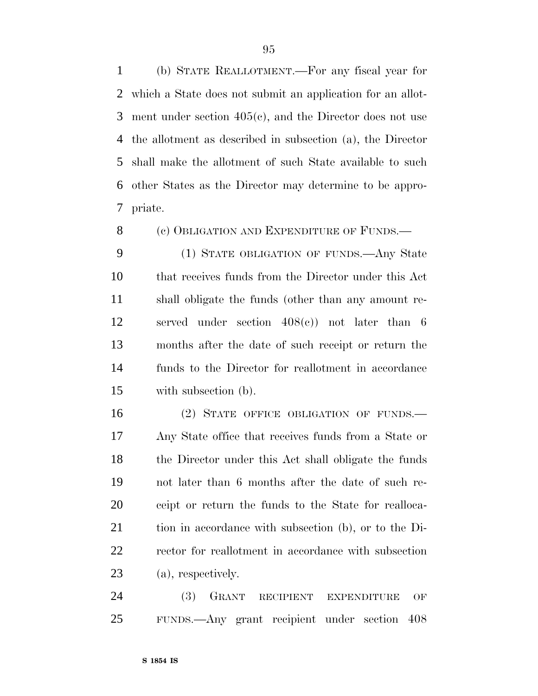(b) STATE REALLOTMENT.—For any fiscal year for which a State does not submit an application for an allot- ment under section 405(c), and the Director does not use the allotment as described in subsection (a), the Director shall make the allotment of such State available to such other States as the Director may determine to be appro-priate.

8 (c) OBLIGATION AND EXPENDITURE OF FUNDS.—

 (1) STATE OBLIGATION OF FUNDS.—Any State that receives funds from the Director under this Act shall obligate the funds (other than any amount re- served under section 408(c)) not later than 6 months after the date of such receipt or return the funds to the Director for reallotment in accordance with subsection (b).

16 (2) STATE OFFICE OBLIGATION OF FUNDS. Any State office that receives funds from a State or the Director under this Act shall obligate the funds not later than 6 months after the date of such re- ceipt or return the funds to the State for realloca- tion in accordance with subsection (b), or to the Di- rector for reallotment in accordance with subsection (a), respectively.

 (3) GRANT RECIPIENT EXPENDITURE OF FUNDS.—Any grant recipient under section 408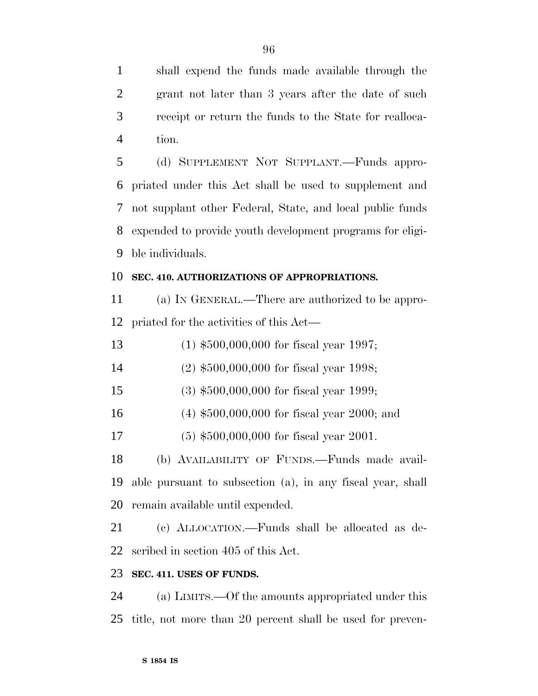shall expend the funds made available through the grant not later than 3 years after the date of such receipt or return the funds to the State for realloca-tion.

 (d) SUPPLEMENT NOT SUPPLANT.—Funds appro- priated under this Act shall be used to supplement and not supplant other Federal, State, and local public funds expended to provide youth development programs for eligi-ble individuals.

# **SEC. 410. AUTHORIZATIONS OF APPROPRIATIONS.**

 (a) IN GENERAL.—There are authorized to be appro-priated for the activities of this Act—

(1) \$500,000,000 for fiscal year 1997;

(2) \$500,000,000 for fiscal year 1998;

(3) \$500,000,000 for fiscal year 1999;

(4) \$500,000,000 for fiscal year 2000; and

(5) \$500,000,000 for fiscal year 2001.

 (b) AVAILABILITY OF FUNDS.—Funds made avail- able pursuant to subsection (a), in any fiscal year, shall remain available until expended.

 (c) ALLOCATION.—Funds shall be allocated as de-scribed in section 405 of this Act.

# **SEC. 411. USES OF FUNDS.**

 (a) LIMITS.—Of the amounts appropriated under this title, not more than 20 percent shall be used for preven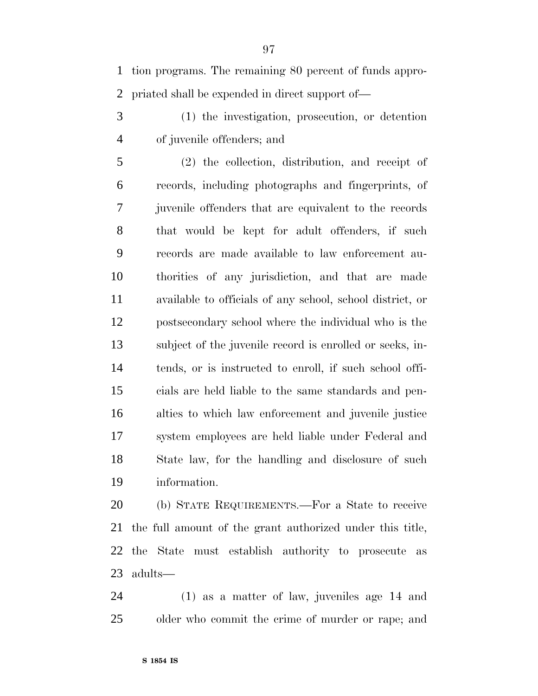tion programs. The remaining 80 percent of funds appro-priated shall be expended in direct support of—

 (1) the investigation, prosecution, or detention of juvenile offenders; and

 (2) the collection, distribution, and receipt of records, including photographs and fingerprints, of juvenile offenders that are equivalent to the records that would be kept for adult offenders, if such records are made available to law enforcement au- thorities of any jurisdiction, and that are made available to officials of any school, school district, or postsecondary school where the individual who is the subject of the juvenile record is enrolled or seeks, in- tends, or is instructed to enroll, if such school offi- cials are held liable to the same standards and pen- alties to which law enforcement and juvenile justice system employees are held liable under Federal and State law, for the handling and disclosure of such information.

 (b) STATE REQUIREMENTS.—For a State to receive the full amount of the grant authorized under this title, the State must establish authority to prosecute as adults—

 (1) as a matter of law, juveniles age 14 and older who commit the crime of murder or rape; and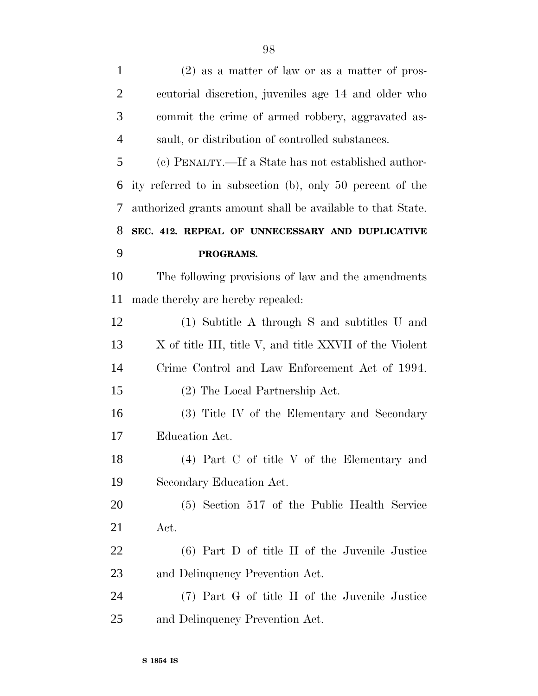| $\mathbf{1}$   | $(2)$ as a matter of law or as a matter of pros-           |
|----------------|------------------------------------------------------------|
| $\overline{2}$ | ecutorial discretion, juveniles age 14 and older who       |
| 3              | commit the crime of armed robbery, aggravated as-          |
| $\overline{4}$ | sault, or distribution of controlled substances.           |
| 5              | (c) PENALTY.—If a State has not established author-        |
| 6              | ity referred to in subsection (b), only 50 percent of the  |
| 7              | authorized grants amount shall be available to that State. |
| 8              | SEC. 412. REPEAL OF UNNECESSARY AND DUPLICATIVE            |
| 9              | PROGRAMS.                                                  |
| 10             | The following provisions of law and the amendments         |
| 11             | made thereby are hereby repealed:                          |
| 12             | (1) Subtitle A through S and subtitles U and               |
| 13             | X of title III, title V, and title XXVII of the Violent    |
| 14             | Crime Control and Law Enforcement Act of 1994.             |
| 15             | (2) The Local Partnership Act.                             |
| 16             | (3) Title IV of the Elementary and Secondary               |
| 17             | Education Act.                                             |
| 18             | (4) Part C of title V of the Elementary and                |
| 19             | Secondary Education Act.                                   |
| <b>20</b>      | (5) Section 517 of the Public Health Service               |
| 21             | Act.                                                       |
| 22             | (6) Part D of title II of the Juvenile Justice             |
| 23             | and Delinquency Prevention Act.                            |
| 24             | (7) Part G of title II of the Juvenile Justice             |
| 25             | and Delinquency Prevention Act.                            |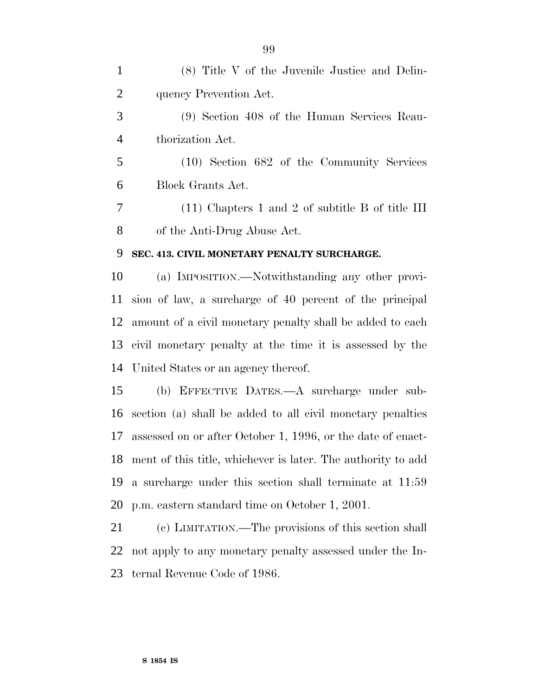(8) Title V of the Juvenile Justice and Delin- quency Prevention Act. (9) Section 408 of the Human Services Reau- thorization Act. (10) Section 682 of the Community Services Block Grants Act. (11) Chapters 1 and 2 of subtitle B of title III of the Anti-Drug Abuse Act. **SEC. 413. CIVIL MONETARY PENALTY SURCHARGE.** (a) IMPOSITION.—Notwithstanding any other provi- sion of law, a surcharge of 40 percent of the principal amount of a civil monetary penalty shall be added to each civil monetary penalty at the time it is assessed by the United States or an agency thereof. (b) EFFECTIVE DATES.—A surcharge under sub- section (a) shall be added to all civil monetary penalties assessed on or after October 1, 1996, or the date of enact- ment of this title, whichever is later. The authority to add a surcharge under this section shall terminate at 11:59 p.m. eastern standard time on October 1, 2001. (c) LIMITATION.—The provisions of this section shall not apply to any monetary penalty assessed under the In-

ternal Revenue Code of 1986.